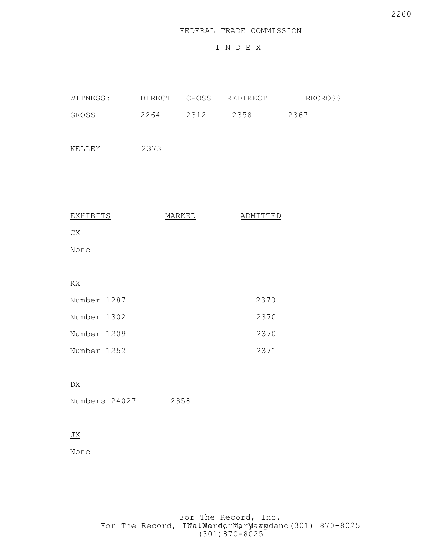## I N D E X

| WITNESS:                                       | <b>DIRECT</b> | CROSS | <u>REDIRECT</u> | <b>RECROSS</b> |
|------------------------------------------------|---------------|-------|-----------------|----------------|
| GROSS                                          | 2264          | 2312  | 2358            | 2367           |
| KELLEY                                         | 2373          |       |                 |                |
|                                                |               |       |                 |                |
|                                                |               |       |                 |                |
| <b>EXHIBITS</b>                                | MARKED        |       | ADMITTED        |                |
| $\underline{\text{CX}}$                        |               |       |                 |                |
| None                                           |               |       |                 |                |
|                                                |               |       |                 |                |
| $\underline{\mathbf{R}}\underline{\mathbf{X}}$ |               |       |                 |                |
| Number 1287                                    |               |       | 2370            |                |
| Number 1302                                    |               |       | 2370            |                |
| Number 1209                                    |               |       | 2370            |                |
| Number 1252                                    |               |       | 2371            |                |
|                                                |               |       |                 |                |

### DX

Numbers 24027 2358

## $\underline{\text{JX}}$

None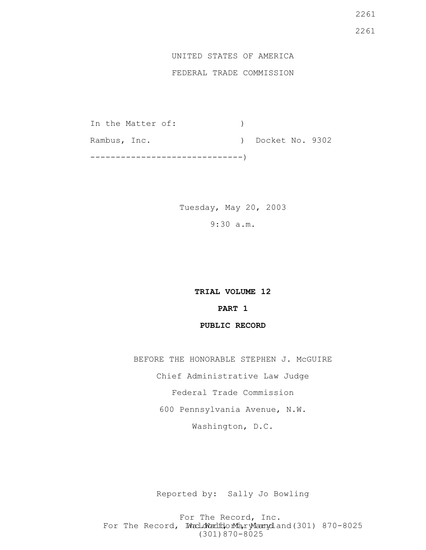# UNITED STATES OF AMERICA

## FEDERAL TRADE COMMISSION

In the Matter of: (1) Rambus, Inc. (a) Docket No. 9302 ------------------------------)

> Tuesday, May 20, 2003 9:30 a.m.

> > **TRIAL VOLUME 12 PART 1 PUBLIC RECORD**

BEFORE THE HONORABLE STEPHEN J. McGUIRE

Chief Administrative Law Judge

Federal Trade Commission

600 Pennsylvania Avenue, N.W.

Washington, D.C.

Reported by: Sally Jo Bowling

For The Record, Inc. For The Record, Ward.dWardfdorMa, ryMannydland(301) 870-8025 (301)870-8025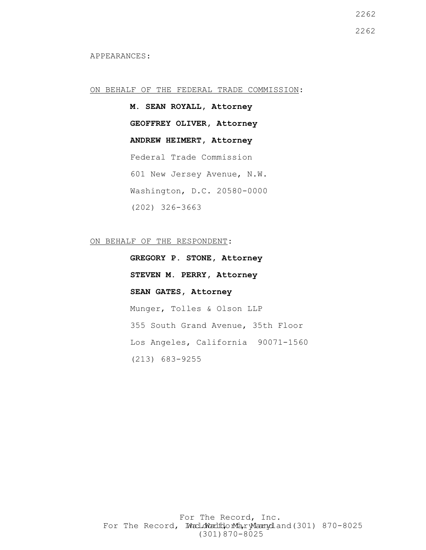APPEARANCES:

ON BEHALF OF THE FEDERAL TRADE COMMISSION:

**M. SEAN ROYALL, Attorney GEOFFREY OLIVER, Attorney ANDREW HEIMERT, Attorney** Federal Trade Commission 601 New Jersey Avenue, N.W. Washington, D.C. 20580-0000 (202) 326-3663

ON BEHALF OF THE RESPONDENT:

**GREGORY P. STONE, Attorney STEVEN M. PERRY, Attorney SEAN GATES, Attorney** Munger, Tolles & Olson LLP 355 South Grand Avenue, 35th Floor Los Angeles, California 90071-1560 (213) 683-9255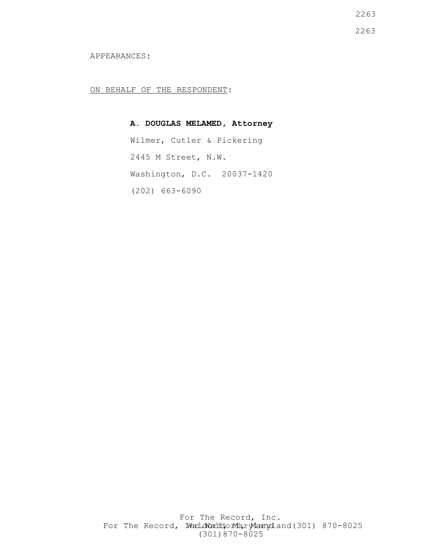2263 2263

APPEARANCES:

ON BEHALF OF THE RESPONDENT:

**A. DOUGLAS MELAMED, Attorney** Wilmer, Cutler & Pickering 2445 M Street, N.W. Washington, D.C. 20037-1420 (202) 663-6090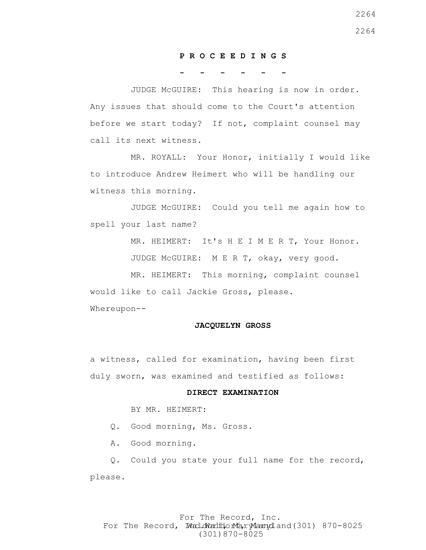#### **P R O C E E D I N G S**

#### **- - - - - -**

 JUDGE McGUIRE: This hearing is now in order. Any issues that should come to the Court's attention before we start today? If not, complaint counsel may call its next witness.

 MR. ROYALL: Your Honor, initially I would like to introduce Andrew Heimert who will be handling our witness this morning.

 JUDGE McGUIRE: Could you tell me again how to spell your last name?

> MR. HEIMERT: It's H E I M E R T, Your Honor. JUDGE McGUIRE: M E R T, okay, very good.

 MR. HEIMERT: This morning, complaint counsel would like to call Jackie Gross, please. Whereupon--

#### **JACQUELYN GROSS**

a witness, called for examination, having been first duly sworn, was examined and testified as follows:

#### **DIRECT EXAMINATION**

BY MR. HEIMERT:

Q. Good morning, Ms. Gross.

A. Good morning.

 Q. Could you state your full name for the record, please.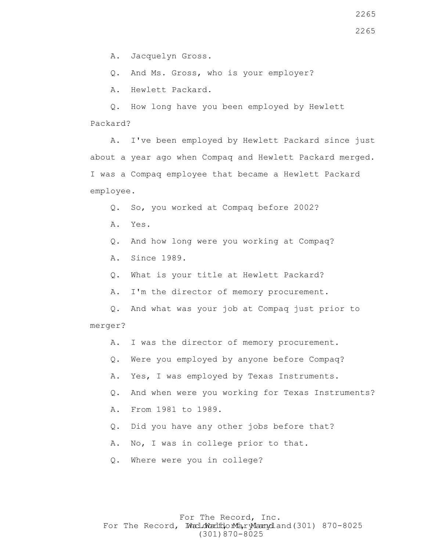A. Jacquelyn Gross.

Q. And Ms. Gross, who is your employer?

A. Hewlett Packard.

 Q. How long have you been employed by Hewlett Packard?

 A. I've been employed by Hewlett Packard since just about a year ago when Compaq and Hewlett Packard merged. I was a Compaq employee that became a Hewlett Packard employee.

Q. So, you worked at Compaq before 2002?

- A. Yes.
- Q. And how long were you working at Compaq?
- A. Since 1989.
- Q. What is your title at Hewlett Packard?
- A. I'm the director of memory procurement.

 Q. And what was your job at Compaq just prior to merger?

- A. I was the director of memory procurement.
- Q. Were you employed by anyone before Compaq?
- A. Yes, I was employed by Texas Instruments.
- Q. And when were you working for Texas Instruments?
- A. From 1981 to 1989.
- Q. Did you have any other jobs before that?
- A. No, I was in college prior to that.
- Q. Where were you in college?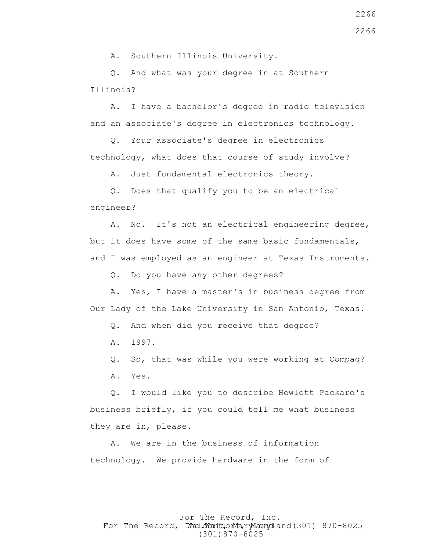A. Southern Illinois University.

 Q. And what was your degree in at Southern Illinois?

 A. I have a bachelor's degree in radio television and an associate's degree in electronics technology.

 Q. Your associate's degree in electronics technology, what does that course of study involve?

A. Just fundamental electronics theory.

 Q. Does that qualify you to be an electrical engineer?

 A. No. It's not an electrical engineering degree, but it does have some of the same basic fundamentals, and I was employed as an engineer at Texas Instruments.

Q. Do you have any other degrees?

 A. Yes, I have a master's in business degree from Our Lady of the Lake University in San Antonio, Texas.

Q. And when did you receive that degree?

A. 1997.

 Q. So, that was while you were working at Compaq? A. Yes.

 Q. I would like you to describe Hewlett Packard's business briefly, if you could tell me what business they are in, please.

 A. We are in the business of information technology. We provide hardware in the form of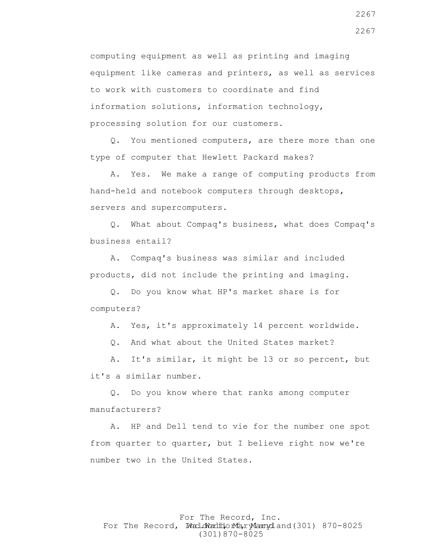computing equipment as well as printing and imaging equipment like cameras and printers, as well as services to work with customers to coordinate and find information solutions, information technology, processing solution for our customers.

 Q. You mentioned computers, are there more than one type of computer that Hewlett Packard makes?

 A. Yes. We make a range of computing products from hand-held and notebook computers through desktops, servers and supercomputers.

 Q. What about Compaq's business, what does Compaq's business entail?

 A. Compaq's business was similar and included products, did not include the printing and imaging.

 Q. Do you know what HP's market share is for computers?

A. Yes, it's approximately 14 percent worldwide.

Q. And what about the United States market?

 A. It's similar, it might be 13 or so percent, but it's a similar number.

 Q. Do you know where that ranks among computer manufacturers?

 A. HP and Dell tend to vie for the number one spot from quarter to quarter, but I believe right now we're number two in the United States.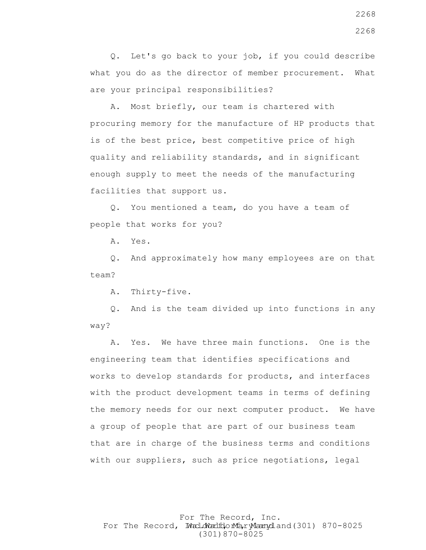Q. Let's go back to your job, if you could describe what you do as the director of member procurement. What are your principal responsibilities?

 A. Most briefly, our team is chartered with procuring memory for the manufacture of HP products that is of the best price, best competitive price of high quality and reliability standards, and in significant enough supply to meet the needs of the manufacturing facilities that support us.

 Q. You mentioned a team, do you have a team of people that works for you?

A. Yes.

 Q. And approximately how many employees are on that team?

A. Thirty-five.

 Q. And is the team divided up into functions in any way?

 A. Yes. We have three main functions. One is the engineering team that identifies specifications and works to develop standards for products, and interfaces with the product development teams in terms of defining the memory needs for our next computer product. We have a group of people that are part of our business team that are in charge of the business terms and conditions with our suppliers, such as price negotiations, legal

For The Record, Inc. For The Record, Ward.dWardfdorMa, ryMannydland(301) 870-8025 (301)870-8025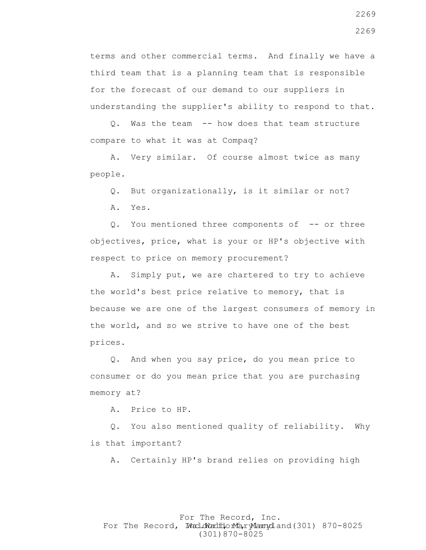terms and other commercial terms. And finally we have a third team that is a planning team that is responsible for the forecast of our demand to our suppliers in understanding the supplier's ability to respond to that.

 Q. Was the team -- how does that team structure compare to what it was at Compaq?

 A. Very similar. Of course almost twice as many people.

Q. But organizationally, is it similar or not?

A. Yes.

Q. You mentioned three components of -- or three objectives, price, what is your or HP's objective with respect to price on memory procurement?

 A. Simply put, we are chartered to try to achieve the world's best price relative to memory, that is because we are one of the largest consumers of memory in the world, and so we strive to have one of the best prices.

 Q. And when you say price, do you mean price to consumer or do you mean price that you are purchasing memory at?

A. Price to HP.

 Q. You also mentioned quality of reliability. Why is that important?

A. Certainly HP's brand relies on providing high

#### For The Record, Inc. For The Record, Ward.dWardfdorMa, ryMannydland(301) 870-8025 (301)870-8025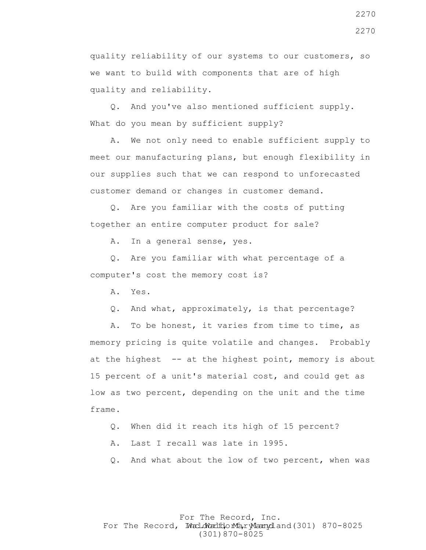quality reliability of our systems to our customers, so we want to build with components that are of high quality and reliability.

 Q. And you've also mentioned sufficient supply. What do you mean by sufficient supply?

 A. We not only need to enable sufficient supply to meet our manufacturing plans, but enough flexibility in our supplies such that we can respond to unforecasted customer demand or changes in customer demand.

 Q. Are you familiar with the costs of putting together an entire computer product for sale?

A. In a general sense, yes.

 Q. Are you familiar with what percentage of a computer's cost the memory cost is?

A. Yes.

Q. And what, approximately, is that percentage?

 A. To be honest, it varies from time to time, as memory pricing is quite volatile and changes. Probably at the highest  $-$  at the highest point, memory is about 15 percent of a unit's material cost, and could get as low as two percent, depending on the unit and the time frame.

- Q. When did it reach its high of 15 percent?
- A. Last I recall was late in 1995.
- Q. And what about the low of two percent, when was

#### For The Record, Inc. For The Record, Ward.dWardfdorMa, ryMannydland(301) 870-8025 (301)870-8025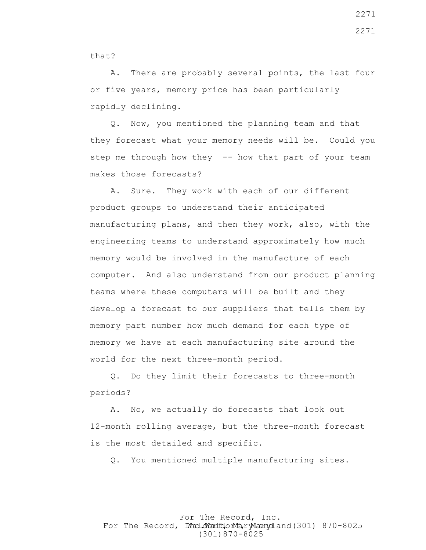that?

 A. There are probably several points, the last four or five years, memory price has been particularly rapidly declining.

 Q. Now, you mentioned the planning team and that they forecast what your memory needs will be. Could you step me through how they -- how that part of your team makes those forecasts?

 A. Sure. They work with each of our different product groups to understand their anticipated manufacturing plans, and then they work, also, with the engineering teams to understand approximately how much memory would be involved in the manufacture of each computer. And also understand from our product planning teams where these computers will be built and they develop a forecast to our suppliers that tells them by memory part number how much demand for each type of memory we have at each manufacturing site around the world for the next three-month period.

 Q. Do they limit their forecasts to three-month periods?

 A. No, we actually do forecasts that look out 12-month rolling average, but the three-month forecast is the most detailed and specific.

Q. You mentioned multiple manufacturing sites.

For The Record, Inc. For The Record, Ward.dWardfdorMa, ryMannydland(301) 870-8025 (301)870-8025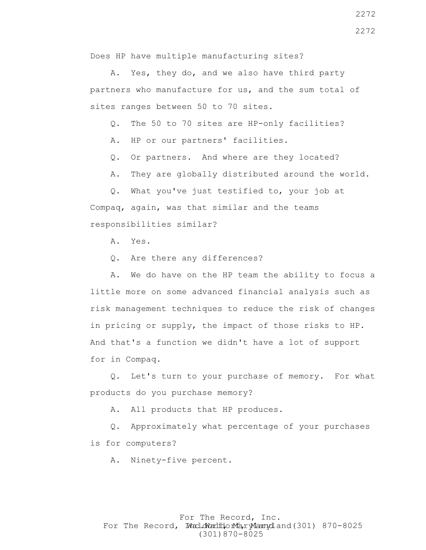Does HP have multiple manufacturing sites?

 A. Yes, they do, and we also have third party partners who manufacture for us, and the sum total of sites ranges between 50 to 70 sites.

Q. The 50 to 70 sites are HP-only facilities?

A. HP or our partners' facilities.

Q. Or partners. And where are they located?

A. They are globally distributed around the world.

 Q. What you've just testified to, your job at Compaq, again, was that similar and the teams responsibilities similar?

A. Yes.

Q. Are there any differences?

 A. We do have on the HP team the ability to focus a little more on some advanced financial analysis such as risk management techniques to reduce the risk of changes in pricing or supply, the impact of those risks to HP. And that's a function we didn't have a lot of support for in Compaq.

 Q. Let's turn to your purchase of memory. For what products do you purchase memory?

A. All products that HP produces.

 Q. Approximately what percentage of your purchases is for computers?

A. Ninety-five percent.

#### For The Record, Inc. For The Record, Ward.dWardfdorMa, ryMannydland(301) 870-8025 (301)870-8025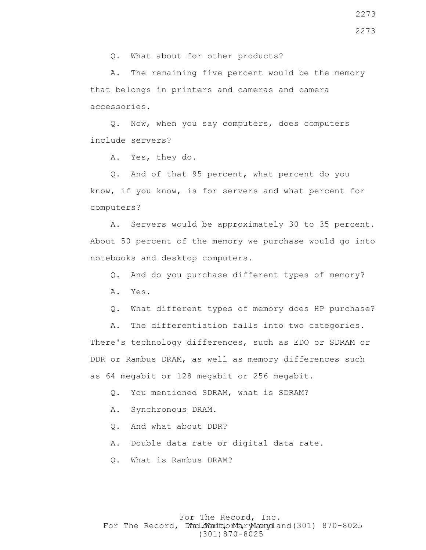Q. What about for other products?

 A. The remaining five percent would be the memory that belongs in printers and cameras and camera accessories.

 Q. Now, when you say computers, does computers include servers?

A. Yes, they do.

 Q. And of that 95 percent, what percent do you know, if you know, is for servers and what percent for computers?

 A. Servers would be approximately 30 to 35 percent. About 50 percent of the memory we purchase would go into notebooks and desktop computers.

Q. And do you purchase different types of memory?

A. Yes.

Q. What different types of memory does HP purchase?

 A. The differentiation falls into two categories. There's technology differences, such as EDO or SDRAM or DDR or Rambus DRAM, as well as memory differences such as 64 megabit or 128 megabit or 256 megabit.

Q. You mentioned SDRAM, what is SDRAM?

A. Synchronous DRAM.

Q. And what about DDR?

A. Double data rate or digital data rate.

Q. What is Rambus DRAM?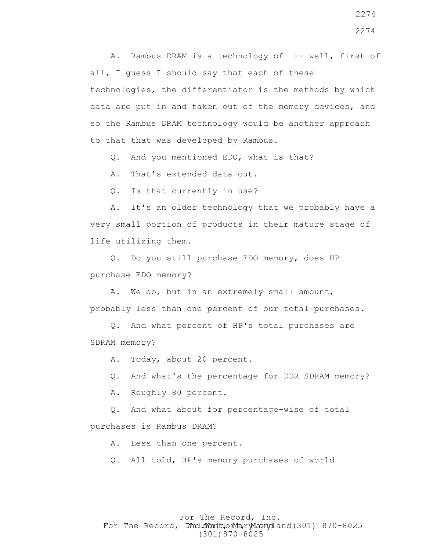A. Rambus DRAM is a technology of -- well, first of all, I guess I should say that each of these technologies, the differentiator is the methods by which data are put in and taken out of the memory devices, and so the Rambus DRAM technology would be another approach to that that was developed by Rambus.

Q. And you mentioned EDO, what is that?

A. That's extended data out.

Q. Is that currently in use?

 A. It's an older technology that we probably have a very small portion of products in their mature stage of life utilizing them.

 Q. Do you still purchase EDO memory, does HP purchase EDO memory?

 A. We do, but in an extremely small amount, probably less than one percent of our total purchases.

 Q. And what percent of HP's total purchases are SDRAM memory?

A. Today, about 20 percent.

Q. And what's the percentage for DDR SDRAM memory?

A. Roughly 80 percent.

 Q. And what about for percentage-wise of total purchases is Rambus DRAM?

A. Less than one percent.

Q. All told, HP's memory purchases of world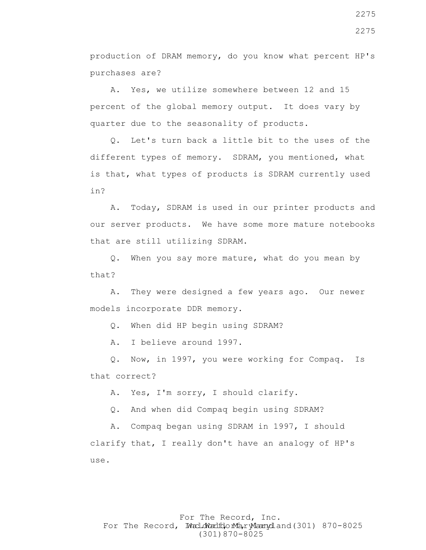production of DRAM memory, do you know what percent HP's purchases are?

 A. Yes, we utilize somewhere between 12 and 15 percent of the global memory output. It does vary by quarter due to the seasonality of products.

 Q. Let's turn back a little bit to the uses of the different types of memory. SDRAM, you mentioned, what is that, what types of products is SDRAM currently used in?

 A. Today, SDRAM is used in our printer products and our server products. We have some more mature notebooks that are still utilizing SDRAM.

 Q. When you say more mature, what do you mean by that?

 A. They were designed a few years ago. Our newer models incorporate DDR memory.

Q. When did HP begin using SDRAM?

A. I believe around 1997.

 Q. Now, in 1997, you were working for Compaq. Is that correct?

A. Yes, I'm sorry, I should clarify.

Q. And when did Compaq begin using SDRAM?

 A. Compaq began using SDRAM in 1997, I should clarify that, I really don't have an analogy of HP's use.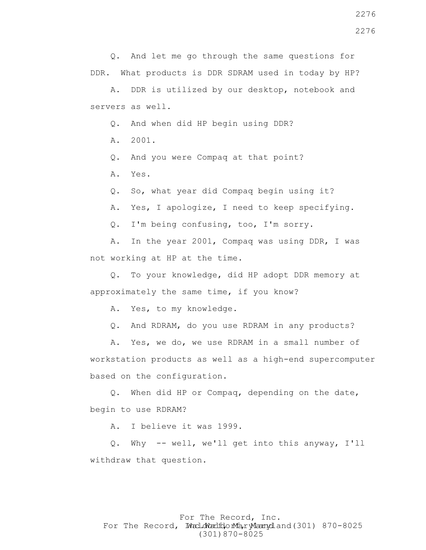Q. And let me go through the same questions for DDR. What products is DDR SDRAM used in today by HP?

 A. DDR is utilized by our desktop, notebook and servers as well.

Q. And when did HP begin using DDR?

A. 2001.

Q. And you were Compaq at that point?

A. Yes.

Q. So, what year did Compaq begin using it?

A. Yes, I apologize, I need to keep specifying.

Q. I'm being confusing, too, I'm sorry.

 A. In the year 2001, Compaq was using DDR, I was not working at HP at the time.

 Q. To your knowledge, did HP adopt DDR memory at approximately the same time, if you know?

A. Yes, to my knowledge.

Q. And RDRAM, do you use RDRAM in any products?

 A. Yes, we do, we use RDRAM in a small number of workstation products as well as a high-end supercomputer based on the configuration.

 Q. When did HP or Compaq, depending on the date, begin to use RDRAM?

A. I believe it was 1999.

 Q. Why -- well, we'll get into this anyway, I'll withdraw that question.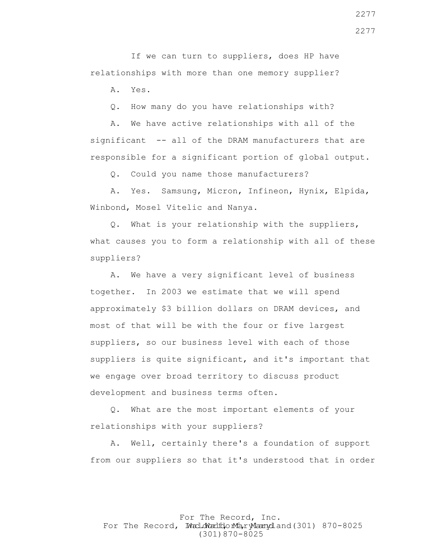If we can turn to suppliers, does HP have relationships with more than one memory supplier?

A. Yes.

Q. How many do you have relationships with?

 A. We have active relationships with all of the significant -- all of the DRAM manufacturers that are responsible for a significant portion of global output.

Q. Could you name those manufacturers?

 A. Yes. Samsung, Micron, Infineon, Hynix, Elpida, Winbond, Mosel Vitelic and Nanya.

 Q. What is your relationship with the suppliers, what causes you to form a relationship with all of these suppliers?

 A. We have a very significant level of business together. In 2003 we estimate that we will spend approximately \$3 billion dollars on DRAM devices, and most of that will be with the four or five largest suppliers, so our business level with each of those suppliers is quite significant, and it's important that we engage over broad territory to discuss product development and business terms often.

 Q. What are the most important elements of your relationships with your suppliers?

 A. Well, certainly there's a foundation of support from our suppliers so that it's understood that in order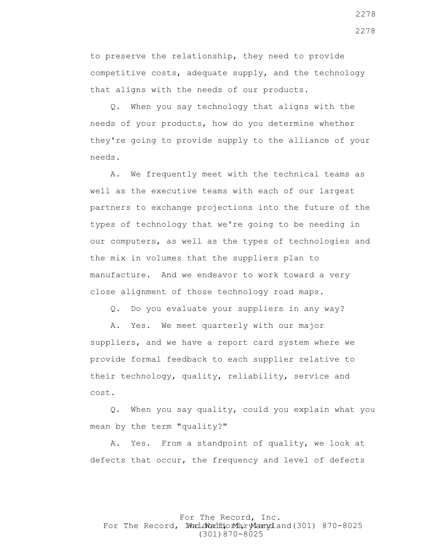to preserve the relationship, they need to provide competitive costs, adequate supply, and the technology that aligns with the needs of our products.

 Q. When you say technology that aligns with the needs of your products, how do you determine whether they're going to provide supply to the alliance of your needs.

 A. We frequently meet with the technical teams as well as the executive teams with each of our largest partners to exchange projections into the future of the types of technology that we're going to be needing in our computers, as well as the types of technologies and the mix in volumes that the suppliers plan to manufacture. And we endeavor to work toward a very close alignment of those technology road maps.

Q. Do you evaluate your suppliers in any way?

 A. Yes. We meet quarterly with our major suppliers, and we have a report card system where we provide formal feedback to each supplier relative to their technology, quality, reliability, service and cost.

 Q. When you say quality, could you explain what you mean by the term "quality?"

 A. Yes. From a standpoint of quality, we look at defects that occur, the frequency and level of defects

#### For The Record, Inc. For The Record, Ward.dWardfdorMa, ryMannydland(301) 870-8025 (301)870-8025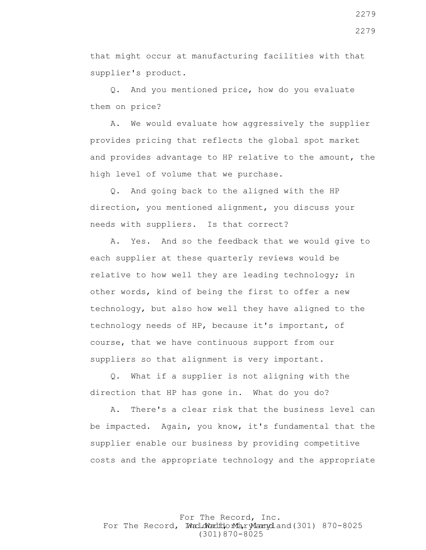that might occur at manufacturing facilities with that supplier's product.

 Q. And you mentioned price, how do you evaluate them on price?

 A. We would evaluate how aggressively the supplier provides pricing that reflects the global spot market and provides advantage to HP relative to the amount, the high level of volume that we purchase.

 Q. And going back to the aligned with the HP direction, you mentioned alignment, you discuss your needs with suppliers. Is that correct?

 A. Yes. And so the feedback that we would give to each supplier at these quarterly reviews would be relative to how well they are leading technology; in other words, kind of being the first to offer a new technology, but also how well they have aligned to the technology needs of HP, because it's important, of course, that we have continuous support from our suppliers so that alignment is very important.

 Q. What if a supplier is not aligning with the direction that HP has gone in. What do you do?

 A. There's a clear risk that the business level can be impacted. Again, you know, it's fundamental that the supplier enable our business by providing competitive costs and the appropriate technology and the appropriate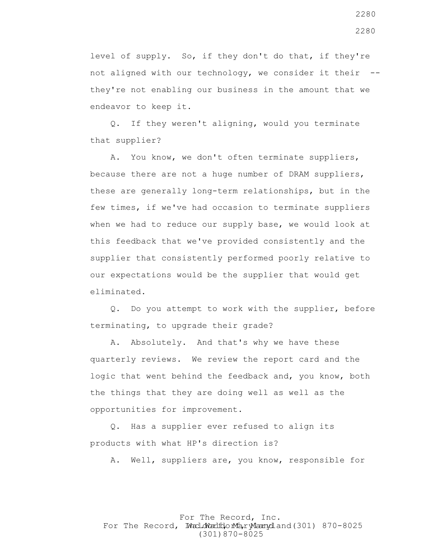level of supply. So, if they don't do that, if they're not aligned with our technology, we consider it their - they're not enabling our business in the amount that we endeavor to keep it.

 Q. If they weren't aligning, would you terminate that supplier?

 A. You know, we don't often terminate suppliers, because there are not a huge number of DRAM suppliers, these are generally long-term relationships, but in the few times, if we've had occasion to terminate suppliers when we had to reduce our supply base, we would look at this feedback that we've provided consistently and the supplier that consistently performed poorly relative to our expectations would be the supplier that would get eliminated.

 Q. Do you attempt to work with the supplier, before terminating, to upgrade their grade?

 A. Absolutely. And that's why we have these quarterly reviews. We review the report card and the logic that went behind the feedback and, you know, both the things that they are doing well as well as the opportunities for improvement.

 Q. Has a supplier ever refused to align its products with what HP's direction is?

A. Well, suppliers are, you know, responsible for

For The Record, Inc. For The Record, Ward.dWardfdorMa, ryMannydland(301) 870-8025 (301)870-8025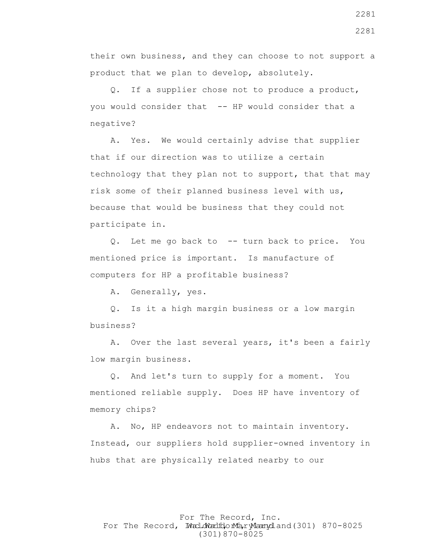their own business, and they can choose to not support a product that we plan to develop, absolutely.

 Q. If a supplier chose not to produce a product, you would consider that -- HP would consider that a negative?

 A. Yes. We would certainly advise that supplier that if our direction was to utilize a certain technology that they plan not to support, that that may risk some of their planned business level with us, because that would be business that they could not participate in.

 Q. Let me go back to -- turn back to price. You mentioned price is important. Is manufacture of computers for HP a profitable business?

A. Generally, yes.

 Q. Is it a high margin business or a low margin business?

 A. Over the last several years, it's been a fairly low margin business.

 Q. And let's turn to supply for a moment. You mentioned reliable supply. Does HP have inventory of memory chips?

 A. No, HP endeavors not to maintain inventory. Instead, our suppliers hold supplier-owned inventory in hubs that are physically related nearby to our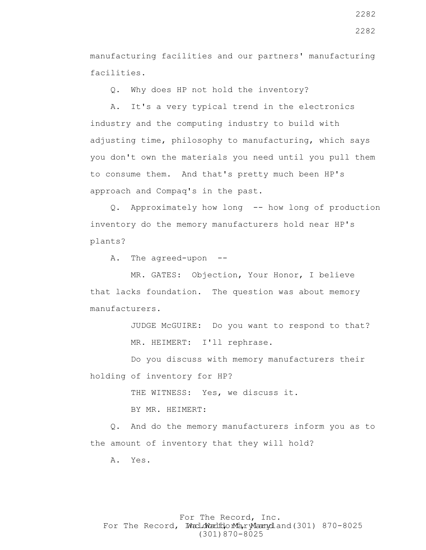manufacturing facilities and our partners' manufacturing facilities.

Q. Why does HP not hold the inventory?

 A. It's a very typical trend in the electronics industry and the computing industry to build with adjusting time, philosophy to manufacturing, which says you don't own the materials you need until you pull them to consume them. And that's pretty much been HP's approach and Compaq's in the past.

 Q. Approximately how long -- how long of production inventory do the memory manufacturers hold near HP's plants?

A. The agreed-upon --

 MR. GATES: Objection, Your Honor, I believe that lacks foundation. The question was about memory manufacturers.

> JUDGE McGUIRE: Do you want to respond to that? MR. HEIMERT: I'll rephrase.

 Do you discuss with memory manufacturers their holding of inventory for HP?

THE WITNESS: Yes, we discuss it.

BY MR. HEIMERT:

 Q. And do the memory manufacturers inform you as to the amount of inventory that they will hold?

A. Yes.

#### For The Record, Inc. For The Record, Ward.dWardfdorMa, ryMannydland(301) 870-8025 (301)870-8025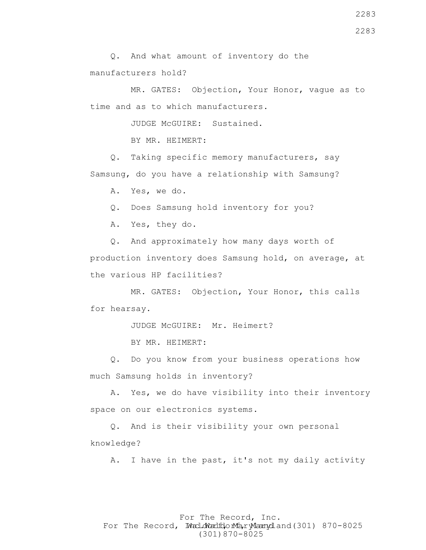MR. GATES: Objection, Your Honor, vague as to time and as to which manufacturers.

JUDGE McGUIRE: Sustained.

BY MR. HEIMERT:

 Q. Taking specific memory manufacturers, say Samsung, do you have a relationship with Samsung?

A. Yes, we do.

Q. Does Samsung hold inventory for you?

A. Yes, they do.

 Q. And approximately how many days worth of production inventory does Samsung hold, on average, at the various HP facilities?

 MR. GATES: Objection, Your Honor, this calls for hearsay.

JUDGE McGUIRE: Mr. Heimert?

BY MR. HEIMERT:

 Q. Do you know from your business operations how much Samsung holds in inventory?

 A. Yes, we do have visibility into their inventory space on our electronics systems.

 Q. And is their visibility your own personal knowledge?

A. I have in the past, it's not my daily activity

#### For The Record, Inc. For The Record, Ward.dWardfdorMa, ryMannydland(301) 870-8025 (301)870-8025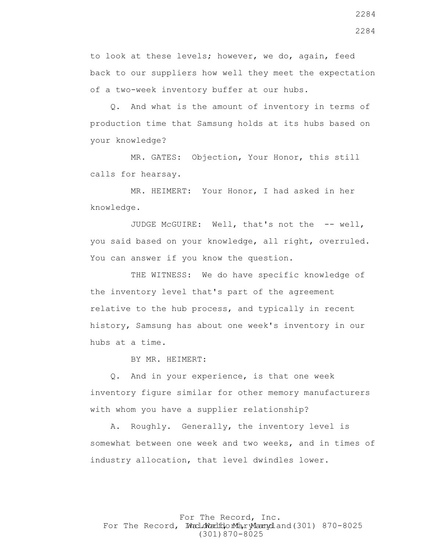to look at these levels; however, we do, again, feed back to our suppliers how well they meet the expectation of a two-week inventory buffer at our hubs.

 Q. And what is the amount of inventory in terms of production time that Samsung holds at its hubs based on your knowledge?

 MR. GATES: Objection, Your Honor, this still calls for hearsay.

 MR. HEIMERT: Your Honor, I had asked in her knowledge.

 JUDGE McGUIRE: Well, that's not the -- well, you said based on your knowledge, all right, overruled. You can answer if you know the question.

 THE WITNESS: We do have specific knowledge of the inventory level that's part of the agreement relative to the hub process, and typically in recent history, Samsung has about one week's inventory in our hubs at a time.

BY MR. HEIMERT:

 Q. And in your experience, is that one week inventory figure similar for other memory manufacturers with whom you have a supplier relationship?

 A. Roughly. Generally, the inventory level is somewhat between one week and two weeks, and in times of industry allocation, that level dwindles lower.

For The Record, Inc. For The Record, Ward.dWardfdorMa, ryMannydland(301) 870-8025 (301)870-8025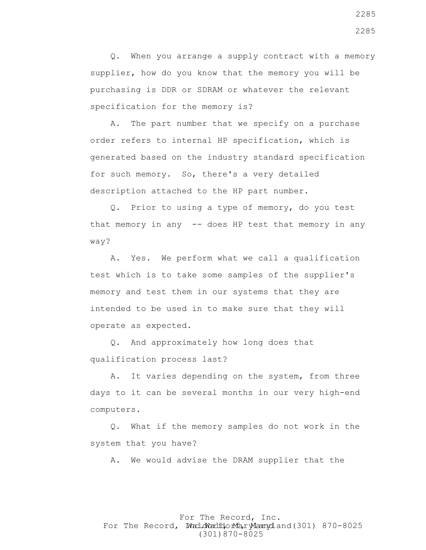Q. When you arrange a supply contract with a memory supplier, how do you know that the memory you will be purchasing is DDR or SDRAM or whatever the relevant specification for the memory is?

 A. The part number that we specify on a purchase order refers to internal HP specification, which is generated based on the industry standard specification for such memory. So, there's a very detailed description attached to the HP part number.

 Q. Prior to using a type of memory, do you test that memory in any -- does HP test that memory in any way?

 A. Yes. We perform what we call a qualification test which is to take some samples of the supplier's memory and test them in our systems that they are intended to be used in to make sure that they will operate as expected.

 Q. And approximately how long does that qualification process last?

 A. It varies depending on the system, from three days to it can be several months in our very high-end computers.

 Q. What if the memory samples do not work in the system that you have?

A. We would advise the DRAM supplier that the

#### For The Record, Inc. For The Record, Ward.dWardfdorMa, ryMannydland(301) 870-8025 (301)870-8025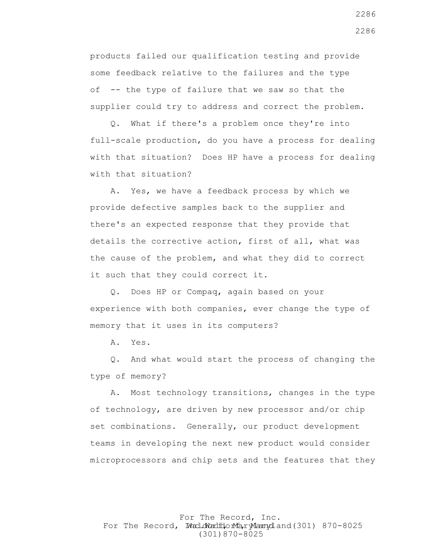products failed our qualification testing and provide some feedback relative to the failures and the type of -- the type of failure that we saw so that the supplier could try to address and correct the problem.

 Q. What if there's a problem once they're into full-scale production, do you have a process for dealing with that situation? Does HP have a process for dealing with that situation?

 A. Yes, we have a feedback process by which we provide defective samples back to the supplier and there's an expected response that they provide that details the corrective action, first of all, what was the cause of the problem, and what they did to correct it such that they could correct it.

 Q. Does HP or Compaq, again based on your experience with both companies, ever change the type of memory that it uses in its computers?

A. Yes.

 Q. And what would start the process of changing the type of memory?

 A. Most technology transitions, changes in the type of technology, are driven by new processor and/or chip set combinations. Generally, our product development teams in developing the next new product would consider microprocessors and chip sets and the features that they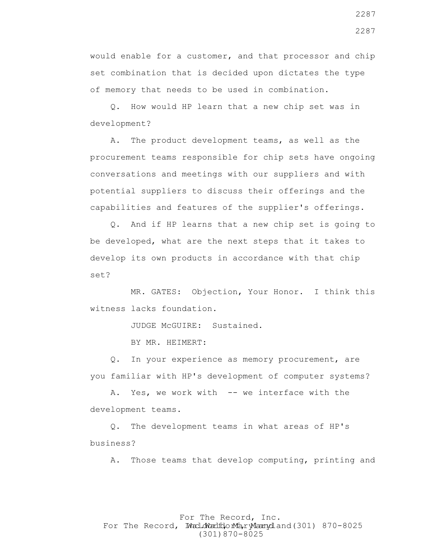would enable for a customer, and that processor and chip set combination that is decided upon dictates the type of memory that needs to be used in combination.

 Q. How would HP learn that a new chip set was in development?

 A. The product development teams, as well as the procurement teams responsible for chip sets have ongoing conversations and meetings with our suppliers and with potential suppliers to discuss their offerings and the capabilities and features of the supplier's offerings.

 Q. And if HP learns that a new chip set is going to be developed, what are the next steps that it takes to develop its own products in accordance with that chip set?

 MR. GATES: Objection, Your Honor. I think this witness lacks foundation.

JUDGE McGUIRE: Sustained.

BY MR. HEIMERT:

 Q. In your experience as memory procurement, are you familiar with HP's development of computer systems?

 A. Yes, we work with -- we interface with the development teams.

 Q. The development teams in what areas of HP's business?

A. Those teams that develop computing, printing and

#### For The Record, Inc. For The Record, Ward.dWardfdorMa, ryMannydland(301) 870-8025 (301)870-8025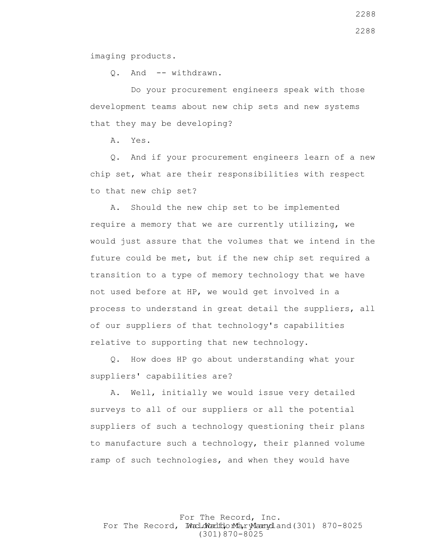imaging products.

Q. And -- withdrawn.

 Do your procurement engineers speak with those development teams about new chip sets and new systems that they may be developing?

A. Yes.

 Q. And if your procurement engineers learn of a new chip set, what are their responsibilities with respect to that new chip set?

 A. Should the new chip set to be implemented require a memory that we are currently utilizing, we would just assure that the volumes that we intend in the future could be met, but if the new chip set required a transition to a type of memory technology that we have not used before at HP, we would get involved in a process to understand in great detail the suppliers, all of our suppliers of that technology's capabilities relative to supporting that new technology.

 Q. How does HP go about understanding what your suppliers' capabilities are?

 A. Well, initially we would issue very detailed surveys to all of our suppliers or all the potential suppliers of such a technology questioning their plans to manufacture such a technology, their planned volume ramp of such technologies, and when they would have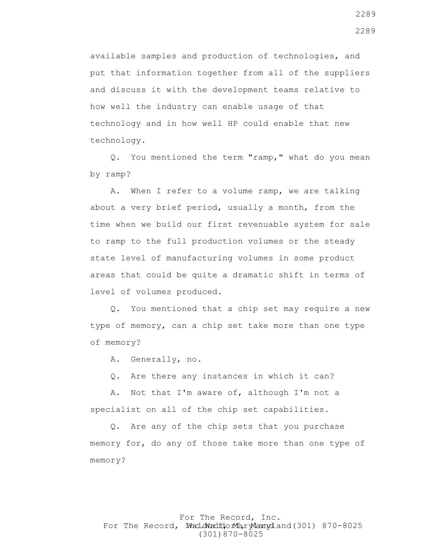available samples and production of technologies, and put that information together from all of the suppliers and discuss it with the development teams relative to how well the industry can enable usage of that technology and in how well HP could enable that new technology.

 Q. You mentioned the term "ramp," what do you mean by ramp?

 A. When I refer to a volume ramp, we are talking about a very brief period, usually a month, from the time when we build our first revenuable system for sale to ramp to the full production volumes or the steady state level of manufacturing volumes in some product areas that could be quite a dramatic shift in terms of level of volumes produced.

 Q. You mentioned that a chip set may require a new type of memory, can a chip set take more than one type of memory?

A. Generally, no.

Q. Are there any instances in which it can?

 A. Not that I'm aware of, although I'm not a specialist on all of the chip set capabilities.

 Q. Are any of the chip sets that you purchase memory for, do any of those take more than one type of memory?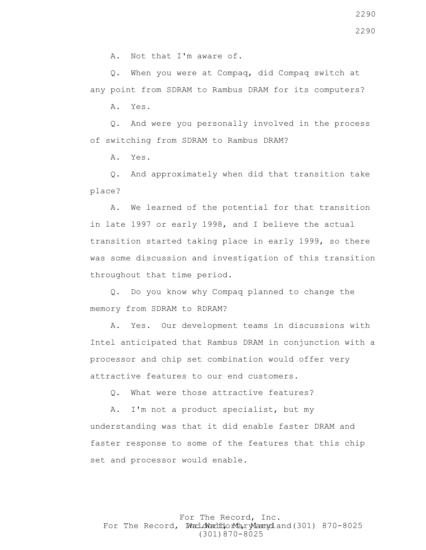A. Not that I'm aware of.

 Q. When you were at Compaq, did Compaq switch at any point from SDRAM to Rambus DRAM for its computers?

A. Yes.

 Q. And were you personally involved in the process of switching from SDRAM to Rambus DRAM?

A. Yes.

 Q. And approximately when did that transition take place?

 A. We learned of the potential for that transition in late 1997 or early 1998, and I believe the actual transition started taking place in early 1999, so there was some discussion and investigation of this transition throughout that time period.

 Q. Do you know why Compaq planned to change the memory from SDRAM to RDRAM?

 A. Yes. Our development teams in discussions with Intel anticipated that Rambus DRAM in conjunction with a processor and chip set combination would offer very attractive features to our end customers.

Q. What were those attractive features?

 A. I'm not a product specialist, but my understanding was that it did enable faster DRAM and faster response to some of the features that this chip set and processor would enable.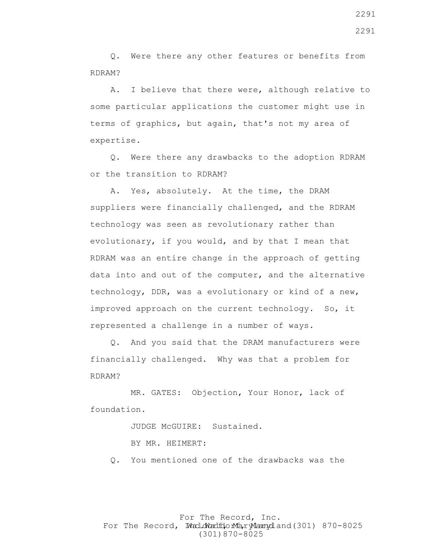Q. Were there any other features or benefits from RDRAM?

 A. I believe that there were, although relative to some particular applications the customer might use in terms of graphics, but again, that's not my area of expertise.

 Q. Were there any drawbacks to the adoption RDRAM or the transition to RDRAM?

 A. Yes, absolutely. At the time, the DRAM suppliers were financially challenged, and the RDRAM technology was seen as revolutionary rather than evolutionary, if you would, and by that I mean that RDRAM was an entire change in the approach of getting data into and out of the computer, and the alternative technology, DDR, was a evolutionary or kind of a new, improved approach on the current technology. So, it represented a challenge in a number of ways.

 Q. And you said that the DRAM manufacturers were financially challenged. Why was that a problem for RDRAM?

 MR. GATES: Objection, Your Honor, lack of foundation.

JUDGE McGUIRE: Sustained.

BY MR. HEIMERT:

Q. You mentioned one of the drawbacks was the

For The Record, Inc. For The Record, Ward.dWardfdorMa, ryMannydland(301) 870-8025 (301)870-8025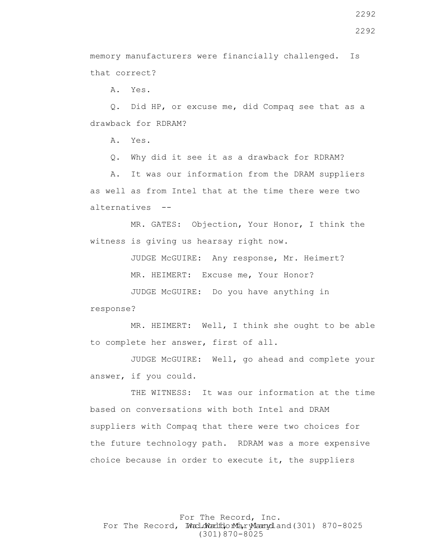memory manufacturers were financially challenged. Is that correct?

A. Yes.

 Q. Did HP, or excuse me, did Compaq see that as a drawback for RDRAM?

A. Yes.

Q. Why did it see it as a drawback for RDRAM?

 A. It was our information from the DRAM suppliers as well as from Intel that at the time there were two alternatives --

 MR. GATES: Objection, Your Honor, I think the witness is giving us hearsay right now.

JUDGE McGUIRE: Any response, Mr. Heimert?

MR. HEIMERT: Excuse me, Your Honor?

 JUDGE McGUIRE: Do you have anything in response?

 MR. HEIMERT: Well, I think she ought to be able to complete her answer, first of all.

 JUDGE McGUIRE: Well, go ahead and complete your answer, if you could.

 THE WITNESS: It was our information at the time based on conversations with both Intel and DRAM suppliers with Compaq that there were two choices for the future technology path. RDRAM was a more expensive choice because in order to execute it, the suppliers

For The Record, Inc. For The Record, Ward.dWardfdorMa, ryMannydland(301) 870-8025 (301)870-8025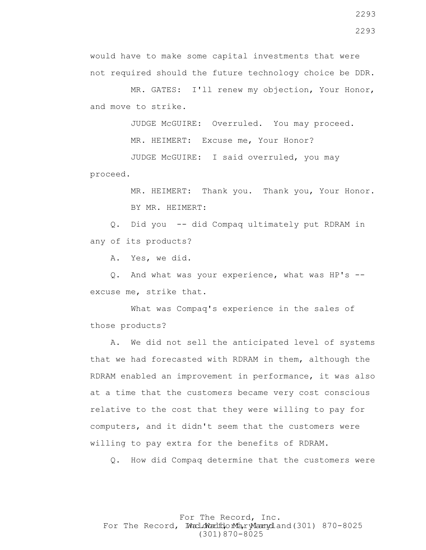MR. HEIMERT: Thank you. Thank you, Your Honor. BY MR. HEIMERT:

JUDGE McGUIRE: I said overruled, you may

 Q. Did you -- did Compaq ultimately put RDRAM in any of its products?

would have to make some capital investments that were

MR. HEIMERT: Excuse me, Your Honor?

not required should the future technology choice be DDR.

MR. GATES: I'll renew my objection, Your Honor,

JUDGE McGUIRE: Overruled. You may proceed.

A. Yes, we did.

and move to strike.

proceed.

 Q. And what was your experience, what was HP's - excuse me, strike that.

 What was Compaq's experience in the sales of those products?

 A. We did not sell the anticipated level of systems that we had forecasted with RDRAM in them, although the RDRAM enabled an improvement in performance, it was also at a time that the customers became very cost conscious relative to the cost that they were willing to pay for computers, and it didn't seem that the customers were willing to pay extra for the benefits of RDRAM.

Q. How did Compaq determine that the customers were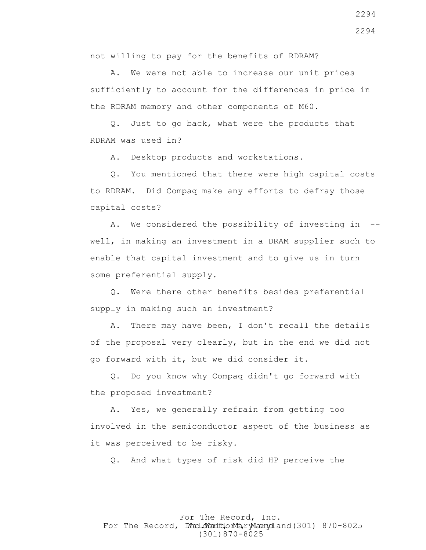not willing to pay for the benefits of RDRAM?

 A. We were not able to increase our unit prices sufficiently to account for the differences in price in the RDRAM memory and other components of M60.

 Q. Just to go back, what were the products that RDRAM was used in?

A. Desktop products and workstations.

 Q. You mentioned that there were high capital costs to RDRAM. Did Compaq make any efforts to defray those capital costs?

 A. We considered the possibility of investing in - well, in making an investment in a DRAM supplier such to enable that capital investment and to give us in turn some preferential supply.

 Q. Were there other benefits besides preferential supply in making such an investment?

 A. There may have been, I don't recall the details of the proposal very clearly, but in the end we did not go forward with it, but we did consider it.

 Q. Do you know why Compaq didn't go forward with the proposed investment?

 A. Yes, we generally refrain from getting too involved in the semiconductor aspect of the business as it was perceived to be risky.

Q. And what types of risk did HP perceive the

For The Record, Inc. For The Record, Ward.dWardfdorMa, ryMannydland(301) 870-8025 (301)870-8025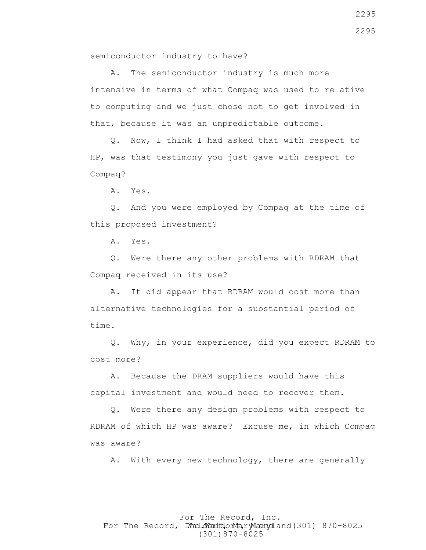semiconductor industry to have?

 A. The semiconductor industry is much more intensive in terms of what Compaq was used to relative to computing and we just chose not to get involved in that, because it was an unpredictable outcome.

 Q. Now, I think I had asked that with respect to HP, was that testimony you just gave with respect to Compaq?

A. Yes.

 Q. And you were employed by Compaq at the time of this proposed investment?

A. Yes.

 Q. Were there any other problems with RDRAM that Compaq received in its use?

 A. It did appear that RDRAM would cost more than alternative technologies for a substantial period of time.

 Q. Why, in your experience, did you expect RDRAM to cost more?

 A. Because the DRAM suppliers would have this capital investment and would need to recover them.

 Q. Were there any design problems with respect to RDRAM of which HP was aware? Excuse me, in which Compaq was aware?

A. With every new technology, there are generally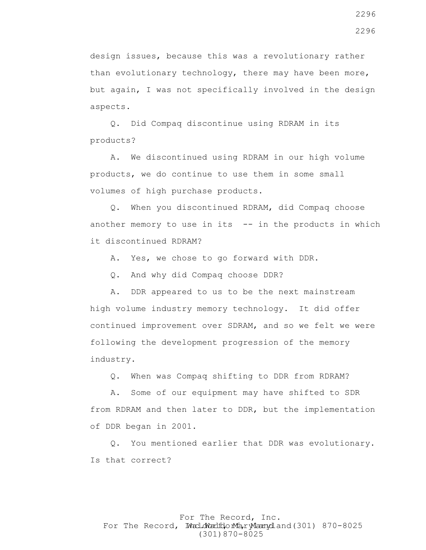design issues, because this was a revolutionary rather than evolutionary technology, there may have been more, but again, I was not specifically involved in the design aspects.

 Q. Did Compaq discontinue using RDRAM in its products?

 A. We discontinued using RDRAM in our high volume products, we do continue to use them in some small volumes of high purchase products.

 Q. When you discontinued RDRAM, did Compaq choose another memory to use in its  $-$  in the products in which it discontinued RDRAM?

A. Yes, we chose to go forward with DDR.

Q. And why did Compaq choose DDR?

A. DDR appeared to us to be the next mainstream

high volume industry memory technology. It did offer continued improvement over SDRAM, and so we felt we were following the development progression of the memory industry.

Q. When was Compaq shifting to DDR from RDRAM?

 A. Some of our equipment may have shifted to SDR from RDRAM and then later to DDR, but the implementation of DDR began in 2001.

 Q. You mentioned earlier that DDR was evolutionary. Is that correct?

# For The Record, Inc. For The Record, Ward.dWardfdorMa, ryMannydland(301) 870-8025 (301)870-8025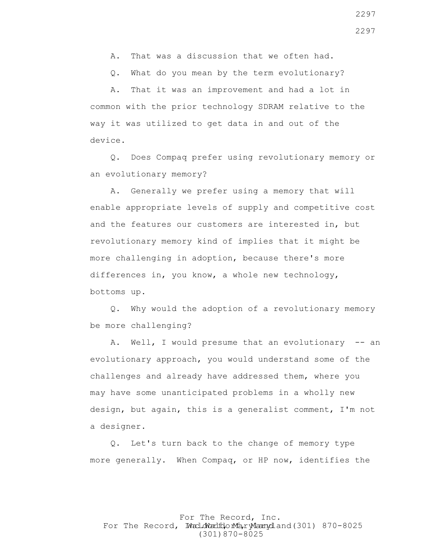A. That was a discussion that we often had.

Q. What do you mean by the term evolutionary?

 A. That it was an improvement and had a lot in common with the prior technology SDRAM relative to the way it was utilized to get data in and out of the device.

 Q. Does Compaq prefer using revolutionary memory or an evolutionary memory?

 A. Generally we prefer using a memory that will enable appropriate levels of supply and competitive cost and the features our customers are interested in, but revolutionary memory kind of implies that it might be more challenging in adoption, because there's more differences in, you know, a whole new technology, bottoms up.

 Q. Why would the adoption of a revolutionary memory be more challenging?

 A. Well, I would presume that an evolutionary -- an evolutionary approach, you would understand some of the challenges and already have addressed them, where you may have some unanticipated problems in a wholly new design, but again, this is a generalist comment, I'm not a designer.

 Q. Let's turn back to the change of memory type more generally. When Compaq, or HP now, identifies the

For The Record, Inc. For The Record, Ward.dWardfdorMa, ryMannydland(301) 870-8025 (301)870-8025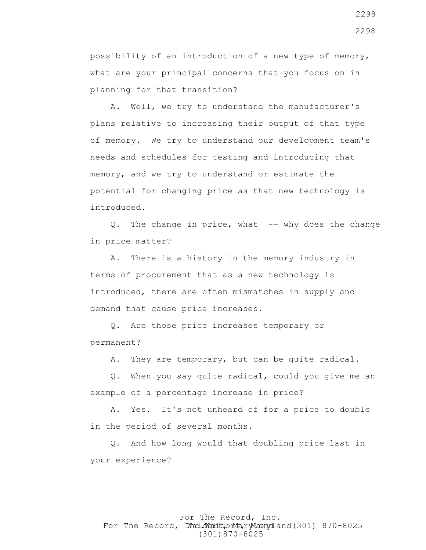possibility of an introduction of a new type of memory, what are your principal concerns that you focus on in planning for that transition?

 A. Well, we try to understand the manufacturer's plans relative to increasing their output of that type of memory. We try to understand our development team's needs and schedules for testing and introducing that memory, and we try to understand or estimate the potential for changing price as that new technology is introduced.

Q. The change in price, what -- why does the change in price matter?

 A. There is a history in the memory industry in terms of procurement that as a new technology is introduced, there are often mismatches in supply and demand that cause price increases.

 Q. Are those price increases temporary or permanent?

A. They are temporary, but can be quite radical.

 Q. When you say quite radical, could you give me an example of a percentage increase in price?

 A. Yes. It's not unheard of for a price to double in the period of several months.

 Q. And how long would that doubling price last in your experience?

# For The Record, Inc. For The Record, Ward.dWardfdorMa, ryMannydland(301) 870-8025 (301)870-8025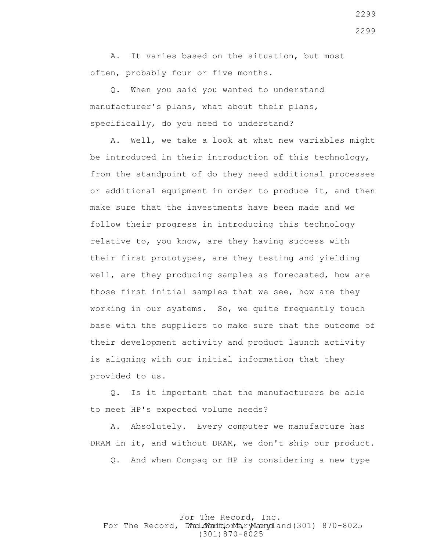A. It varies based on the situation, but most often, probably four or five months.

 Q. When you said you wanted to understand manufacturer's plans, what about their plans, specifically, do you need to understand?

 A. Well, we take a look at what new variables might be introduced in their introduction of this technology, from the standpoint of do they need additional processes or additional equipment in order to produce it, and then make sure that the investments have been made and we follow their progress in introducing this technology relative to, you know, are they having success with their first prototypes, are they testing and yielding well, are they producing samples as forecasted, how are those first initial samples that we see, how are they working in our systems. So, we quite frequently touch base with the suppliers to make sure that the outcome of their development activity and product launch activity is aligning with our initial information that they provided to us.

 Q. Is it important that the manufacturers be able to meet HP's expected volume needs?

 A. Absolutely. Every computer we manufacture has DRAM in it, and without DRAM, we don't ship our product.

Q. And when Compaq or HP is considering a new type

For The Record, Inc. For The Record, Ward.dWardfdorMa, ryMannydland(301) 870-8025 (301)870-8025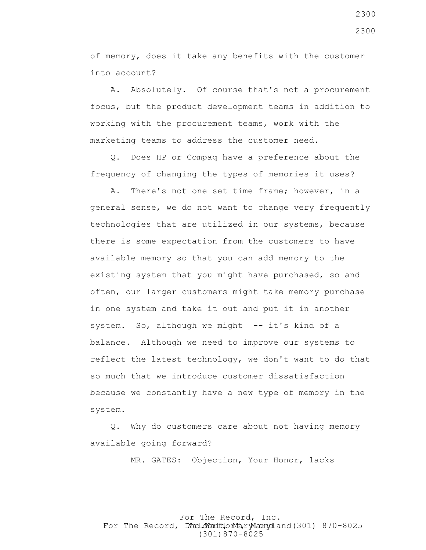of memory, does it take any benefits with the customer into account?

 A. Absolutely. Of course that's not a procurement focus, but the product development teams in addition to working with the procurement teams, work with the marketing teams to address the customer need.

 Q. Does HP or Compaq have a preference about the frequency of changing the types of memories it uses?

 A. There's not one set time frame; however, in a general sense, we do not want to change very frequently technologies that are utilized in our systems, because there is some expectation from the customers to have available memory so that you can add memory to the existing system that you might have purchased, so and often, our larger customers might take memory purchase in one system and take it out and put it in another system. So, although we might  $-$  it's kind of a balance. Although we need to improve our systems to reflect the latest technology, we don't want to do that so much that we introduce customer dissatisfaction because we constantly have a new type of memory in the system.

 Q. Why do customers care about not having memory available going forward?

MR. GATES: Objection, Your Honor, lacks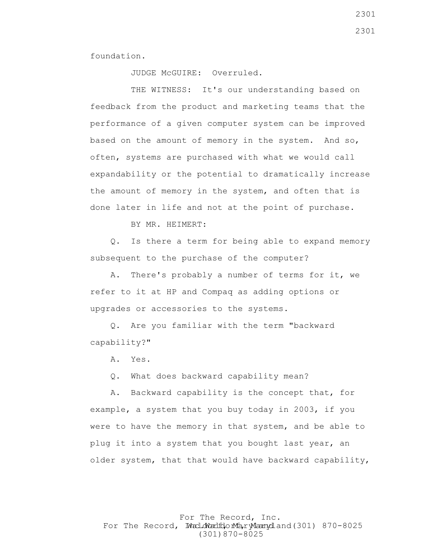foundation.

JUDGE McGUIRE: Overruled.

THE WITNESS: It's our understanding based on feedback from the product and marketing teams that the performance of a given computer system can be improved based on the amount of memory in the system. And so, often, systems are purchased with what we would call expandability or the potential to dramatically increase the amount of memory in the system, and often that is done later in life and not at the point of purchase.

BY MR. HEIMERT:

 Q. Is there a term for being able to expand memory subsequent to the purchase of the computer?

 A. There's probably a number of terms for it, we refer to it at HP and Compaq as adding options or upgrades or accessories to the systems.

 Q. Are you familiar with the term "backward capability?"

A. Yes.

Q. What does backward capability mean?

 A. Backward capability is the concept that, for example, a system that you buy today in 2003, if you were to have the memory in that system, and be able to plug it into a system that you bought last year, an older system, that that would have backward capability,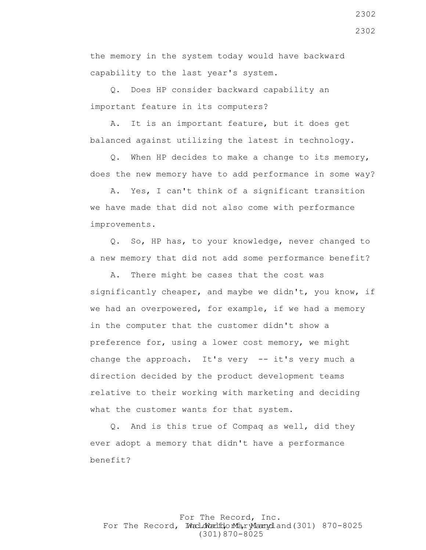the memory in the system today would have backward capability to the last year's system.

 Q. Does HP consider backward capability an important feature in its computers?

 A. It is an important feature, but it does get balanced against utilizing the latest in technology.

 Q. When HP decides to make a change to its memory, does the new memory have to add performance in some way?

 A. Yes, I can't think of a significant transition we have made that did not also come with performance improvements.

 Q. So, HP has, to your knowledge, never changed to a new memory that did not add some performance benefit?

 A. There might be cases that the cost was significantly cheaper, and maybe we didn't, you know, if we had an overpowered, for example, if we had a memory in the computer that the customer didn't show a preference for, using a lower cost memory, we might change the approach. It's very -- it's very much a direction decided by the product development teams relative to their working with marketing and deciding what the customer wants for that system.

 Q. And is this true of Compaq as well, did they ever adopt a memory that didn't have a performance benefit?

### For The Record, Inc. For The Record, Ward.dWardfdorMa, ryMannydland(301) 870-8025 (301)870-8025

2302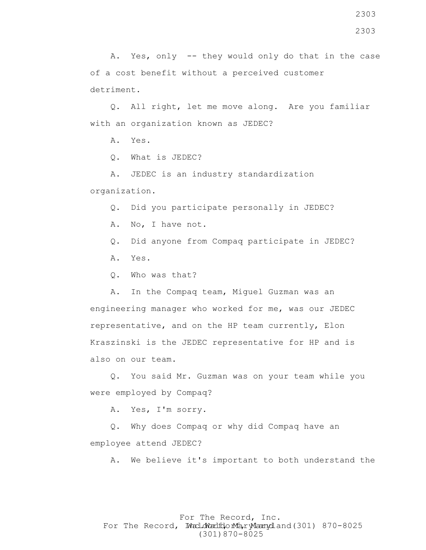A. Yes, only -- they would only do that in the case of a cost benefit without a perceived customer detriment.

 Q. All right, let me move along. Are you familiar with an organization known as JEDEC?

A. Yes.

Q. What is JEDEC?

 A. JEDEC is an industry standardization organization.

Q. Did you participate personally in JEDEC?

A. No, I have not.

Q. Did anyone from Compaq participate in JEDEC?

A. Yes.

Q. Who was that?

 A. In the Compaq team, Miguel Guzman was an engineering manager who worked for me, was our JEDEC representative, and on the HP team currently, Elon Kraszinski is the JEDEC representative for HP and is also on our team.

 Q. You said Mr. Guzman was on your team while you were employed by Compaq?

A. Yes, I'm sorry.

 Q. Why does Compaq or why did Compaq have an employee attend JEDEC?

A. We believe it's important to both understand the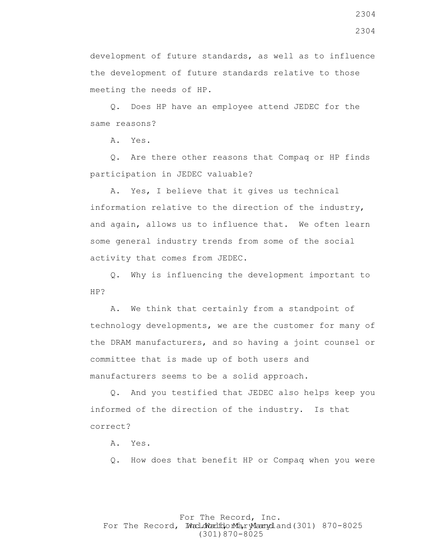development of future standards, as well as to influence the development of future standards relative to those meeting the needs of HP.

 Q. Does HP have an employee attend JEDEC for the same reasons?

A. Yes.

 Q. Are there other reasons that Compaq or HP finds participation in JEDEC valuable?

 A. Yes, I believe that it gives us technical information relative to the direction of the industry, and again, allows us to influence that. We often learn some general industry trends from some of the social activity that comes from JEDEC.

 Q. Why is influencing the development important to HP?

 A. We think that certainly from a standpoint of technology developments, we are the customer for many of the DRAM manufacturers, and so having a joint counsel or committee that is made up of both users and manufacturers seems to be a solid approach.

 Q. And you testified that JEDEC also helps keep you informed of the direction of the industry. Is that correct?

A. Yes.

Q. How does that benefit HP or Compaq when you were

### For The Record, Inc. For The Record, Ward.dWardfdorMa, ryMannydland(301) 870-8025 (301)870-8025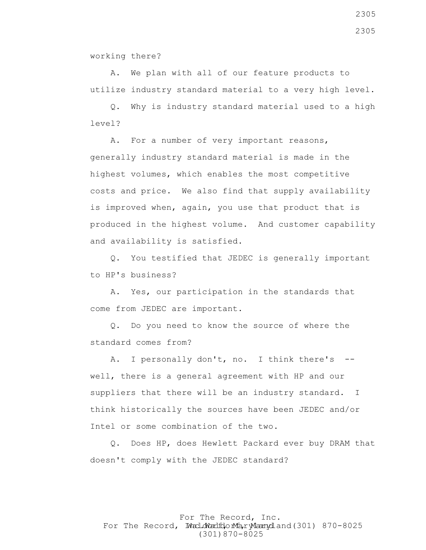working there?

 A. We plan with all of our feature products to utilize industry standard material to a very high level.

 Q. Why is industry standard material used to a high level?

 A. For a number of very important reasons, generally industry standard material is made in the highest volumes, which enables the most competitive costs and price. We also find that supply availability is improved when, again, you use that product that is produced in the highest volume. And customer capability and availability is satisfied.

 Q. You testified that JEDEC is generally important to HP's business?

 A. Yes, our participation in the standards that come from JEDEC are important.

 Q. Do you need to know the source of where the standard comes from?

A. I personally don't, no. I think there's -well, there is a general agreement with HP and our suppliers that there will be an industry standard. I think historically the sources have been JEDEC and/or Intel or some combination of the two.

 Q. Does HP, does Hewlett Packard ever buy DRAM that doesn't comply with the JEDEC standard?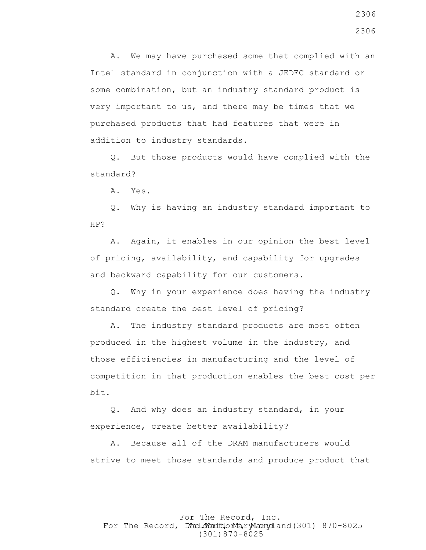A. We may have purchased some that complied with an Intel standard in conjunction with a JEDEC standard or some combination, but an industry standard product is very important to us, and there may be times that we purchased products that had features that were in addition to industry standards.

 Q. But those products would have complied with the standard?

A. Yes.

 Q. Why is having an industry standard important to HP?

 A. Again, it enables in our opinion the best level of pricing, availability, and capability for upgrades and backward capability for our customers.

 Q. Why in your experience does having the industry standard create the best level of pricing?

 A. The industry standard products are most often produced in the highest volume in the industry, and those efficiencies in manufacturing and the level of competition in that production enables the best cost per bit.

 Q. And why does an industry standard, in your experience, create better availability?

 A. Because all of the DRAM manufacturers would strive to meet those standards and produce product that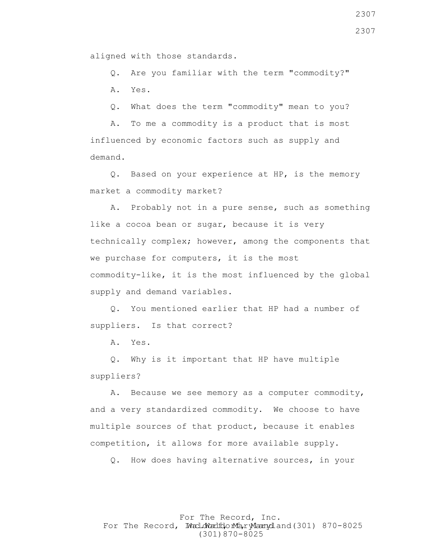aligned with those standards.

 Q. Are you familiar with the term "commodity?" A. Yes.

Q. What does the term "commodity" mean to you?

 A. To me a commodity is a product that is most influenced by economic factors such as supply and demand.

 Q. Based on your experience at HP, is the memory market a commodity market?

 A. Probably not in a pure sense, such as something like a cocoa bean or sugar, because it is very technically complex; however, among the components that we purchase for computers, it is the most commodity-like, it is the most influenced by the global supply and demand variables.

 Q. You mentioned earlier that HP had a number of suppliers. Is that correct?

A. Yes.

 Q. Why is it important that HP have multiple suppliers?

 A. Because we see memory as a computer commodity, and a very standardized commodity. We choose to have multiple sources of that product, because it enables competition, it allows for more available supply.

Q. How does having alternative sources, in your

For The Record, Inc. For The Record, Ward.dWardfdorMa, ryMannydland(301) 870-8025 (301)870-8025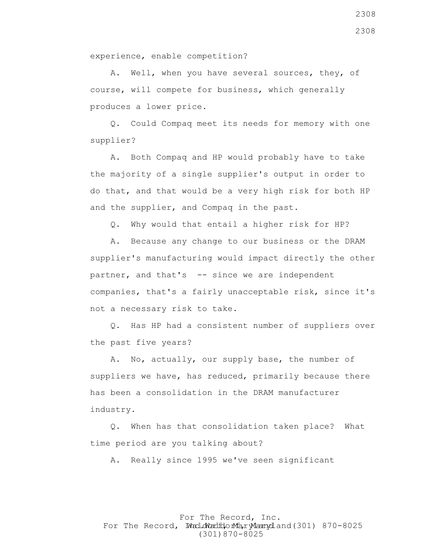experience, enable competition?

 A. Well, when you have several sources, they, of course, will compete for business, which generally produces a lower price.

 Q. Could Compaq meet its needs for memory with one supplier?

 A. Both Compaq and HP would probably have to take the majority of a single supplier's output in order to do that, and that would be a very high risk for both HP and the supplier, and Compaq in the past.

Q. Why would that entail a higher risk for HP?

 A. Because any change to our business or the DRAM supplier's manufacturing would impact directly the other partner, and that's -- since we are independent companies, that's a fairly unacceptable risk, since it's not a necessary risk to take.

 Q. Has HP had a consistent number of suppliers over the past five years?

 A. No, actually, our supply base, the number of suppliers we have, has reduced, primarily because there has been a consolidation in the DRAM manufacturer industry.

 Q. When has that consolidation taken place? What time period are you talking about?

A. Really since 1995 we've seen significant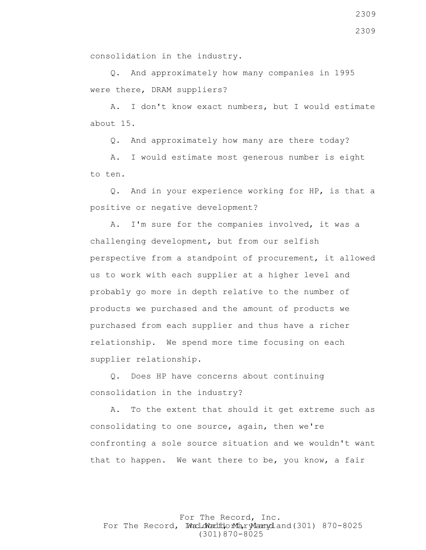consolidation in the industry.

 Q. And approximately how many companies in 1995 were there, DRAM suppliers?

 A. I don't know exact numbers, but I would estimate about 15.

Q. And approximately how many are there today?

 A. I would estimate most generous number is eight to ten.

 Q. And in your experience working for HP, is that a positive or negative development?

 A. I'm sure for the companies involved, it was a challenging development, but from our selfish perspective from a standpoint of procurement, it allowed us to work with each supplier at a higher level and probably go more in depth relative to the number of products we purchased and the amount of products we purchased from each supplier and thus have a richer relationship. We spend more time focusing on each supplier relationship.

 Q. Does HP have concerns about continuing consolidation in the industry?

 A. To the extent that should it get extreme such as consolidating to one source, again, then we're confronting a sole source situation and we wouldn't want that to happen. We want there to be, you know, a fair

For The Record, Inc. For The Record, Ward.dWardfdorMa, ryMannydland(301) 870-8025 (301)870-8025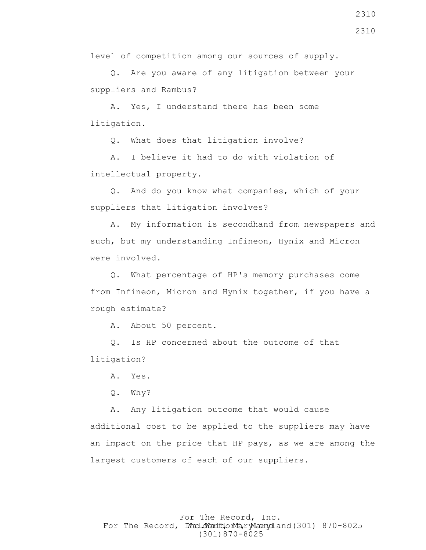level of competition among our sources of supply.

 Q. Are you aware of any litigation between your suppliers and Rambus?

 A. Yes, I understand there has been some litigation.

Q. What does that litigation involve?

 A. I believe it had to do with violation of intellectual property.

 Q. And do you know what companies, which of your suppliers that litigation involves?

 A. My information is secondhand from newspapers and such, but my understanding Infineon, Hynix and Micron were involved.

 Q. What percentage of HP's memory purchases come from Infineon, Micron and Hynix together, if you have a rough estimate?

A. About 50 percent.

 Q. Is HP concerned about the outcome of that litigation?

A. Yes.

Q. Why?

 A. Any litigation outcome that would cause additional cost to be applied to the suppliers may have an impact on the price that HP pays, as we are among the largest customers of each of our suppliers.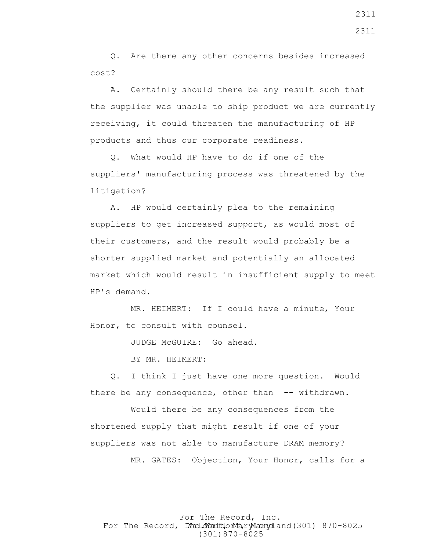Q. Are there any other concerns besides increased cost?

 A. Certainly should there be any result such that the supplier was unable to ship product we are currently receiving, it could threaten the manufacturing of HP products and thus our corporate readiness.

 Q. What would HP have to do if one of the suppliers' manufacturing process was threatened by the litigation?

 A. HP would certainly plea to the remaining suppliers to get increased support, as would most of their customers, and the result would probably be a shorter supplied market and potentially an allocated market which would result in insufficient supply to meet HP's demand.

 MR. HEIMERT: If I could have a minute, Your Honor, to consult with counsel.

JUDGE McGUIRE: Go ahead.

BY MR. HEIMERT:

 Q. I think I just have one more question. Would there be any consequence, other than -- withdrawn.

 Would there be any consequences from the shortened supply that might result if one of your suppliers was not able to manufacture DRAM memory? MR. GATES: Objection, Your Honor, calls for a

For The Record, Inc. For The Record, Ward.dWardfdorMa, ryMannydland(301) 870-8025 (301)870-8025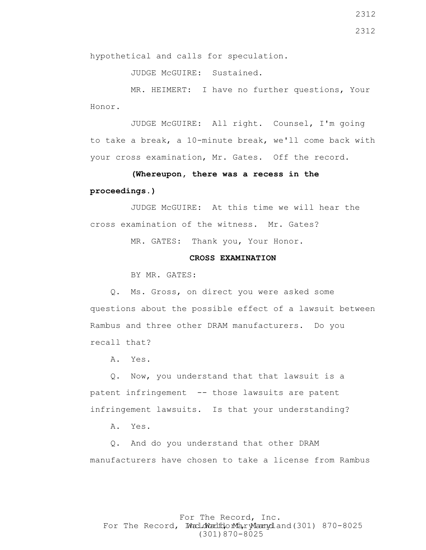JUDGE McGUIRE: Sustained.

 MR. HEIMERT: I have no further questions, Your Honor.

 JUDGE McGUIRE: All right. Counsel, I'm going to take a break, a 10-minute break, we'll come back with your cross examination, Mr. Gates. Off the record.

# **(Whereupon, there was a recess in the proceedings.)**

 JUDGE McGUIRE: At this time we will hear the cross examination of the witness. Mr. Gates?

MR. GATES: Thank you, Your Honor.

# **CROSS EXAMINATION**

BY MR. GATES:

 Q. Ms. Gross, on direct you were asked some questions about the possible effect of a lawsuit between Rambus and three other DRAM manufacturers. Do you recall that?

A. Yes.

 Q. Now, you understand that that lawsuit is a patent infringement -- those lawsuits are patent infringement lawsuits. Is that your understanding?

A. Yes.

 Q. And do you understand that other DRAM manufacturers have chosen to take a license from Rambus

# For The Record, Inc. For The Record, Ward.dWardfdorMa, ryMannydland(301) 870-8025 (301)870-8025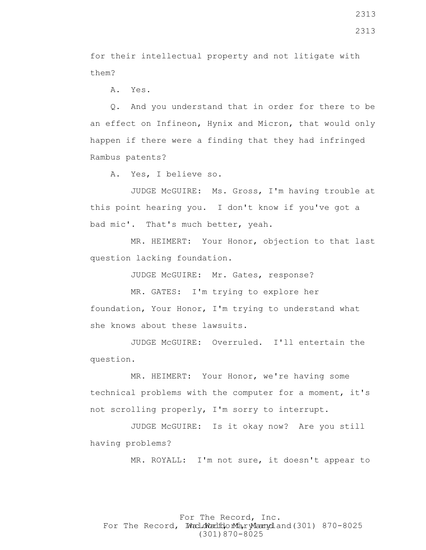for their intellectual property and not litigate with them?

A. Yes.

 Q. And you understand that in order for there to be an effect on Infineon, Hynix and Micron, that would only happen if there were a finding that they had infringed Rambus patents?

A. Yes, I believe so.

 JUDGE McGUIRE: Ms. Gross, I'm having trouble at this point hearing you. I don't know if you've got a bad mic'. That's much better, yeah.

 MR. HEIMERT: Your Honor, objection to that last question lacking foundation.

JUDGE McGUIRE: Mr. Gates, response?

 MR. GATES: I'm trying to explore her foundation, Your Honor, I'm trying to understand what she knows about these lawsuits.

 JUDGE McGUIRE: Overruled. I'll entertain the question.

 MR. HEIMERT: Your Honor, we're having some technical problems with the computer for a moment, it's not scrolling properly, I'm sorry to interrupt.

 JUDGE McGUIRE: Is it okay now? Are you still having problems?

MR. ROYALL: I'm not sure, it doesn't appear to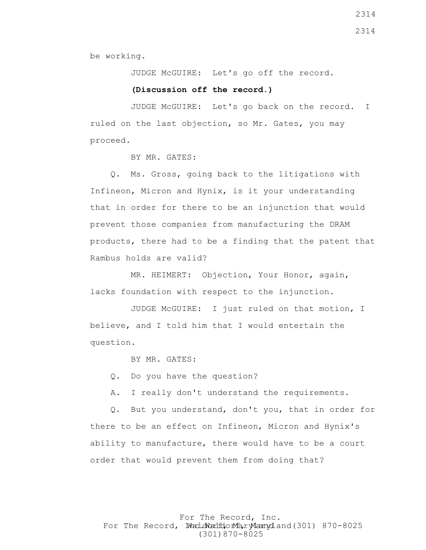be working.

JUDGE McGUIRE: Let's go off the record.

#### **(Discussion off the record.)**

 JUDGE McGUIRE: Let's go back on the record. I ruled on the last objection, so Mr. Gates, you may proceed.

BY MR. GATES:

 Q. Ms. Gross, going back to the litigations with Infineon, Micron and Hynix, is it your understanding that in order for there to be an injunction that would prevent those companies from manufacturing the DRAM products, there had to be a finding that the patent that Rambus holds are valid?

 MR. HEIMERT: Objection, Your Honor, again, lacks foundation with respect to the injunction.

 JUDGE McGUIRE: I just ruled on that motion, I believe, and I told him that I would entertain the question.

BY MR. GATES:

Q. Do you have the question?

A. I really don't understand the requirements.

 Q. But you understand, don't you, that in order for there to be an effect on Infineon, Micron and Hynix's ability to manufacture, there would have to be a court order that would prevent them from doing that?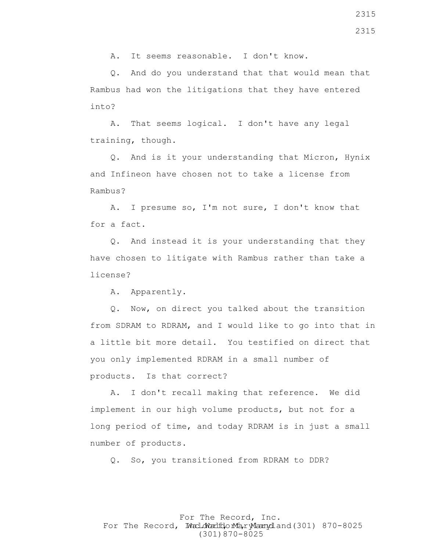A. It seems reasonable. I don't know.

 Q. And do you understand that that would mean that Rambus had won the litigations that they have entered into?

 A. That seems logical. I don't have any legal training, though.

 Q. And is it your understanding that Micron, Hynix and Infineon have chosen not to take a license from Rambus?

 A. I presume so, I'm not sure, I don't know that for a fact.

 Q. And instead it is your understanding that they have chosen to litigate with Rambus rather than take a license?

A. Apparently.

 Q. Now, on direct you talked about the transition from SDRAM to RDRAM, and I would like to go into that in a little bit more detail. You testified on direct that you only implemented RDRAM in a small number of products. Is that correct?

 A. I don't recall making that reference. We did implement in our high volume products, but not for a long period of time, and today RDRAM is in just a small number of products.

Q. So, you transitioned from RDRAM to DDR?

For The Record, Inc. For The Record, Ward.dWardfdorMa, ryMannydland(301) 870-8025 (301)870-8025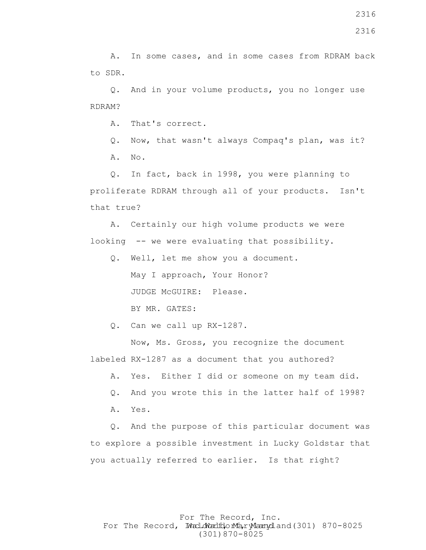Q. And in your volume products, you no longer use RDRAM?

A. That's correct.

 Q. Now, that wasn't always Compaq's plan, was it? A. No.

 Q. In fact, back in 1998, you were planning to proliferate RDRAM through all of your products. Isn't that true?

 A. Certainly our high volume products we were looking -- we were evaluating that possibility.

 Q. Well, let me show you a document. May I approach, Your Honor? JUDGE McGUIRE: Please. BY MR. GATES:

Q. Can we call up RX-1287.

 Now, Ms. Gross, you recognize the document labeled RX-1287 as a document that you authored?

A. Yes. Either I did or someone on my team did.

Q. And you wrote this in the latter half of 1998?

A. Yes.

 Q. And the purpose of this particular document was to explore a possible investment in Lucky Goldstar that you actually referred to earlier. Is that right?

### For The Record, Inc. For The Record, Ward.dWardfdorMa, ryMannydland(301) 870-8025 (301)870-8025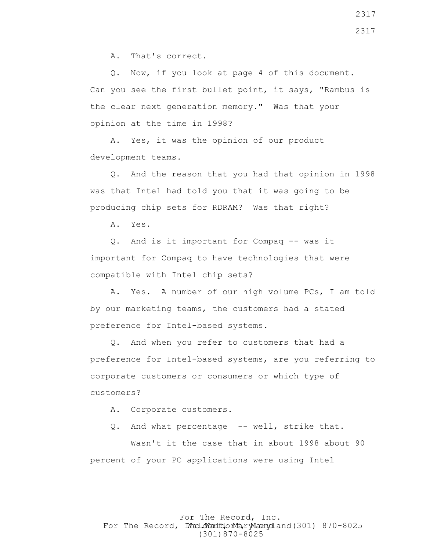A. That's correct.

 Q. Now, if you look at page 4 of this document. Can you see the first bullet point, it says, "Rambus is the clear next generation memory." Was that your opinion at the time in 1998?

 A. Yes, it was the opinion of our product development teams.

 Q. And the reason that you had that opinion in 1998 was that Intel had told you that it was going to be producing chip sets for RDRAM? Was that right?

A. Yes.

 Q. And is it important for Compaq -- was it important for Compaq to have technologies that were compatible with Intel chip sets?

 A. Yes. A number of our high volume PCs, I am told by our marketing teams, the customers had a stated preference for Intel-based systems.

 Q. And when you refer to customers that had a preference for Intel-based systems, are you referring to corporate customers or consumers or which type of customers?

A. Corporate customers.

Q. And what percentage -- well, strike that.

 Wasn't it the case that in about 1998 about 90 percent of your PC applications were using Intel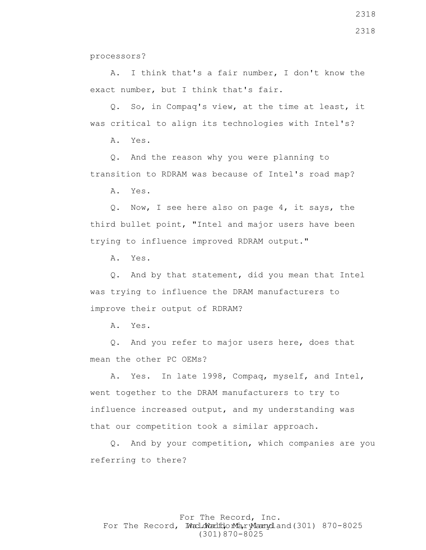processors?

 A. I think that's a fair number, I don't know the exact number, but I think that's fair.

 Q. So, in Compaq's view, at the time at least, it was critical to align its technologies with Intel's?

A. Yes.

 Q. And the reason why you were planning to transition to RDRAM was because of Intel's road map?

A. Yes.

 Q. Now, I see here also on page 4, it says, the third bullet point, "Intel and major users have been trying to influence improved RDRAM output."

A. Yes.

 Q. And by that statement, did you mean that Intel was trying to influence the DRAM manufacturers to improve their output of RDRAM?

A. Yes.

 Q. And you refer to major users here, does that mean the other PC OEMs?

 A. Yes. In late 1998, Compaq, myself, and Intel, went together to the DRAM manufacturers to try to influence increased output, and my understanding was that our competition took a similar approach.

 Q. And by your competition, which companies are you referring to there?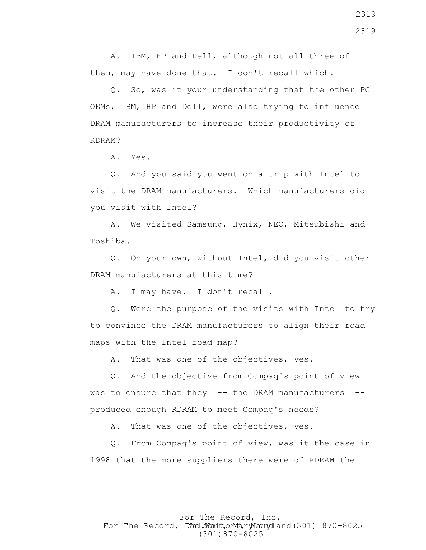A. IBM, HP and Dell, although not all three of them, may have done that. I don't recall which.

 Q. So, was it your understanding that the other PC OEMs, IBM, HP and Dell, were also trying to influence DRAM manufacturers to increase their productivity of RDRAM?

A. Yes.

 Q. And you said you went on a trip with Intel to visit the DRAM manufacturers. Which manufacturers did you visit with Intel?

 A. We visited Samsung, Hynix, NEC, Mitsubishi and Toshiba.

 Q. On your own, without Intel, did you visit other DRAM manufacturers at this time?

A. I may have. I don't recall.

 Q. Were the purpose of the visits with Intel to try to convince the DRAM manufacturers to align their road maps with the Intel road map?

A. That was one of the objectives, yes.

 Q. And the objective from Compaq's point of view was to ensure that they -- the DRAM manufacturers -produced enough RDRAM to meet Compaq's needs?

A. That was one of the objectives, yes.

 Q. From Compaq's point of view, was it the case in 1998 that the more suppliers there were of RDRAM the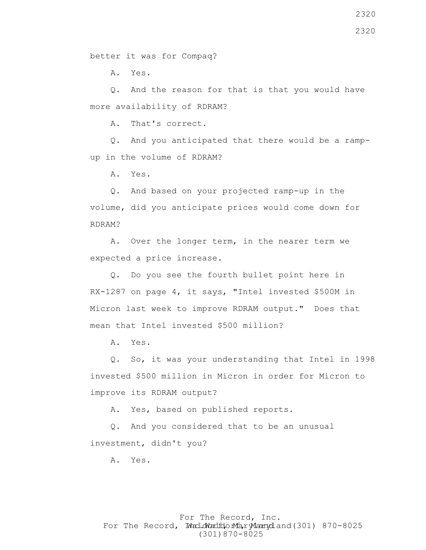better it was for Compaq?

A. Yes.

 Q. And the reason for that is that you would have more availability of RDRAM?

A. That's correct.

 Q. And you anticipated that there would be a rampup in the volume of RDRAM?

A. Yes.

 Q. And based on your projected ramp-up in the volume, did you anticipate prices would come down for RDRAM?

 A. Over the longer term, in the nearer term we expected a price increase.

 Q. Do you see the fourth bullet point here in RX-1287 on page 4, it says, "Intel invested \$500M in Micron last week to improve RDRAM output." Does that mean that Intel invested \$500 million?

A. Yes.

 Q. So, it was your understanding that Intel in 1998 invested \$500 million in Micron in order for Micron to improve its RDRAM output?

A. Yes, based on published reports.

 Q. And you considered that to be an unusual investment, didn't you?

A. Yes.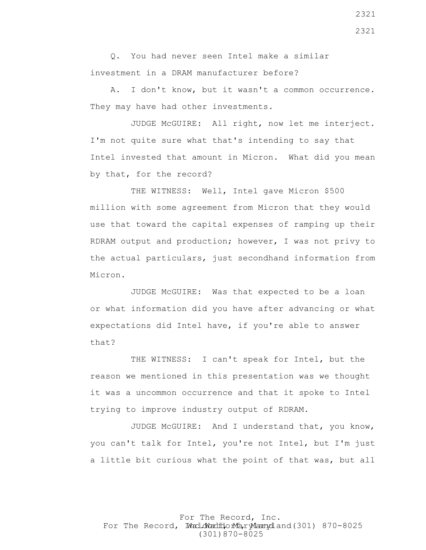Q. You had never seen Intel make a similar investment in a DRAM manufacturer before?

 A. I don't know, but it wasn't a common occurrence. They may have had other investments.

 JUDGE McGUIRE: All right, now let me interject. I'm not quite sure what that's intending to say that Intel invested that amount in Micron. What did you mean by that, for the record?

THE WITNESS: Well, Intel gave Micron \$500 million with some agreement from Micron that they would use that toward the capital expenses of ramping up their RDRAM output and production; however, I was not privy to the actual particulars, just secondhand information from Micron.

 JUDGE McGUIRE: Was that expected to be a loan or what information did you have after advancing or what expectations did Intel have, if you're able to answer that?

 THE WITNESS: I can't speak for Intel, but the reason we mentioned in this presentation was we thought it was a uncommon occurrence and that it spoke to Intel trying to improve industry output of RDRAM.

 JUDGE McGUIRE: And I understand that, you know, you can't talk for Intel, you're not Intel, but I'm just a little bit curious what the point of that was, but all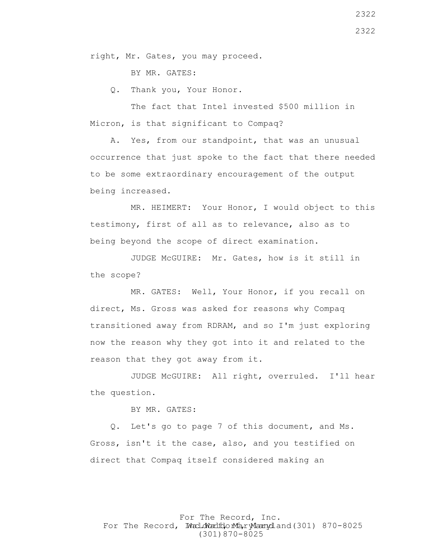right, Mr. Gates, you may proceed.

BY MR. GATES:

Q. Thank you, Your Honor.

 The fact that Intel invested \$500 million in Micron, is that significant to Compaq?

 A. Yes, from our standpoint, that was an unusual occurrence that just spoke to the fact that there needed to be some extraordinary encouragement of the output being increased.

 MR. HEIMERT: Your Honor, I would object to this testimony, first of all as to relevance, also as to being beyond the scope of direct examination.

 JUDGE McGUIRE: Mr. Gates, how is it still in the scope?

 MR. GATES: Well, Your Honor, if you recall on direct, Ms. Gross was asked for reasons why Compaq transitioned away from RDRAM, and so I'm just exploring now the reason why they got into it and related to the reason that they got away from it.

 JUDGE McGUIRE: All right, overruled. I'll hear the question.

BY MR. GATES:

 Q. Let's go to page 7 of this document, and Ms. Gross, isn't it the case, also, and you testified on direct that Compaq itself considered making an

For The Record, Inc. For The Record, Ward.dWardfdorMa, ryMannydland(301) 870-8025 (301)870-8025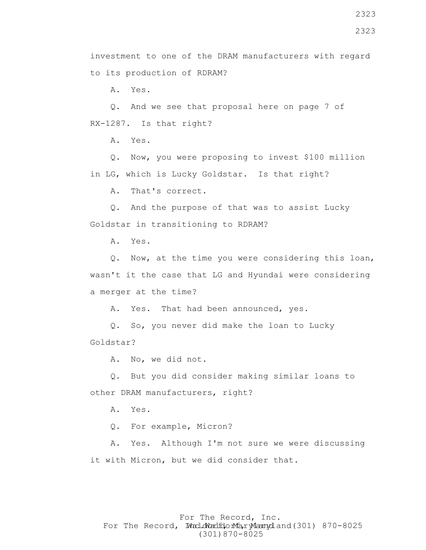investment to one of the DRAM manufacturers with regard to its production of RDRAM?

A. Yes.

 Q. And we see that proposal here on page 7 of RX-1287. Is that right?

A. Yes.

 Q. Now, you were proposing to invest \$100 million in LG, which is Lucky Goldstar. Is that right?

A. That's correct.

 Q. And the purpose of that was to assist Lucky Goldstar in transitioning to RDRAM?

A. Yes.

 Q. Now, at the time you were considering this loan, wasn't it the case that LG and Hyundai were considering a merger at the time?

A. Yes. That had been announced, yes.

 Q. So, you never did make the loan to Lucky Goldstar?

A. No, we did not.

 Q. But you did consider making similar loans to other DRAM manufacturers, right?

A. Yes.

Q. For example, Micron?

 A. Yes. Although I'm not sure we were discussing it with Micron, but we did consider that.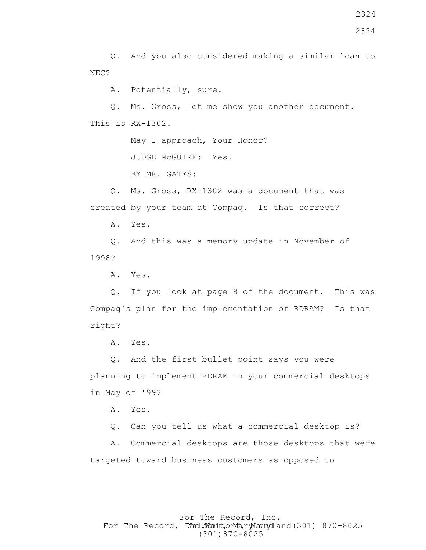Q. And you also considered making a similar loan to NEC?

A. Potentially, sure.

 Q. Ms. Gross, let me show you another document. This is RX-1302.

May I approach, Your Honor?

JUDGE McGUIRE: Yes.

BY MR. GATES:

 Q. Ms. Gross, RX-1302 was a document that was created by your team at Compaq. Is that correct?

A. Yes.

 Q. And this was a memory update in November of 1998?

A. Yes.

 Q. If you look at page 8 of the document. This was Compaq's plan for the implementation of RDRAM? Is that right?

A. Yes.

 Q. And the first bullet point says you were planning to implement RDRAM in your commercial desktops in May of '99?

A. Yes.

Q. Can you tell us what a commercial desktop is?

 A. Commercial desktops are those desktops that were targeted toward business customers as opposed to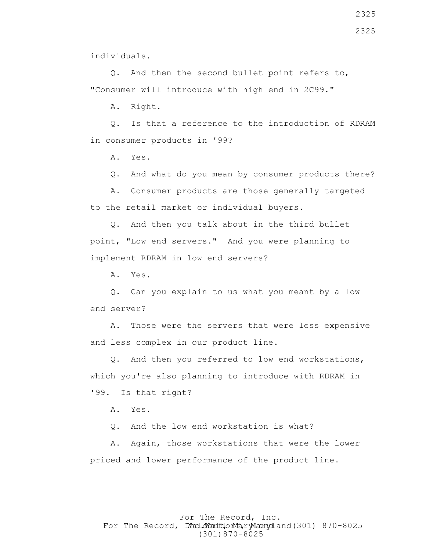individuals.

 Q. And then the second bullet point refers to, "Consumer will introduce with high end in 2C99."

A. Right.

 Q. Is that a reference to the introduction of RDRAM in consumer products in '99?

A. Yes.

Q. And what do you mean by consumer products there?

 A. Consumer products are those generally targeted to the retail market or individual buyers.

 Q. And then you talk about in the third bullet point, "Low end servers." And you were planning to implement RDRAM in low end servers?

A. Yes.

 Q. Can you explain to us what you meant by a low end server?

 A. Those were the servers that were less expensive and less complex in our product line.

 Q. And then you referred to low end workstations, which you're also planning to introduce with RDRAM in '99. Is that right?

A. Yes.

Q. And the low end workstation is what?

 A. Again, those workstations that were the lower priced and lower performance of the product line.

### For The Record, Inc. For The Record, Ward.dWardfdorMa, ryMannydland(301) 870-8025 (301)870-8025

2325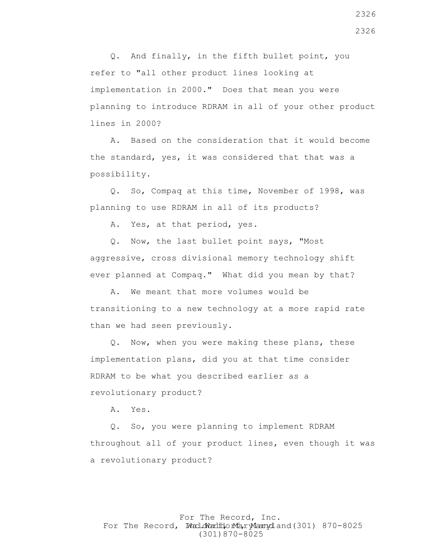Q. And finally, in the fifth bullet point, you refer to "all other product lines looking at implementation in 2000." Does that mean you were planning to introduce RDRAM in all of your other product lines in 2000?

 A. Based on the consideration that it would become the standard, yes, it was considered that that was a possibility.

 Q. So, Compaq at this time, November of 1998, was planning to use RDRAM in all of its products?

A. Yes, at that period, yes.

 Q. Now, the last bullet point says, "Most aggressive, cross divisional memory technology shift ever planned at Compaq." What did you mean by that?

 A. We meant that more volumes would be transitioning to a new technology at a more rapid rate than we had seen previously.

 Q. Now, when you were making these plans, these implementation plans, did you at that time consider RDRAM to be what you described earlier as a revolutionary product?

A. Yes.

 Q. So, you were planning to implement RDRAM throughout all of your product lines, even though it was a revolutionary product?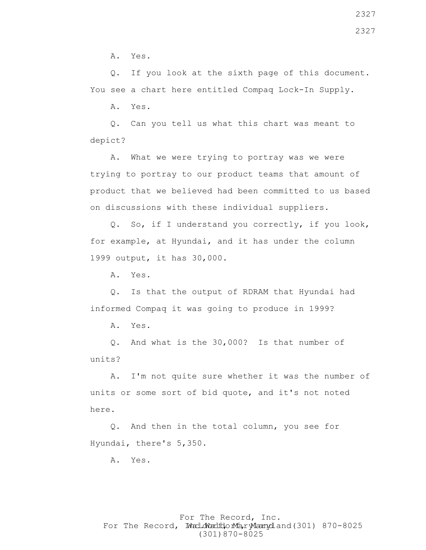A. Yes.

 Q. If you look at the sixth page of this document. You see a chart here entitled Compaq Lock-In Supply.

A. Yes.

 Q. Can you tell us what this chart was meant to depict?

 A. What we were trying to portray was we were trying to portray to our product teams that amount of product that we believed had been committed to us based on discussions with these individual suppliers.

 Q. So, if I understand you correctly, if you look, for example, at Hyundai, and it has under the column 1999 output, it has 30,000.

A. Yes.

 Q. Is that the output of RDRAM that Hyundai had informed Compaq it was going to produce in 1999?

A. Yes.

 Q. And what is the 30,000? Is that number of units?

 A. I'm not quite sure whether it was the number of units or some sort of bid quote, and it's not noted here.

 Q. And then in the total column, you see for Hyundai, there's 5,350.

A. Yes.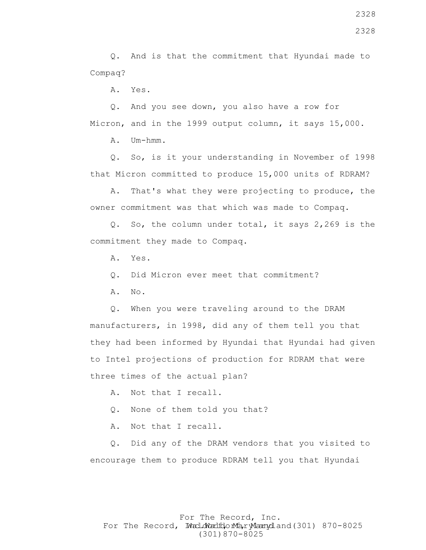Q. And is that the commitment that Hyundai made to Compaq?

A. Yes.

 Q. And you see down, you also have a row for Micron, and in the 1999 output column, it says 15,000.

A. Um-hmm.

 Q. So, is it your understanding in November of 1998 that Micron committed to produce 15,000 units of RDRAM?

 A. That's what they were projecting to produce, the owner commitment was that which was made to Compaq.

 Q. So, the column under total, it says 2,269 is the commitment they made to Compaq.

A. Yes.

Q. Did Micron ever meet that commitment?

A. No.

 Q. When you were traveling around to the DRAM manufacturers, in 1998, did any of them tell you that they had been informed by Hyundai that Hyundai had given to Intel projections of production for RDRAM that were three times of the actual plan?

A. Not that I recall.

Q. None of them told you that?

A. Not that I recall.

 Q. Did any of the DRAM vendors that you visited to encourage them to produce RDRAM tell you that Hyundai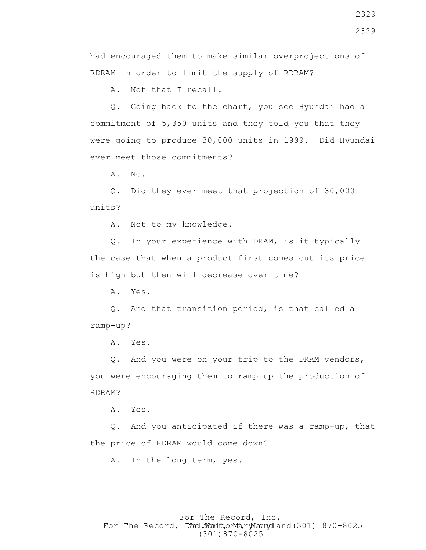A. Not that I recall.

 Q. Going back to the chart, you see Hyundai had a commitment of 5,350 units and they told you that they were going to produce 30,000 units in 1999. Did Hyundai ever meet those commitments?

A. No.

 Q. Did they ever meet that projection of 30,000 units?

A. Not to my knowledge.

 Q. In your experience with DRAM, is it typically the case that when a product first comes out its price is high but then will decrease over time?

A. Yes.

 Q. And that transition period, is that called a ramp-up?

A. Yes.

 Q. And you were on your trip to the DRAM vendors, you were encouraging them to ramp up the production of RDRAM?

A. Yes.

 Q. And you anticipated if there was a ramp-up, that the price of RDRAM would come down?

A. In the long term, yes.

### For The Record, Inc. For The Record, Ward.dWardfdorMa, ryMannydland(301) 870-8025 (301)870-8025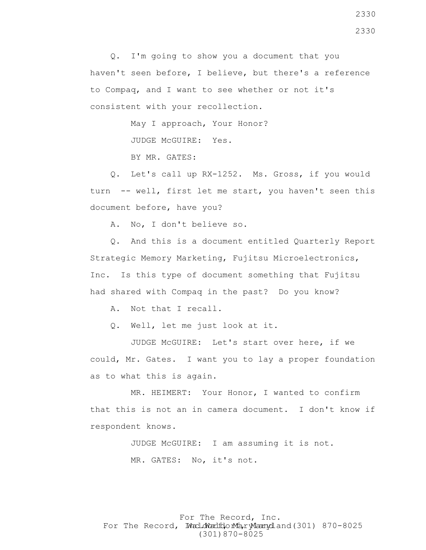Q. I'm going to show you a document that you haven't seen before, I believe, but there's a reference to Compaq, and I want to see whether or not it's consistent with your recollection.

May I approach, Your Honor?

JUDGE McGUIRE: Yes.

BY MR. GATES:

 Q. Let's call up RX-1252. Ms. Gross, if you would turn -- well, first let me start, you haven't seen this document before, have you?

A. No, I don't believe so.

 Q. And this is a document entitled Quarterly Report Strategic Memory Marketing, Fujitsu Microelectronics, Inc. Is this type of document something that Fujitsu had shared with Compaq in the past? Do you know?

A. Not that I recall.

Q. Well, let me just look at it.

 JUDGE McGUIRE: Let's start over here, if we could, Mr. Gates. I want you to lay a proper foundation as to what this is again.

 MR. HEIMERT: Your Honor, I wanted to confirm that this is not an in camera document. I don't know if respondent knows.

> JUDGE McGUIRE: I am assuming it is not. MR. GATES: No, it's not.

For The Record, Inc. For The Record, Ward.dWardfdorMa, ryMannydland(301) 870-8025 (301)870-8025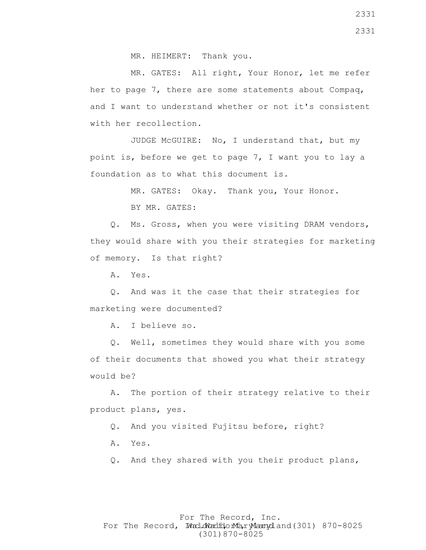MR. HEIMERT: Thank you.

 MR. GATES: All right, Your Honor, let me refer her to page 7, there are some statements about Compaq, and I want to understand whether or not it's consistent with her recollection.

 JUDGE McGUIRE: No, I understand that, but my point is, before we get to page 7, I want you to lay a foundation as to what this document is.

> MR. GATES: Okay. Thank you, Your Honor. BY MR. GATES:

 Q. Ms. Gross, when you were visiting DRAM vendors, they would share with you their strategies for marketing of memory. Is that right?

A. Yes.

 Q. And was it the case that their strategies for marketing were documented?

A. I believe so.

 Q. Well, sometimes they would share with you some of their documents that showed you what their strategy would be?

 A. The portion of their strategy relative to their product plans, yes.

Q. And you visited Fujitsu before, right?

A. Yes.

Q. And they shared with you their product plans,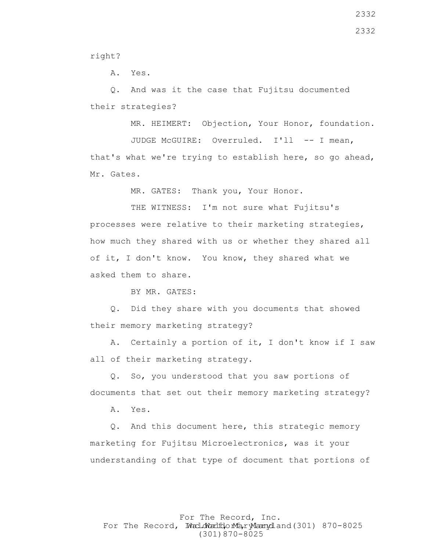right?

A. Yes.

 Q. And was it the case that Fujitsu documented their strategies?

MR. HEIMERT: Objection, Your Honor, foundation.

JUDGE McGUIRE: Overruled. I'll -- I mean, that's what we're trying to establish here, so go ahead, Mr. Gates.

MR. GATES: Thank you, Your Honor.

THE WITNESS: I'm not sure what Fujitsu's processes were relative to their marketing strategies, how much they shared with us or whether they shared all of it, I don't know. You know, they shared what we asked them to share.

BY MR. GATES:

 Q. Did they share with you documents that showed their memory marketing strategy?

 A. Certainly a portion of it, I don't know if I saw all of their marketing strategy.

 Q. So, you understood that you saw portions of documents that set out their memory marketing strategy?

A. Yes.

 Q. And this document here, this strategic memory marketing for Fujitsu Microelectronics, was it your understanding of that type of document that portions of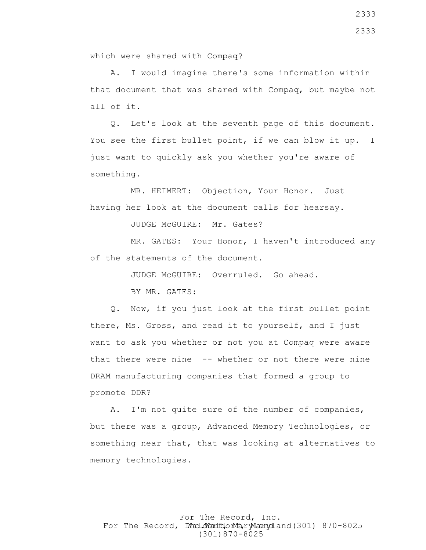A. I would imagine there's some information within that document that was shared with Compaq, but maybe not all of it.

 Q. Let's look at the seventh page of this document. You see the first bullet point, if we can blow it up. I just want to quickly ask you whether you're aware of something.

 MR. HEIMERT: Objection, Your Honor. Just having her look at the document calls for hearsay.

JUDGE McGUIRE: Mr. Gates?

 MR. GATES: Your Honor, I haven't introduced any of the statements of the document.

> JUDGE McGUIRE: Overruled. Go ahead. BY MR. GATES:

 Q. Now, if you just look at the first bullet point there, Ms. Gross, and read it to yourself, and I just want to ask you whether or not you at Compaq were aware that there were nine -- whether or not there were nine DRAM manufacturing companies that formed a group to promote DDR?

 A. I'm not quite sure of the number of companies, but there was a group, Advanced Memory Technologies, or something near that, that was looking at alternatives to memory technologies.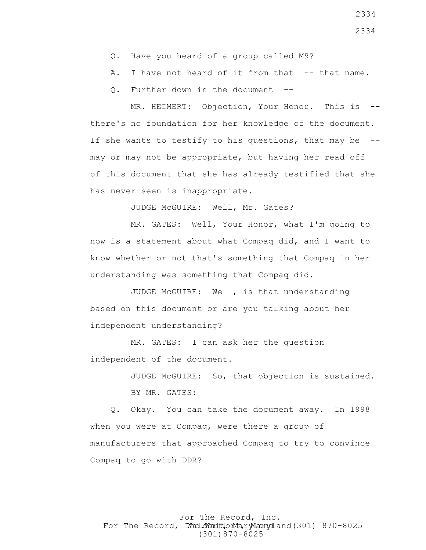- Q. Have you heard of a group called M9?
- A. I have not heard of it from that -- that name.
- Q. Further down in the document --

MR. HEIMERT: Objection, Your Honor. This is -there's no foundation for her knowledge of the document. If she wants to testify to his questions, that may be - may or may not be appropriate, but having her read off of this document that she has already testified that she has never seen is inappropriate.

JUDGE McGUIRE: Well, Mr. Gates?

 MR. GATES: Well, Your Honor, what I'm going to now is a statement about what Compaq did, and I want to know whether or not that's something that Compaq in her understanding was something that Compaq did.

 JUDGE McGUIRE: Well, is that understanding based on this document or are you talking about her independent understanding?

MR. GATES: I can ask her the question independent of the document.

> JUDGE McGUIRE: So, that objection is sustained. BY MR. GATES:

 Q. Okay. You can take the document away. In 1998 when you were at Compaq, were there a group of manufacturers that approached Compaq to try to convince Compaq to go with DDR?

# For The Record, Inc. For The Record, Ward.dWardfdorMa, ryMannydland(301) 870-8025 (301)870-8025

2334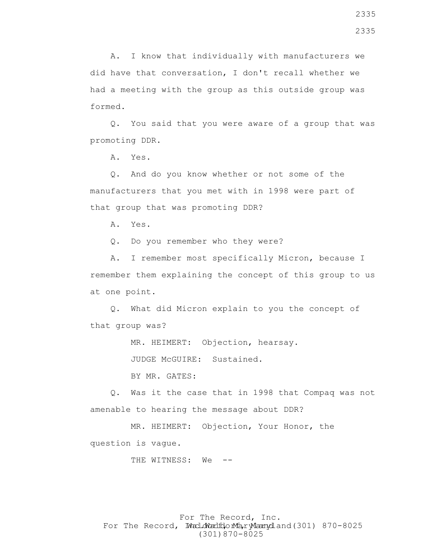A. I know that individually with manufacturers we did have that conversation, I don't recall whether we had a meeting with the group as this outside group was formed.

 Q. You said that you were aware of a group that was promoting DDR.

A. Yes.

 Q. And do you know whether or not some of the manufacturers that you met with in 1998 were part of that group that was promoting DDR?

A. Yes.

Q. Do you remember who they were?

 A. I remember most specifically Micron, because I remember them explaining the concept of this group to us at one point.

 Q. What did Micron explain to you the concept of that group was?

MR. HEIMERT: Objection, hearsay.

JUDGE McGUIRE: Sustained.

BY MR. GATES:

 Q. Was it the case that in 1998 that Compaq was not amenable to hearing the message about DDR?

 MR. HEIMERT: Objection, Your Honor, the question is vague.

THE WITNESS: We --

For The Record, Inc. For The Record, Ward.dWardfdorMa, ryMannydland(301) 870-8025 (301)870-8025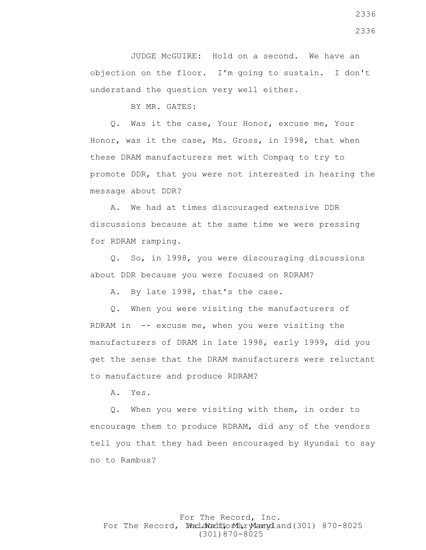JUDGE McGUIRE: Hold on a second. We have an objection on the floor. I'm going to sustain. I don't understand the question very well either.

BY MR. GATES:

 Q. Was it the case, Your Honor, excuse me, Your Honor, was it the case, Ms. Gross, in 1998, that when these DRAM manufacturers met with Compaq to try to promote DDR, that you were not interested in hearing the message about DDR?

 A. We had at times discouraged extensive DDR discussions because at the same time we were pressing for RDRAM ramping.

 Q. So, in 1998, you were discouraging discussions about DDR because you were focused on RDRAM?

A. By late 1998, that's the case.

 Q. When you were visiting the manufacturers of RDRAM in  $-$ - excuse me, when you were visiting the manufacturers of DRAM in late 1998, early 1999, did you get the sense that the DRAM manufacturers were reluctant to manufacture and produce RDRAM?

A. Yes.

 Q. When you were visiting with them, in order to encourage them to produce RDRAM, did any of the vendors tell you that they had been encouraged by Hyundai to say no to Rambus?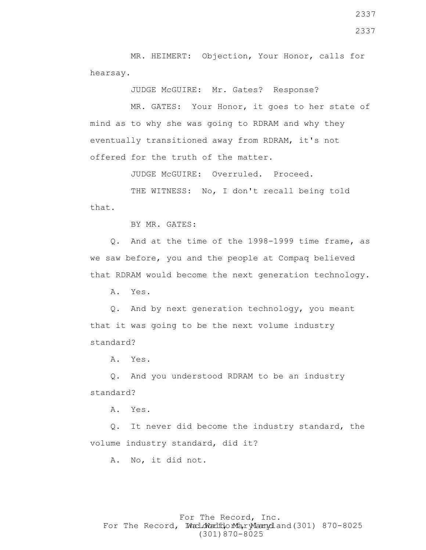MR. HEIMERT: Objection, Your Honor, calls for hearsay.

JUDGE McGUIRE: Mr. Gates? Response?

 MR. GATES: Your Honor, it goes to her state of mind as to why she was going to RDRAM and why they eventually transitioned away from RDRAM, it's not offered for the truth of the matter.

JUDGE McGUIRE: Overruled. Proceed.

 THE WITNESS: No, I don't recall being told that.

BY MR. GATES:

 Q. And at the time of the 1998-1999 time frame, as we saw before, you and the people at Compaq believed that RDRAM would become the next generation technology.

A. Yes.

 Q. And by next generation technology, you meant that it was going to be the next volume industry standard?

A. Yes.

 Q. And you understood RDRAM to be an industry standard?

A. Yes.

 Q. It never did become the industry standard, the volume industry standard, did it?

A. No, it did not.

## For The Record, Inc. For The Record, Ward.dWardfdorMa, ryMannydland(301) 870-8025 (301)870-8025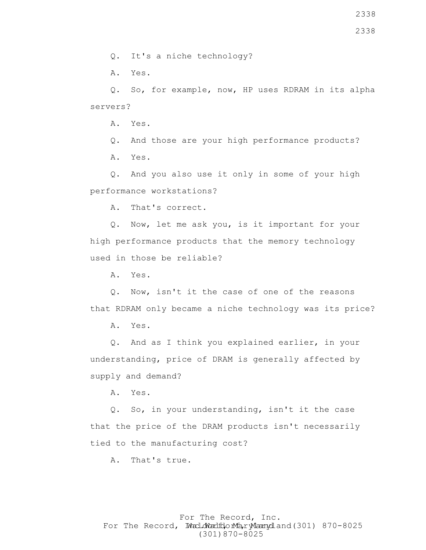Q. It's a niche technology?

A. Yes.

 Q. So, for example, now, HP uses RDRAM in its alpha servers?

A. Yes.

 Q. And those are your high performance products? A. Yes.

 Q. And you also use it only in some of your high performance workstations?

A. That's correct.

 Q. Now, let me ask you, is it important for your high performance products that the memory technology used in those be reliable?

A. Yes.

 Q. Now, isn't it the case of one of the reasons that RDRAM only became a niche technology was its price?

A. Yes.

 Q. And as I think you explained earlier, in your understanding, price of DRAM is generally affected by supply and demand?

A. Yes.

 Q. So, in your understanding, isn't it the case that the price of the DRAM products isn't necessarily tied to the manufacturing cost?

A. That's true.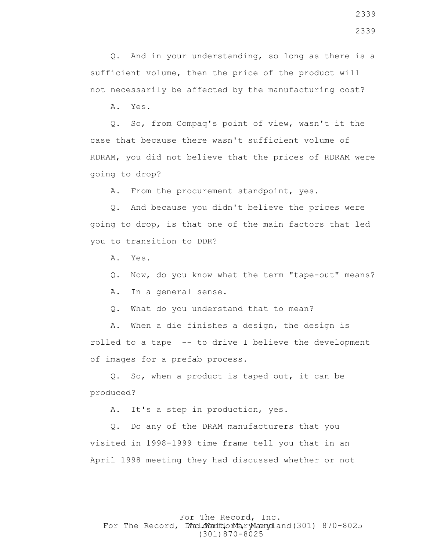Q. And in your understanding, so long as there is a sufficient volume, then the price of the product will not necessarily be affected by the manufacturing cost?

A. Yes.

 Q. So, from Compaq's point of view, wasn't it the case that because there wasn't sufficient volume of RDRAM, you did not believe that the prices of RDRAM were going to drop?

A. From the procurement standpoint, yes.

 Q. And because you didn't believe the prices were going to drop, is that one of the main factors that led you to transition to DDR?

A. Yes.

Q. Now, do you know what the term "tape-out" means?

A. In a general sense.

Q. What do you understand that to mean?

 A. When a die finishes a design, the design is rolled to a tape -- to drive I believe the development of images for a prefab process.

 Q. So, when a product is taped out, it can be produced?

A. It's a step in production, yes.

 Q. Do any of the DRAM manufacturers that you visited in 1998-1999 time frame tell you that in an April 1998 meeting they had discussed whether or not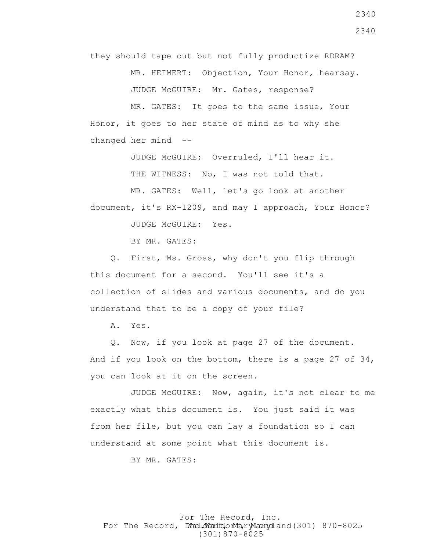they should tape out but not fully productize RDRAM?

MR. HEIMERT: Objection, Your Honor, hearsay.

JUDGE McGUIRE: Mr. Gates, response?

 MR. GATES: It goes to the same issue, Your Honor, it goes to her state of mind as to why she changed her mind --

JUDGE McGUIRE: Overruled, I'll hear it.

THE WITNESS: No, I was not told that.

MR. GATES: Well, let's go look at another

document, it's RX-1209, and may I approach, Your Honor?

JUDGE McGUIRE: Yes.

BY MR. GATES:

 Q. First, Ms. Gross, why don't you flip through this document for a second. You'll see it's a collection of slides and various documents, and do you understand that to be a copy of your file?

A. Yes.

 Q. Now, if you look at page 27 of the document. And if you look on the bottom, there is a page 27 of 34, you can look at it on the screen.

 JUDGE McGUIRE: Now, again, it's not clear to me exactly what this document is. You just said it was from her file, but you can lay a foundation so I can understand at some point what this document is.

BY MR. GATES: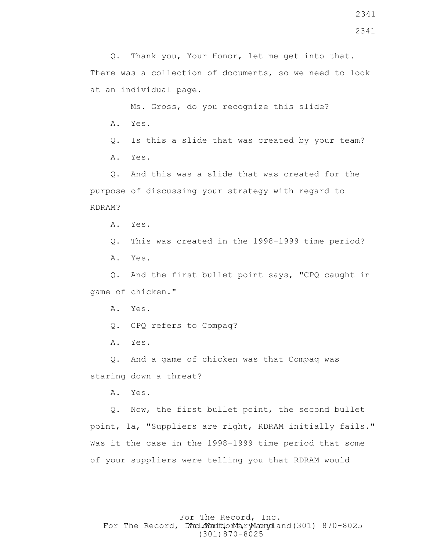2341

 Q. Thank you, Your Honor, let me get into that. There was a collection of documents, so we need to look at an individual page.

 Ms. Gross, do you recognize this slide? A. Yes.

 Q. Is this a slide that was created by your team? A. Yes.

 Q. And this was a slide that was created for the purpose of discussing your strategy with regard to RDRAM?

A. Yes.

Q. This was created in the 1998-1999 time period?

A. Yes.

 Q. And the first bullet point says, "CPQ caught in game of chicken."

A. Yes.

Q. CPQ refers to Compaq?

A. Yes.

 Q. And a game of chicken was that Compaq was staring down a threat?

A. Yes.

 Q. Now, the first bullet point, the second bullet point, 1a, "Suppliers are right, RDRAM initially fails." Was it the case in the 1998-1999 time period that some of your suppliers were telling you that RDRAM would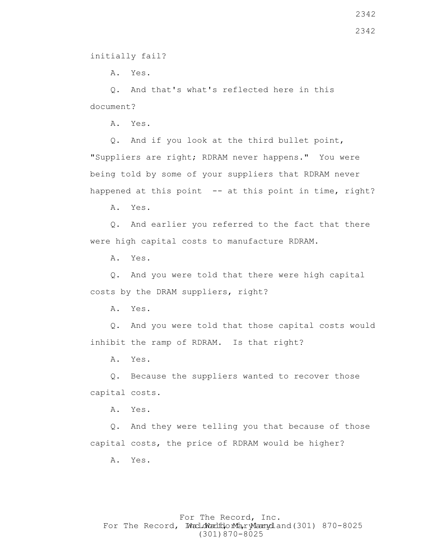A. Yes.

 Q. And that's what's reflected here in this document?

A. Yes.

 Q. And if you look at the third bullet point, "Suppliers are right; RDRAM never happens." You were being told by some of your suppliers that RDRAM never happened at this point -- at this point in time, right?

A. Yes.

 Q. And earlier you referred to the fact that there were high capital costs to manufacture RDRAM.

A. Yes.

 Q. And you were told that there were high capital costs by the DRAM suppliers, right?

A. Yes.

 Q. And you were told that those capital costs would inhibit the ramp of RDRAM. Is that right?

A. Yes.

 Q. Because the suppliers wanted to recover those capital costs.

A. Yes.

 Q. And they were telling you that because of those capital costs, the price of RDRAM would be higher?

A. Yes.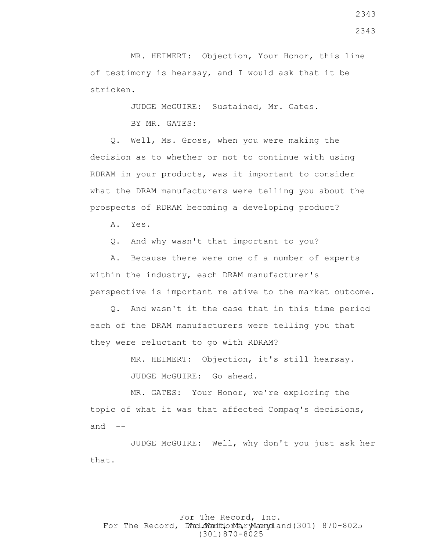MR. HEIMERT: Objection, Your Honor, this line of testimony is hearsay, and I would ask that it be stricken.

JUDGE McGUIRE: Sustained, Mr. Gates.

BY MR. GATES:

 Q. Well, Ms. Gross, when you were making the decision as to whether or not to continue with using RDRAM in your products, was it important to consider what the DRAM manufacturers were telling you about the prospects of RDRAM becoming a developing product?

A. Yes.

Q. And why wasn't that important to you?

 A. Because there were one of a number of experts within the industry, each DRAM manufacturer's perspective is important relative to the market outcome.

 Q. And wasn't it the case that in this time period each of the DRAM manufacturers were telling you that they were reluctant to go with RDRAM?

MR. HEIMERT: Objection, it's still hearsay.

JUDGE McGUIRE: Go ahead.

 MR. GATES: Your Honor, we're exploring the topic of what it was that affected Compaq's decisions, and  $--$ 

 JUDGE McGUIRE: Well, why don't you just ask her that.

# For The Record, Inc. For The Record, Ward.dWardfdorMa, ryMannydland(301) 870-8025 (301)870-8025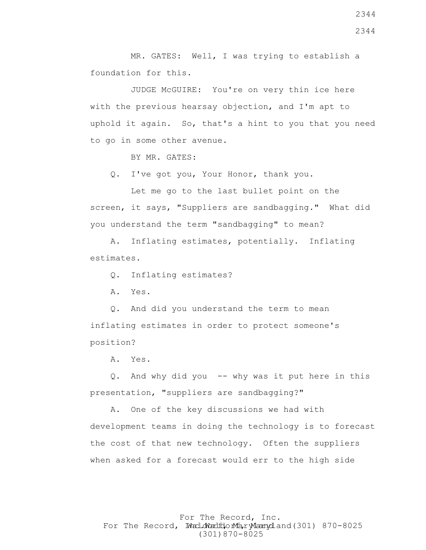MR. GATES: Well, I was trying to establish a foundation for this.

 JUDGE McGUIRE: You're on very thin ice here with the previous hearsay objection, and I'm apt to uphold it again. So, that's a hint to you that you need to go in some other avenue.

BY MR. GATES:

Q. I've got you, Your Honor, thank you.

 Let me go to the last bullet point on the screen, it says, "Suppliers are sandbagging." What did you understand the term "sandbagging" to mean?

 A. Inflating estimates, potentially. Inflating estimates.

Q. Inflating estimates?

A. Yes.

 Q. And did you understand the term to mean inflating estimates in order to protect someone's position?

A. Yes.

 Q. And why did you -- why was it put here in this presentation, "suppliers are sandbagging?"

 A. One of the key discussions we had with development teams in doing the technology is to forecast the cost of that new technology. Often the suppliers when asked for a forecast would err to the high side

For The Record, Inc. For The Record, Ward.dWardfdorMa, ryMannydland(301) 870-8025 (301)870-8025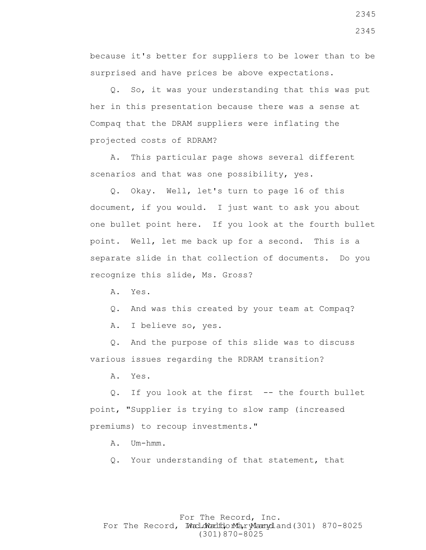because it's better for suppliers to be lower than to be surprised and have prices be above expectations.

 Q. So, it was your understanding that this was put her in this presentation because there was a sense at Compaq that the DRAM suppliers were inflating the projected costs of RDRAM?

 A. This particular page shows several different scenarios and that was one possibility, yes.

 Q. Okay. Well, let's turn to page 16 of this document, if you would. I just want to ask you about one bullet point here. If you look at the fourth bullet point. Well, let me back up for a second. This is a separate slide in that collection of documents. Do you recognize this slide, Ms. Gross?

A. Yes.

Q. And was this created by your team at Compaq?

A. I believe so, yes.

 Q. And the purpose of this slide was to discuss various issues regarding the RDRAM transition?

A. Yes.

 Q. If you look at the first -- the fourth bullet point, "Supplier is trying to slow ramp (increased premiums) to recoup investments."

A. Um-hmm.

Q. Your understanding of that statement, that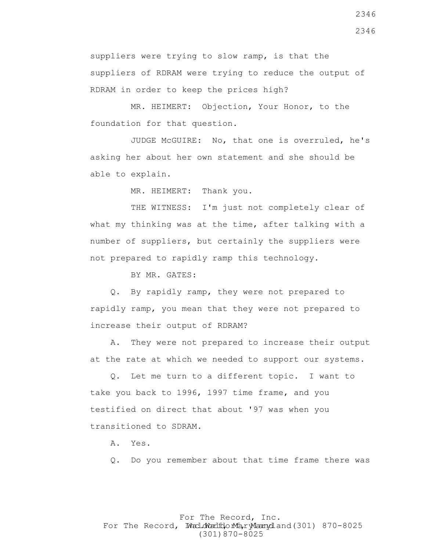suppliers were trying to slow ramp, is that the suppliers of RDRAM were trying to reduce the output of RDRAM in order to keep the prices high?

 MR. HEIMERT: Objection, Your Honor, to the foundation for that question.

 JUDGE McGUIRE: No, that one is overruled, he's asking her about her own statement and she should be able to explain.

MR. HEIMERT: Thank you.

THE WITNESS: I'm just not completely clear of what my thinking was at the time, after talking with a number of suppliers, but certainly the suppliers were not prepared to rapidly ramp this technology.

BY MR. GATES:

 Q. By rapidly ramp, they were not prepared to rapidly ramp, you mean that they were not prepared to increase their output of RDRAM?

 A. They were not prepared to increase their output at the rate at which we needed to support our systems.

 Q. Let me turn to a different topic. I want to take you back to 1996, 1997 time frame, and you testified on direct that about '97 was when you transitioned to SDRAM.

A. Yes.

Q. Do you remember about that time frame there was

For The Record, Inc. For The Record, Ward.dWardfdorMa, ryMannydland(301) 870-8025 (301)870-8025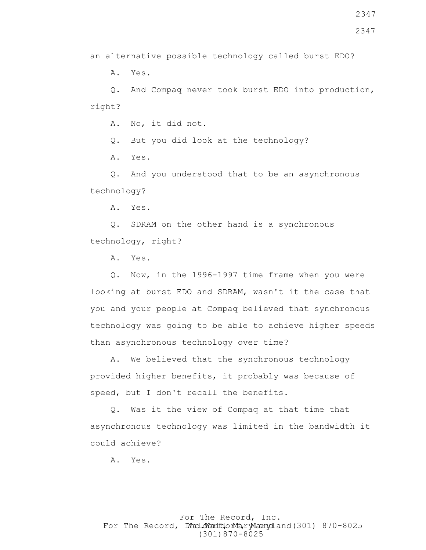2347

an alternative possible technology called burst EDO?

A. Yes.

 Q. And Compaq never took burst EDO into production, right?

A. No, it did not.

Q. But you did look at the technology?

A. Yes.

 Q. And you understood that to be an asynchronous technology?

A. Yes.

 Q. SDRAM on the other hand is a synchronous technology, right?

A. Yes.

 Q. Now, in the 1996-1997 time frame when you were looking at burst EDO and SDRAM, wasn't it the case that you and your people at Compaq believed that synchronous technology was going to be able to achieve higher speeds than asynchronous technology over time?

 A. We believed that the synchronous technology provided higher benefits, it probably was because of speed, but I don't recall the benefits.

 Q. Was it the view of Compaq at that time that asynchronous technology was limited in the bandwidth it could achieve?

A. Yes.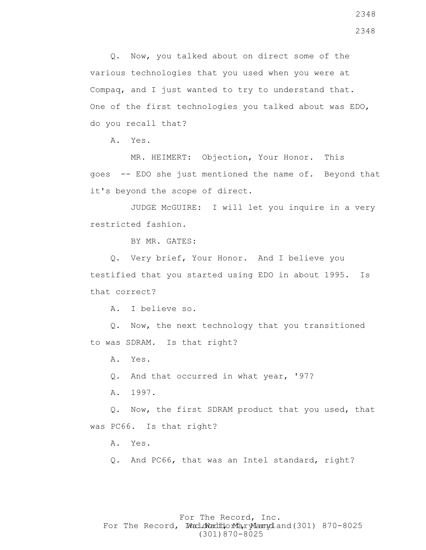Q. Now, you talked about on direct some of the various technologies that you used when you were at Compaq, and I just wanted to try to understand that. One of the first technologies you talked about was EDO, do you recall that?

A. Yes.

 MR. HEIMERT: Objection, Your Honor. This goes -- EDO she just mentioned the name of. Beyond that it's beyond the scope of direct.

 JUDGE McGUIRE: I will let you inquire in a very restricted fashion.

BY MR. GATES:

 Q. Very brief, Your Honor. And I believe you testified that you started using EDO in about 1995. Is that correct?

A. I believe so.

 Q. Now, the next technology that you transitioned to was SDRAM. Is that right?

A. Yes.

Q. And that occurred in what year, '97?

A. 1997.

 Q. Now, the first SDRAM product that you used, that was PC66. Is that right?

A. Yes.

Q. And PC66, that was an Intel standard, right?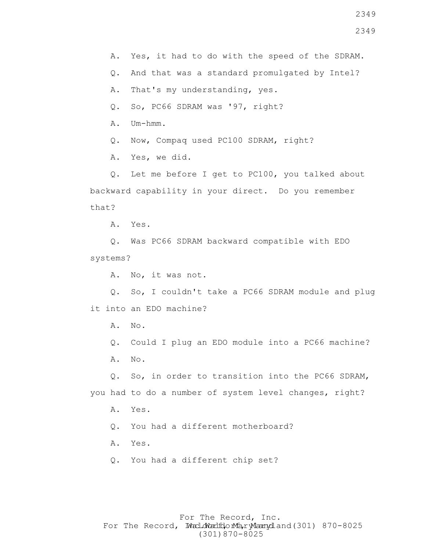A. Yes, it had to do with the speed of the SDRAM.

Q. And that was a standard promulgated by Intel?

A. That's my understanding, yes.

Q. So, PC66 SDRAM was '97, right?

A. Um-hmm.

Q. Now, Compaq used PC100 SDRAM, right?

A. Yes, we did.

 Q. Let me before I get to PC100, you talked about backward capability in your direct. Do you remember that?

A. Yes.

 Q. Was PC66 SDRAM backward compatible with EDO systems?

A. No, it was not.

 Q. So, I couldn't take a PC66 SDRAM module and plug it into an EDO machine?

A. No.

Q. Could I plug an EDO module into a PC66 machine?

A. No.

 Q. So, in order to transition into the PC66 SDRAM, you had to do a number of system level changes, right?

A. Yes.

Q. You had a different motherboard?

A. Yes.

Q. You had a different chip set?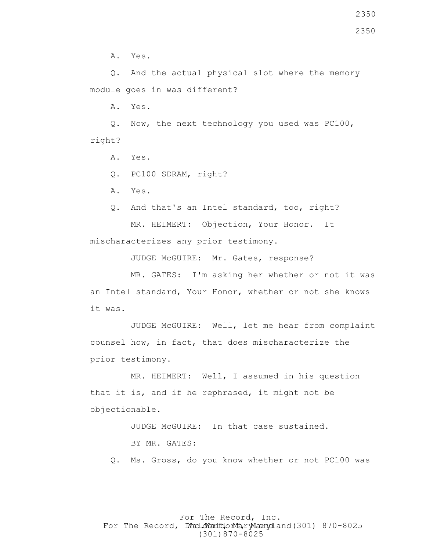A. Yes.

 Q. And the actual physical slot where the memory module goes in was different?

A. Yes.

 Q. Now, the next technology you used was PC100, right?

A. Yes.

Q. PC100 SDRAM, right?

A. Yes.

 Q. And that's an Intel standard, too, right? MR. HEIMERT: Objection, Your Honor. It mischaracterizes any prior testimony.

JUDGE McGUIRE: Mr. Gates, response?

 MR. GATES: I'm asking her whether or not it was an Intel standard, Your Honor, whether or not she knows it was.

 JUDGE McGUIRE: Well, let me hear from complaint counsel how, in fact, that does mischaracterize the prior testimony.

 MR. HEIMERT: Well, I assumed in his question that it is, and if he rephrased, it might not be objectionable.

> JUDGE McGUIRE: In that case sustained. BY MR. GATES:

Q. Ms. Gross, do you know whether or not PC100 was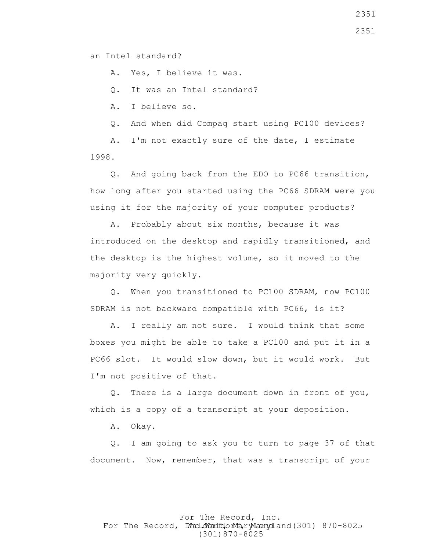an Intel standard?

A. Yes, I believe it was.

Q. It was an Intel standard?

A. I believe so.

Q. And when did Compaq start using PC100 devices?

 A. I'm not exactly sure of the date, I estimate 1998.

 Q. And going back from the EDO to PC66 transition, how long after you started using the PC66 SDRAM were you using it for the majority of your computer products?

 A. Probably about six months, because it was introduced on the desktop and rapidly transitioned, and the desktop is the highest volume, so it moved to the majority very quickly.

 Q. When you transitioned to PC100 SDRAM, now PC100 SDRAM is not backward compatible with PC66, is it?

 A. I really am not sure. I would think that some boxes you might be able to take a PC100 and put it in a PC66 slot. It would slow down, but it would work. But I'm not positive of that.

 Q. There is a large document down in front of you, which is a copy of a transcript at your deposition.

A. Okay.

 Q. I am going to ask you to turn to page 37 of that document. Now, remember, that was a transcript of your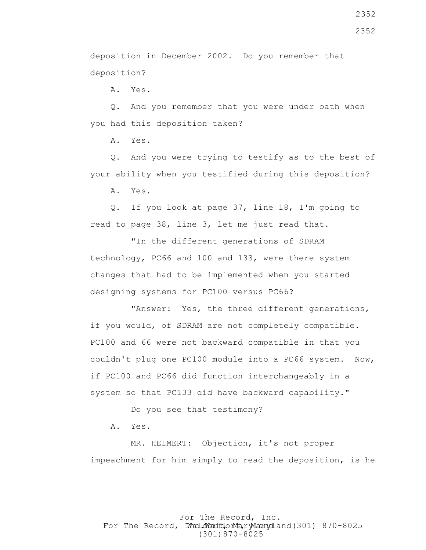deposition in December 2002. Do you remember that deposition?

A. Yes.

 Q. And you remember that you were under oath when you had this deposition taken?

A. Yes.

 Q. And you were trying to testify as to the best of your ability when you testified during this deposition?

A. Yes.

 Q. If you look at page 37, line 18, I'm going to read to page 38, line 3, let me just read that.

 "In the different generations of SDRAM technology, PC66 and 100 and 133, were there system changes that had to be implemented when you started designing systems for PC100 versus PC66?

 "Answer: Yes, the three different generations, if you would, of SDRAM are not completely compatible. PC100 and 66 were not backward compatible in that you couldn't plug one PC100 module into a PC66 system. Now, if PC100 and PC66 did function interchangeably in a system so that PC133 did have backward capability."

Do you see that testimony?

A. Yes.

 MR. HEIMERT: Objection, it's not proper impeachment for him simply to read the deposition, is he

For The Record, Inc. For The Record, Ward.dWardfdorMa, ryMannydland(301) 870-8025 (301)870-8025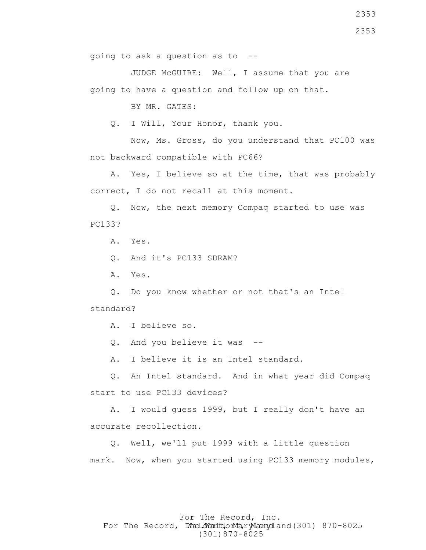JUDGE McGUIRE: Well, I assume that you are going to have a question and follow up on that.

BY MR. GATES:

Q. I Will, Your Honor, thank you.

 Now, Ms. Gross, do you understand that PC100 was not backward compatible with PC66?

 A. Yes, I believe so at the time, that was probably correct, I do not recall at this moment.

 Q. Now, the next memory Compaq started to use was PC133?

A. Yes.

Q. And it's PC133 SDRAM?

A. Yes.

 Q. Do you know whether or not that's an Intel standard?

A. I believe so.

Q. And you believe it was --

A. I believe it is an Intel standard.

 Q. An Intel standard. And in what year did Compaq start to use PC133 devices?

 A. I would guess 1999, but I really don't have an accurate recollection.

 Q. Well, we'll put 1999 with a little question mark. Now, when you started using PC133 memory modules,

# For The Record, Inc. For The Record, Ward.dWardfdorMa, ryMannydland(301) 870-8025 (301)870-8025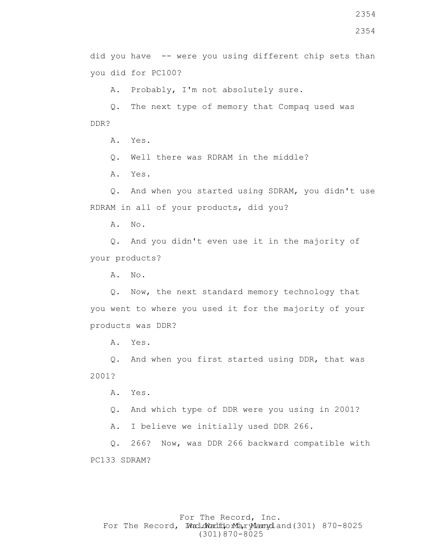A. Probably, I'm not absolutely sure.

 Q. The next type of memory that Compaq used was DDR?

A. Yes.

Q. Well there was RDRAM in the middle?

A. Yes.

 Q. And when you started using SDRAM, you didn't use RDRAM in all of your products, did you?

A. No.

 Q. And you didn't even use it in the majority of your products?

A. No.

 Q. Now, the next standard memory technology that you went to where you used it for the majority of your products was DDR?

A. Yes.

 Q. And when you first started using DDR, that was 2001?

A. Yes.

Q. And which type of DDR were you using in 2001?

A. I believe we initially used DDR 266.

 Q. 266? Now, was DDR 266 backward compatible with PC133 SDRAM?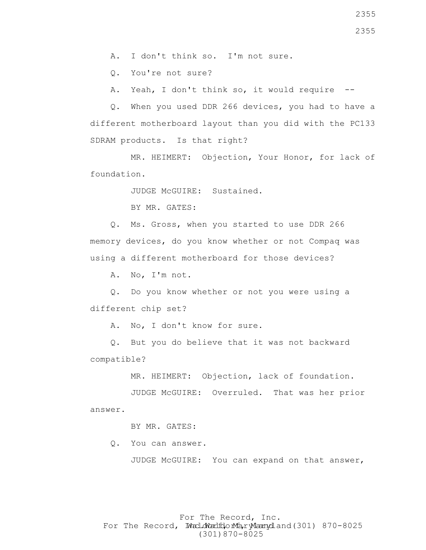A. I don't think so. I'm not sure.

Q. You're not sure?

A. Yeah, I don't think so, it would require --

 Q. When you used DDR 266 devices, you had to have a different motherboard layout than you did with the PC133 SDRAM products. Is that right?

 MR. HEIMERT: Objection, Your Honor, for lack of foundation.

JUDGE McGUIRE: Sustained.

BY MR. GATES:

 Q. Ms. Gross, when you started to use DDR 266 memory devices, do you know whether or not Compaq was using a different motherboard for those devices?

A. No, I'm not.

 Q. Do you know whether or not you were using a different chip set?

A. No, I don't know for sure.

 Q. But you do believe that it was not backward compatible?

MR. HEIMERT: Objection, lack of foundation.

 JUDGE McGUIRE: Overruled. That was her prior answer.

BY MR. GATES:

Q. You can answer.

JUDGE McGUIRE: You can expand on that answer,

## For The Record, Inc. For The Record, Ward.dWardfdorMa, ryMannydland(301) 870-8025 (301)870-8025

2355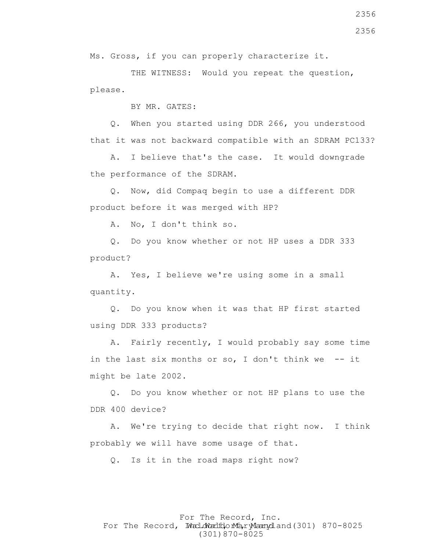BY MR. GATES:

please.

 Q. When you started using DDR 266, you understood that it was not backward compatible with an SDRAM PC133?

Ms. Gross, if you can properly characterize it.

 A. I believe that's the case. It would downgrade the performance of the SDRAM.

 Q. Now, did Compaq begin to use a different DDR product before it was merged with HP?

A. No, I don't think so.

 Q. Do you know whether or not HP uses a DDR 333 product?

 A. Yes, I believe we're using some in a small quantity.

 Q. Do you know when it was that HP first started using DDR 333 products?

 A. Fairly recently, I would probably say some time in the last six months or so, I don't think we  $-$ - it might be late 2002.

 Q. Do you know whether or not HP plans to use the DDR 400 device?

 A. We're trying to decide that right now. I think probably we will have some usage of that.

Q. Is it in the road maps right now?

For The Record, Inc. For The Record, Ward.dWardfdorMa, ryMannydland(301) 870-8025 (301)870-8025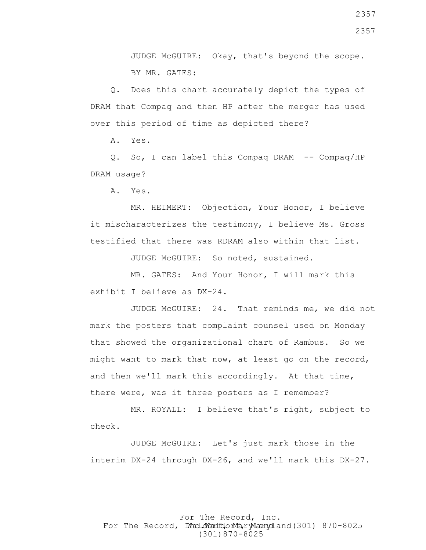JUDGE McGUIRE: Okay, that's beyond the scope. BY MR. GATES:

 Q. Does this chart accurately depict the types of DRAM that Compaq and then HP after the merger has used over this period of time as depicted there?

A. Yes.

 Q. So, I can label this Compaq DRAM -- Compaq/HP DRAM usage?

A. Yes.

 MR. HEIMERT: Objection, Your Honor, I believe it mischaracterizes the testimony, I believe Ms. Gross testified that there was RDRAM also within that list.

JUDGE McGUIRE: So noted, sustained.

 MR. GATES: And Your Honor, I will mark this exhibit I believe as DX-24.

 JUDGE McGUIRE: 24. That reminds me, we did not mark the posters that complaint counsel used on Monday that showed the organizational chart of Rambus. So we might want to mark that now, at least go on the record, and then we'll mark this accordingly. At that time, there were, was it three posters as I remember?

 MR. ROYALL: I believe that's right, subject to check.

 JUDGE McGUIRE: Let's just mark those in the interim DX-24 through DX-26, and we'll mark this DX-27.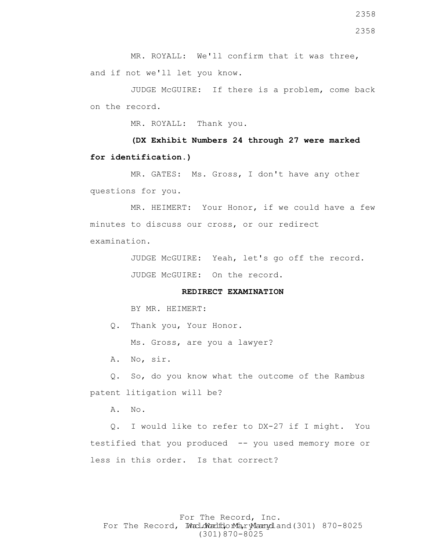2358

MR. ROYALL: We'll confirm that it was three, and if not we'll let you know.

 JUDGE McGUIRE: If there is a problem, come back on the record.

MR. ROYALL: Thank you.

 **(DX Exhibit Numbers 24 through 27 were marked for identification.)**

 MR. GATES: Ms. Gross, I don't have any other questions for you.

 MR. HEIMERT: Your Honor, if we could have a few minutes to discuss our cross, or our redirect examination.

> JUDGE McGUIRE: Yeah, let's go off the record. JUDGE McGUIRE: On the record.

#### **REDIRECT EXAMINATION**

BY MR. HEIMERT:

Q. Thank you, Your Honor.

Ms. Gross, are you a lawyer?

A. No, sir.

 Q. So, do you know what the outcome of the Rambus patent litigation will be?

A. No.

 Q. I would like to refer to DX-27 if I might. You testified that you produced -- you used memory more or less in this order. Is that correct?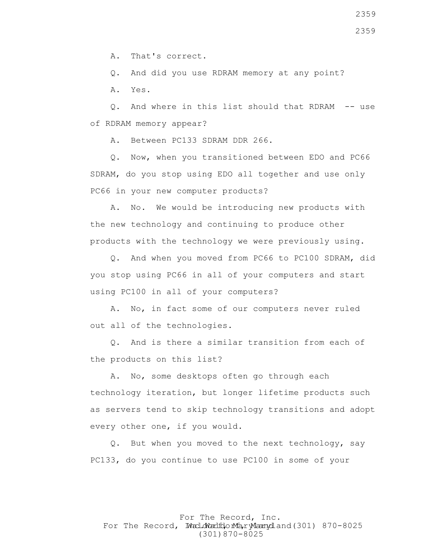A. That's correct.

Q. And did you use RDRAM memory at any point?

A. Yes.

 Q. And where in this list should that RDRAM -- use of RDRAM memory appear?

A. Between PC133 SDRAM DDR 266.

 Q. Now, when you transitioned between EDO and PC66 SDRAM, do you stop using EDO all together and use only PC66 in your new computer products?

 A. No. We would be introducing new products with the new technology and continuing to produce other products with the technology we were previously using.

 Q. And when you moved from PC66 to PC100 SDRAM, did you stop using PC66 in all of your computers and start using PC100 in all of your computers?

 A. No, in fact some of our computers never ruled out all of the technologies.

 Q. And is there a similar transition from each of the products on this list?

 A. No, some desktops often go through each technology iteration, but longer lifetime products such as servers tend to skip technology transitions and adopt every other one, if you would.

 Q. But when you moved to the next technology, say PC133, do you continue to use PC100 in some of your

# For The Record, Inc. For The Record, Ward.dWardfdorMa, ryMannydland(301) 870-8025 (301)870-8025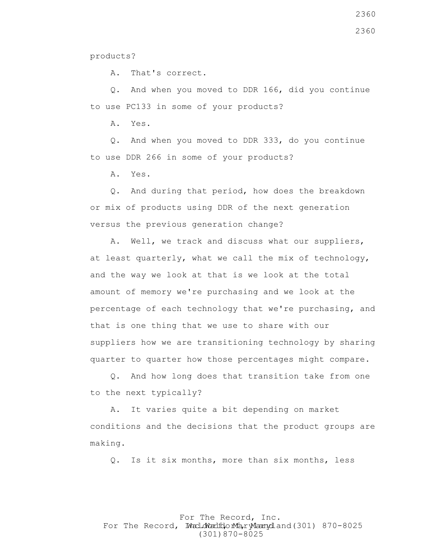products?

A. That's correct.

 Q. And when you moved to DDR 166, did you continue to use PC133 in some of your products?

A. Yes.

 Q. And when you moved to DDR 333, do you continue to use DDR 266 in some of your products?

A. Yes.

 Q. And during that period, how does the breakdown or mix of products using DDR of the next generation versus the previous generation change?

 A. Well, we track and discuss what our suppliers, at least quarterly, what we call the mix of technology, and the way we look at that is we look at the total amount of memory we're purchasing and we look at the percentage of each technology that we're purchasing, and that is one thing that we use to share with our suppliers how we are transitioning technology by sharing quarter to quarter how those percentages might compare.

 Q. And how long does that transition take from one to the next typically?

 A. It varies quite a bit depending on market conditions and the decisions that the product groups are making.

Q. Is it six months, more than six months, less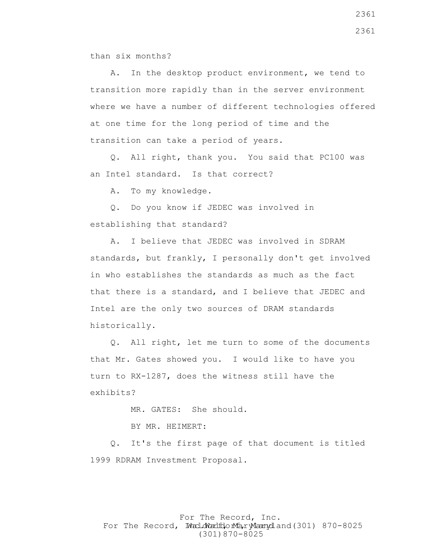than six months?

 A. In the desktop product environment, we tend to transition more rapidly than in the server environment where we have a number of different technologies offered at one time for the long period of time and the transition can take a period of years.

 Q. All right, thank you. You said that PC100 was an Intel standard. Is that correct?

A. To my knowledge.

 Q. Do you know if JEDEC was involved in establishing that standard?

 A. I believe that JEDEC was involved in SDRAM standards, but frankly, I personally don't get involved in who establishes the standards as much as the fact that there is a standard, and I believe that JEDEC and Intel are the only two sources of DRAM standards historically.

 Q. All right, let me turn to some of the documents that Mr. Gates showed you. I would like to have you turn to RX-1287, does the witness still have the exhibits?

MR. GATES: She should.

BY MR. HEIMERT:

 Q. It's the first page of that document is titled 1999 RDRAM Investment Proposal.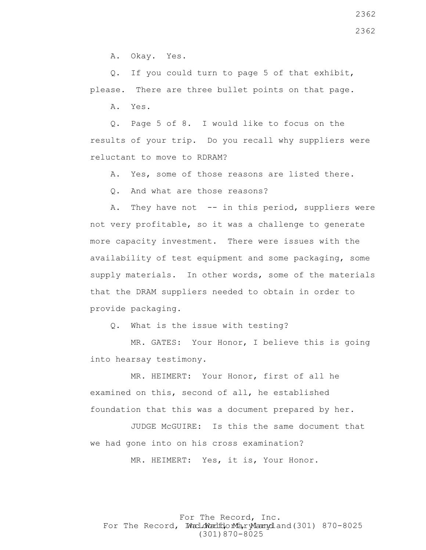A. Okay. Yes.

 Q. If you could turn to page 5 of that exhibit, please. There are three bullet points on that page.

A. Yes.

 Q. Page 5 of 8. I would like to focus on the results of your trip. Do you recall why suppliers were reluctant to move to RDRAM?

A. Yes, some of those reasons are listed there.

Q. And what are those reasons?

A. They have not  $-$ - in this period, suppliers were not very profitable, so it was a challenge to generate more capacity investment. There were issues with the availability of test equipment and some packaging, some supply materials. In other words, some of the materials that the DRAM suppliers needed to obtain in order to provide packaging.

Q. What is the issue with testing?

 MR. GATES: Your Honor, I believe this is going into hearsay testimony.

 MR. HEIMERT: Your Honor, first of all he examined on this, second of all, he established foundation that this was a document prepared by her.

 JUDGE McGUIRE: Is this the same document that we had gone into on his cross examination?

MR. HEIMERT: Yes, it is, Your Honor.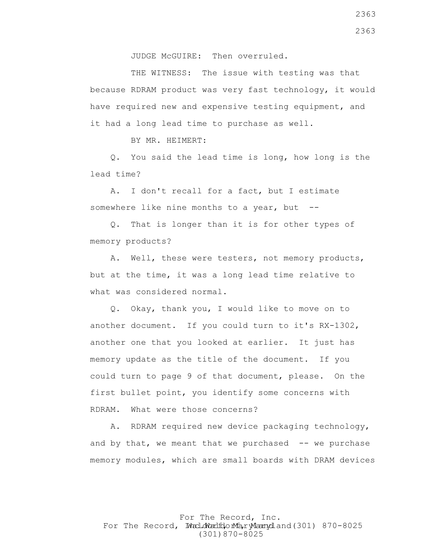JUDGE McGUIRE: Then overruled.

THE WITNESS: The issue with testing was that because RDRAM product was very fast technology, it would have required new and expensive testing equipment, and it had a long lead time to purchase as well.

BY MR. HEIMERT:

 Q. You said the lead time is long, how long is the lead time?

 A. I don't recall for a fact, but I estimate somewhere like nine months to a year, but  $-$ -

 Q. That is longer than it is for other types of memory products?

 A. Well, these were testers, not memory products, but at the time, it was a long lead time relative to what was considered normal.

 Q. Okay, thank you, I would like to move on to another document. If you could turn to it's RX-1302, another one that you looked at earlier. It just has memory update as the title of the document. If you could turn to page 9 of that document, please. On the first bullet point, you identify some concerns with RDRAM. What were those concerns?

 A. RDRAM required new device packaging technology, and by that, we meant that we purchased  $-$ - we purchase memory modules, which are small boards with DRAM devices

For The Record, Inc. For The Record, Ward.dWardfdorMa, ryMannydland(301) 870-8025 (301)870-8025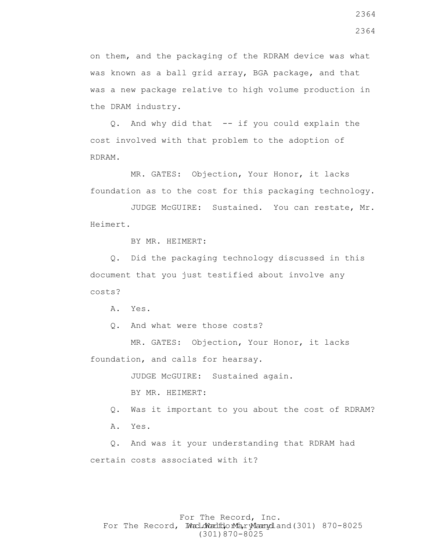on them, and the packaging of the RDRAM device was what was known as a ball grid array, BGA package, and that was a new package relative to high volume production in the DRAM industry.

 Q. And why did that -- if you could explain the cost involved with that problem to the adoption of RDRAM.

 MR. GATES: Objection, Your Honor, it lacks foundation as to the cost for this packaging technology.

 JUDGE McGUIRE: Sustained. You can restate, Mr. Heimert.

BY MR. HEIMERT:

 Q. Did the packaging technology discussed in this document that you just testified about involve any costs?

A. Yes.

Q. And what were those costs?

 MR. GATES: Objection, Your Honor, it lacks foundation, and calls for hearsay.

JUDGE McGUIRE: Sustained again.

BY MR. HEIMERT:

Q. Was it important to you about the cost of RDRAM?

A. Yes.

 Q. And was it your understanding that RDRAM had certain costs associated with it?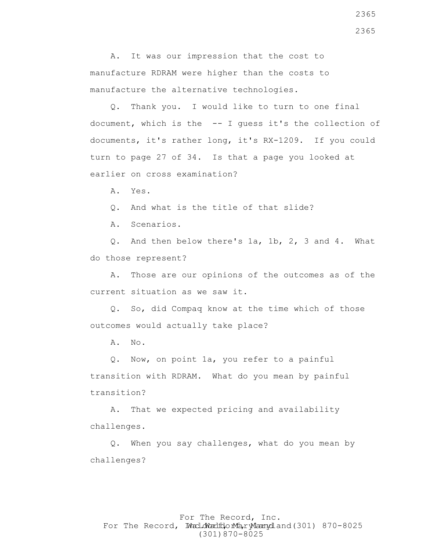A. It was our impression that the cost to manufacture RDRAM were higher than the costs to manufacture the alternative technologies.

 Q. Thank you. I would like to turn to one final document, which is the -- I guess it's the collection of documents, it's rather long, it's RX-1209. If you could turn to page 27 of 34. Is that a page you looked at earlier on cross examination?

A. Yes.

Q. And what is the title of that slide?

A. Scenarios.

 Q. And then below there's 1a, 1b, 2, 3 and 4. What do those represent?

 A. Those are our opinions of the outcomes as of the current situation as we saw it.

 Q. So, did Compaq know at the time which of those outcomes would actually take place?

A. No.

 Q. Now, on point 1a, you refer to a painful transition with RDRAM. What do you mean by painful transition?

 A. That we expected pricing and availability challenges.

 Q. When you say challenges, what do you mean by challenges?

## For The Record, Inc. For The Record, Ward.dWardfdorMa, ryMannydland(301) 870-8025 (301)870-8025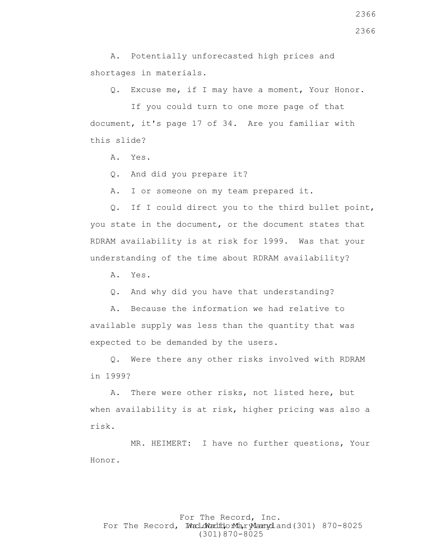A. Potentially unforecasted high prices and shortages in materials.

Q. Excuse me, if I may have a moment, Your Honor.

 If you could turn to one more page of that document, it's page 17 of 34. Are you familiar with this slide?

A. Yes.

Q. And did you prepare it?

A. I or someone on my team prepared it.

 Q. If I could direct you to the third bullet point, you state in the document, or the document states that RDRAM availability is at risk for 1999. Was that your understanding of the time about RDRAM availability?

A. Yes.

Q. And why did you have that understanding?

 A. Because the information we had relative to available supply was less than the quantity that was expected to be demanded by the users.

 Q. Were there any other risks involved with RDRAM in 1999?

 A. There were other risks, not listed here, but when availability is at risk, higher pricing was also a risk.

 MR. HEIMERT: I have no further questions, Your Honor.

# For The Record, Inc. For The Record, Ward.dWardfdorMa, ryMannydland(301) 870-8025 (301)870-8025

2366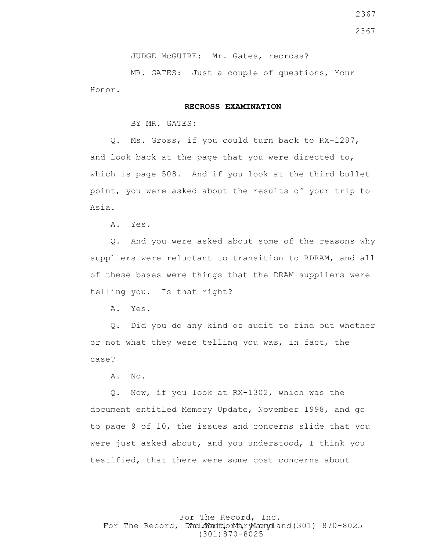JUDGE McGUIRE: Mr. Gates, recross?

 MR. GATES: Just a couple of questions, Your Honor.

#### **RECROSS EXAMINATION**

BY MR. GATES:

 Q. Ms. Gross, if you could turn back to RX-1287, and look back at the page that you were directed to, which is page 508. And if you look at the third bullet point, you were asked about the results of your trip to Asia.

A. Yes.

 Q. And you were asked about some of the reasons why suppliers were reluctant to transition to RDRAM, and all of these bases were things that the DRAM suppliers were telling you. Is that right?

A. Yes.

 Q. Did you do any kind of audit to find out whether or not what they were telling you was, in fact, the case?

A. No.

 Q. Now, if you look at RX-1302, which was the document entitled Memory Update, November 1998, and go to page 9 of 10, the issues and concerns slide that you were just asked about, and you understood, I think you testified, that there were some cost concerns about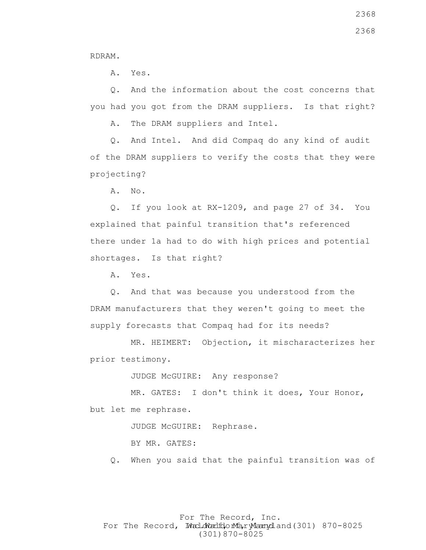RDRAM.

A. Yes.

 Q. And the information about the cost concerns that you had you got from the DRAM suppliers. Is that right?

A. The DRAM suppliers and Intel.

 Q. And Intel. And did Compaq do any kind of audit of the DRAM suppliers to verify the costs that they were projecting?

A. No.

 Q. If you look at RX-1209, and page 27 of 34. You explained that painful transition that's referenced there under 1a had to do with high prices and potential shortages. Is that right?

A. Yes.

 Q. And that was because you understood from the DRAM manufacturers that they weren't going to meet the supply forecasts that Compaq had for its needs?

 MR. HEIMERT: Objection, it mischaracterizes her prior testimony.

JUDGE McGUIRE: Any response?

 MR. GATES: I don't think it does, Your Honor, but let me rephrase.

JUDGE McGUIRE: Rephrase.

BY MR. GATES:

Q. When you said that the painful transition was of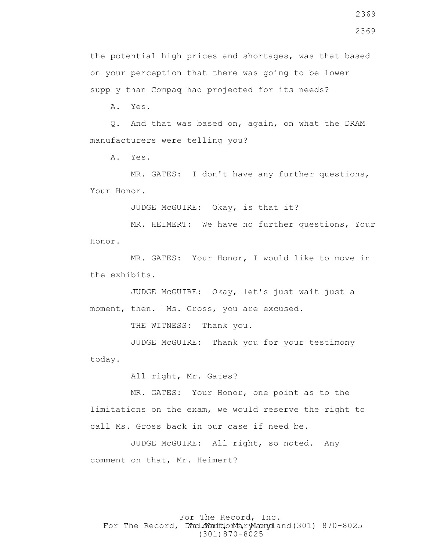2369

the potential high prices and shortages, was that based on your perception that there was going to be lower supply than Compaq had projected for its needs?

A. Yes.

 Q. And that was based on, again, on what the DRAM manufacturers were telling you?

A. Yes.

 MR. GATES: I don't have any further questions, Your Honor.

JUDGE McGUIRE: Okay, is that it?

 MR. HEIMERT: We have no further questions, Your Honor.

 MR. GATES: Your Honor, I would like to move in the exhibits.

 JUDGE McGUIRE: Okay, let's just wait just a moment, then. Ms. Gross, you are excused.

THE WITNESS: Thank you.

 JUDGE McGUIRE: Thank you for your testimony today.

All right, Mr. Gates?

 MR. GATES: Your Honor, one point as to the limitations on the exam, we would reserve the right to call Ms. Gross back in our case if need be.

 JUDGE McGUIRE: All right, so noted. Any comment on that, Mr. Heimert?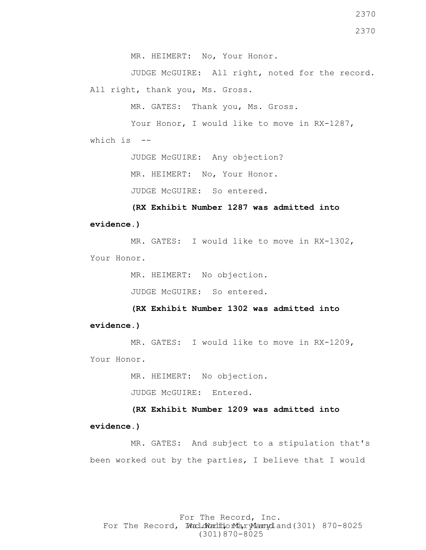2370

MR. HEIMERT: No, Your Honor.

 JUDGE McGUIRE: All right, noted for the record. All right, thank you, Ms. Gross.

MR. GATES: Thank you, Ms. Gross.

Your Honor, I would like to move in RX-1287, which is  $-$ 

JUDGE McGUIRE: Any objection?

MR. HEIMERT: No, Your Honor.

JUDGE McGUIRE: So entered.

 **(RX Exhibit Number 1287 was admitted into evidence.)**

MR. GATES: I would like to move in RX-1302, Your Honor.

MR. HEIMERT: No objection.

JUDGE McGUIRE: So entered.

 **(RX Exhibit Number 1302 was admitted into** 

**evidence.)**

MR. GATES: I would like to move in RX-1209, Your Honor.

MR. HEIMERT: No objection.

JUDGE McGUIRE: Entered.

 **(RX Exhibit Number 1209 was admitted into evidence.)**

 MR. GATES: And subject to a stipulation that's been worked out by the parties, I believe that I would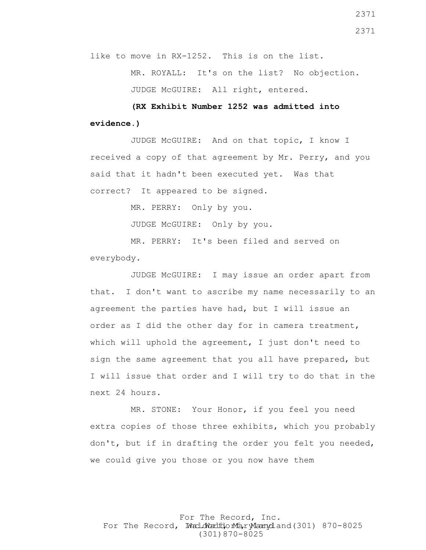like to move in RX-1252. This is on the list.

 MR. ROYALL: It's on the list? No objection. JUDGE McGUIRE: All right, entered.

 **(RX Exhibit Number 1252 was admitted into evidence.)**

 JUDGE McGUIRE: And on that topic, I know I received a copy of that agreement by Mr. Perry, and you said that it hadn't been executed yet. Was that correct? It appeared to be signed.

MR. PERRY: Only by you.

JUDGE McGUIRE: Only by you.

 MR. PERRY: It's been filed and served on everybody.

 JUDGE McGUIRE: I may issue an order apart from that. I don't want to ascribe my name necessarily to an agreement the parties have had, but I will issue an order as I did the other day for in camera treatment, which will uphold the agreement, I just don't need to sign the same agreement that you all have prepared, but I will issue that order and I will try to do that in the next 24 hours.

 MR. STONE: Your Honor, if you feel you need extra copies of those three exhibits, which you probably don't, but if in drafting the order you felt you needed, we could give you those or you now have them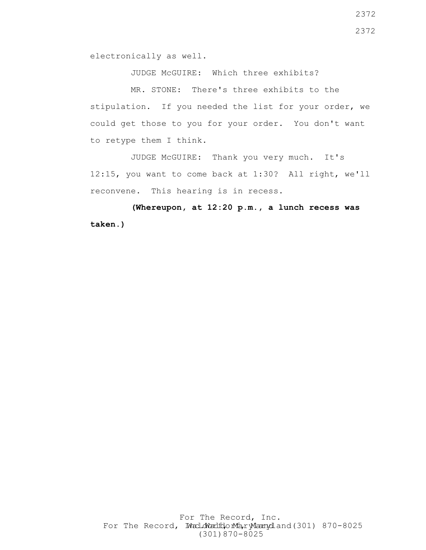electronically as well.

JUDGE McGUIRE: Which three exhibits?

 MR. STONE: There's three exhibits to the stipulation. If you needed the list for your order, we could get those to you for your order. You don't want to retype them I think.

 JUDGE McGUIRE: Thank you very much. It's 12:15, you want to come back at 1:30? All right, we'll reconvene. This hearing is in recess.

 **(Whereupon, at 12:20 p.m., a lunch recess was taken.)**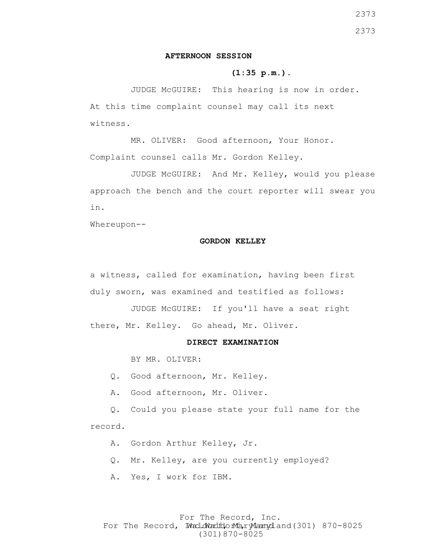#### **AFTERNOON SESSION**

#### **(1:35 p.m.)**.

 JUDGE McGUIRE: This hearing is now in order. At this time complaint counsel may call its next witness.

 MR. OLIVER: Good afternoon, Your Honor. Complaint counsel calls Mr. Gordon Kelley.

 JUDGE McGUIRE: And Mr. Kelley, would you please approach the bench and the court reporter will swear you in.

Whereupon--

#### **GORDON KELLEY**

a witness, called for examination, having been first duly sworn, was examined and testified as follows:

 JUDGE McGUIRE: If you'll have a seat right there, Mr. Kelley. Go ahead, Mr. Oliver.

#### **DIRECT EXAMINATION**

BY MR. OLIVER:

Q. Good afternoon, Mr. Kelley.

A. Good afternoon, Mr. Oliver.

 Q. Could you please state your full name for the record.

A. Gordon Arthur Kelley, Jr.

Q. Mr. Kelley, are you currently employed?

A. Yes, I work for IBM.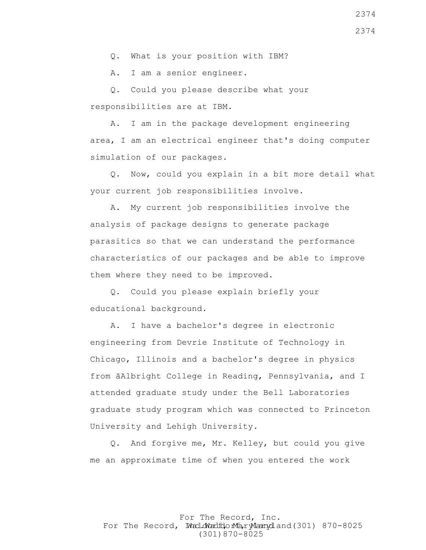Q. What is your position with IBM?

A. I am a senior engineer.

 Q. Could you please describe what your responsibilities are at IBM.

 A. I am in the package development engineering area, I am an electrical engineer that's doing computer simulation of our packages.

 Q. Now, could you explain in a bit more detail what your current job responsibilities involve.

 A. My current job responsibilities involve the analysis of package designs to generate package parasitics so that we can understand the performance characteristics of our packages and be able to improve them where they need to be improved.

 Q. Could you please explain briefly your educational background.

 A. I have a bachelor's degree in electronic engineering from Devrie Institute of Technology in Chicago, Illinois and a bachelor's degree in physics from ãAlbright College in Reading, Pennsylvania, and I attended graduate study under the Bell Laboratories graduate study program which was connected to Princeton University and Lehigh University.

 Q. And forgive me, Mr. Kelley, but could you give me an approximate time of when you entered the work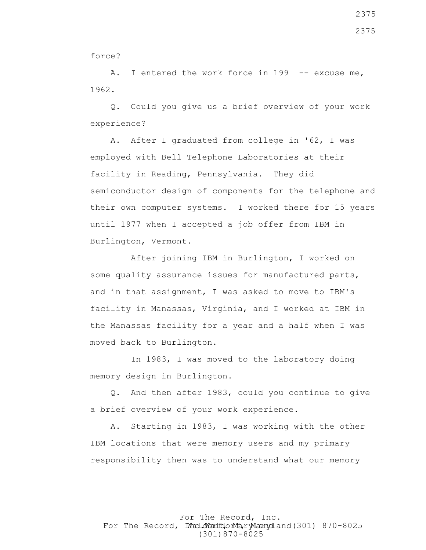force?

A. I entered the work force in 199 -- excuse me, 1962.

 Q. Could you give us a brief overview of your work experience?

 A. After I graduated from college in '62, I was employed with Bell Telephone Laboratories at their facility in Reading, Pennsylvania. They did semiconductor design of components for the telephone and their own computer systems. I worked there for 15 years until 1977 when I accepted a job offer from IBM in Burlington, Vermont.

 After joining IBM in Burlington, I worked on some quality assurance issues for manufactured parts, and in that assignment, I was asked to move to IBM's facility in Manassas, Virginia, and I worked at IBM in the Manassas facility for a year and a half when I was moved back to Burlington.

In 1983, I was moved to the laboratory doing memory design in Burlington.

 Q. And then after 1983, could you continue to give a brief overview of your work experience.

 A. Starting in 1983, I was working with the other IBM locations that were memory users and my primary responsibility then was to understand what our memory

For The Record, Inc. For The Record, Ward.dWardfdorMa, ryMannydland(301) 870-8025 (301)870-8025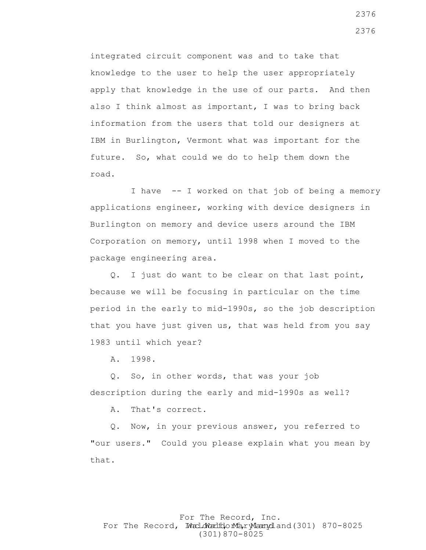integrated circuit component was and to take that knowledge to the user to help the user appropriately apply that knowledge in the use of our parts. And then also I think almost as important, I was to bring back information from the users that told our designers at IBM in Burlington, Vermont what was important for the future. So, what could we do to help them down the road.

 I have -- I worked on that job of being a memory applications engineer, working with device designers in Burlington on memory and device users around the IBM Corporation on memory, until 1998 when I moved to the package engineering area.

 Q. I just do want to be clear on that last point, because we will be focusing in particular on the time period in the early to mid-1990s, so the job description that you have just given us, that was held from you say 1983 until which year?

A. 1998.

 Q. So, in other words, that was your job description during the early and mid-1990s as well?

A. That's correct.

 Q. Now, in your previous answer, you referred to "our users." Could you please explain what you mean by that.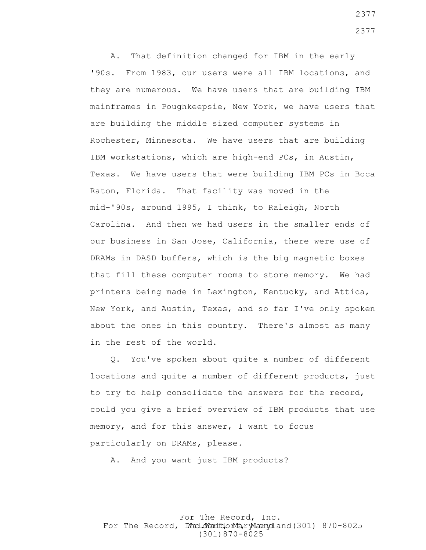A. That definition changed for IBM in the early '90s. From 1983, our users were all IBM locations, and they are numerous. We have users that are building IBM mainframes in Poughkeepsie, New York, we have users that are building the middle sized computer systems in Rochester, Minnesota. We have users that are building IBM workstations, which are high-end PCs, in Austin, Texas. We have users that were building IBM PCs in Boca Raton, Florida. That facility was moved in the mid-'90s, around 1995, I think, to Raleigh, North Carolina. And then we had users in the smaller ends of our business in San Jose, California, there were use of DRAMs in DASD buffers, which is the big magnetic boxes that fill these computer rooms to store memory. We had printers being made in Lexington, Kentucky, and Attica, New York, and Austin, Texas, and so far I've only spoken about the ones in this country. There's almost as many in the rest of the world.

 Q. You've spoken about quite a number of different locations and quite a number of different products, just to try to help consolidate the answers for the record, could you give a brief overview of IBM products that use memory, and for this answer, I want to focus particularly on DRAMs, please.

A. And you want just IBM products?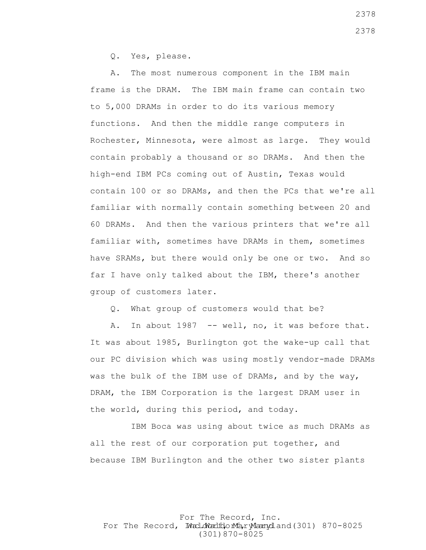Q. Yes, please.

 A. The most numerous component in the IBM main frame is the DRAM. The IBM main frame can contain two to 5,000 DRAMs in order to do its various memory functions. And then the middle range computers in Rochester, Minnesota, were almost as large. They would contain probably a thousand or so DRAMs. And then the high-end IBM PCs coming out of Austin, Texas would contain 100 or so DRAMs, and then the PCs that we're all familiar with normally contain something between 20 and 60 DRAMs. And then the various printers that we're all familiar with, sometimes have DRAMs in them, sometimes have SRAMs, but there would only be one or two. And so far I have only talked about the IBM, there's another group of customers later.

Q. What group of customers would that be?

A. In about 1987 -- well, no, it was before that. It was about 1985, Burlington got the wake-up call that our PC division which was using mostly vendor-made DRAMs was the bulk of the IBM use of DRAMs, and by the way, DRAM, the IBM Corporation is the largest DRAM user in the world, during this period, and today.

 IBM Boca was using about twice as much DRAMs as all the rest of our corporation put together, and because IBM Burlington and the other two sister plants

For The Record, Inc. For The Record, Ward.dWardfdorMa, ryMannydland(301) 870-8025 (301)870-8025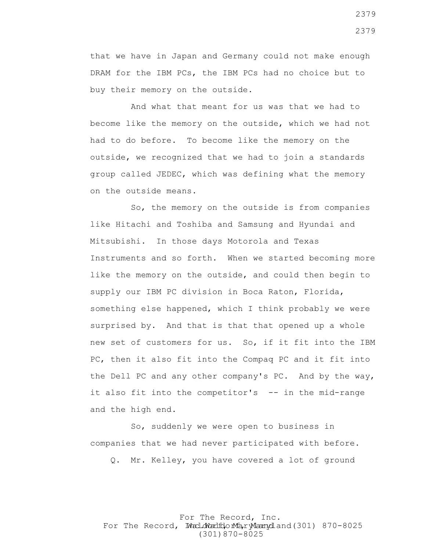that we have in Japan and Germany could not make enough DRAM for the IBM PCs, the IBM PCs had no choice but to buy their memory on the outside.

 And what that meant for us was that we had to become like the memory on the outside, which we had not had to do before. To become like the memory on the outside, we recognized that we had to join a standards group called JEDEC, which was defining what the memory on the outside means.

 So, the memory on the outside is from companies like Hitachi and Toshiba and Samsung and Hyundai and Mitsubishi. In those days Motorola and Texas Instruments and so forth. When we started becoming more like the memory on the outside, and could then begin to supply our IBM PC division in Boca Raton, Florida, something else happened, which I think probably we were surprised by. And that is that that opened up a whole new set of customers for us. So, if it fit into the IBM PC, then it also fit into the Compaq PC and it fit into the Dell PC and any other company's PC. And by the way, it also fit into the competitor's -- in the mid-range and the high end.

 So, suddenly we were open to business in companies that we had never participated with before.

Q. Mr. Kelley, you have covered a lot of ground

For The Record, Inc. For The Record, Ward.dWardfdorMa, ryMannydland(301) 870-8025 (301)870-8025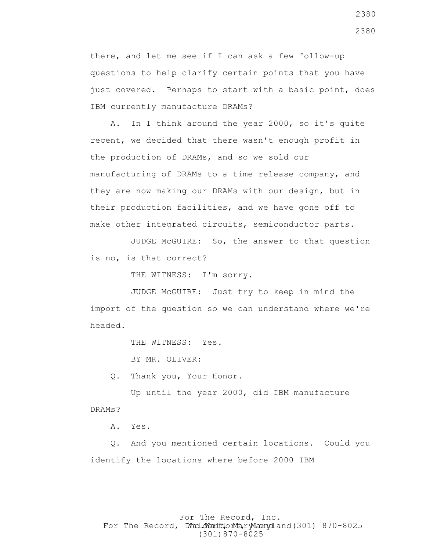there, and let me see if I can ask a few follow-up questions to help clarify certain points that you have just covered. Perhaps to start with a basic point, does IBM currently manufacture DRAMs?

 A. In I think around the year 2000, so it's quite recent, we decided that there wasn't enough profit in the production of DRAMs, and so we sold our manufacturing of DRAMs to a time release company, and they are now making our DRAMs with our design, but in their production facilities, and we have gone off to make other integrated circuits, semiconductor parts.

 JUDGE McGUIRE: So, the answer to that question is no, is that correct?

THE WITNESS: I'm sorry.

 JUDGE McGUIRE: Just try to keep in mind the import of the question so we can understand where we're headed.

THE WITNESS: Yes.

BY MR. OLIVER:

Q. Thank you, Your Honor.

 Up until the year 2000, did IBM manufacture DRAMs?

A. Yes.

 Q. And you mentioned certain locations. Could you identify the locations where before 2000 IBM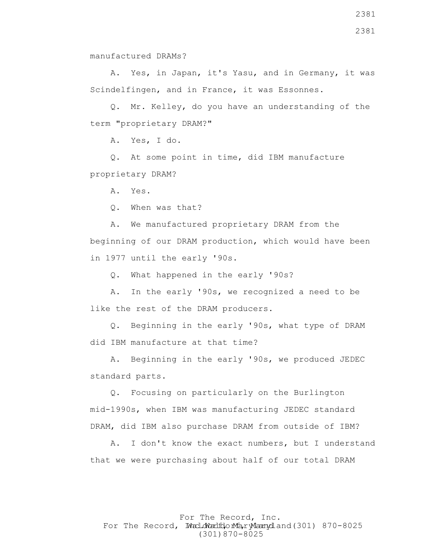manufactured DRAMs?

 A. Yes, in Japan, it's Yasu, and in Germany, it was Scindelfingen, and in France, it was Essonnes.

 Q. Mr. Kelley, do you have an understanding of the term "proprietary DRAM?"

A. Yes, I do.

 Q. At some point in time, did IBM manufacture proprietary DRAM?

A. Yes.

Q. When was that?

 A. We manufactured proprietary DRAM from the beginning of our DRAM production, which would have been in 1977 until the early '90s.

Q. What happened in the early '90s?

 A. In the early '90s, we recognized a need to be like the rest of the DRAM producers.

 Q. Beginning in the early '90s, what type of DRAM did IBM manufacture at that time?

 A. Beginning in the early '90s, we produced JEDEC standard parts.

 Q. Focusing on particularly on the Burlington mid-1990s, when IBM was manufacturing JEDEC standard DRAM, did IBM also purchase DRAM from outside of IBM?

 A. I don't know the exact numbers, but I understand that we were purchasing about half of our total DRAM

For The Record, Inc. For The Record, Ward.dWardfdorMa, ryMannydland(301) 870-8025 (301)870-8025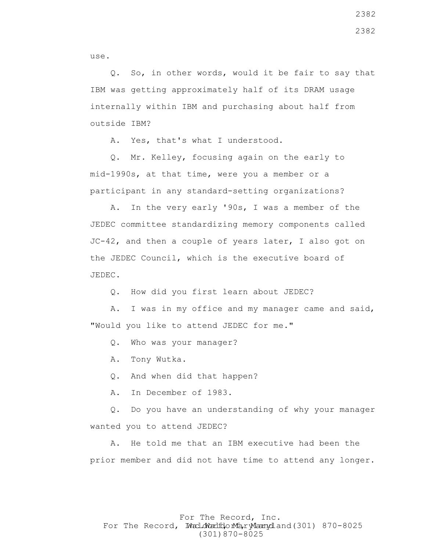use.

 Q. So, in other words, would it be fair to say that IBM was getting approximately half of its DRAM usage internally within IBM and purchasing about half from outside IBM?

A. Yes, that's what I understood.

 Q. Mr. Kelley, focusing again on the early to mid-1990s, at that time, were you a member or a participant in any standard-setting organizations?

 A. In the very early '90s, I was a member of the JEDEC committee standardizing memory components called JC-42, and then a couple of years later, I also got on the JEDEC Council, which is the executive board of JEDEC.

Q. How did you first learn about JEDEC?

 A. I was in my office and my manager came and said, "Would you like to attend JEDEC for me."

Q. Who was your manager?

A. Tony Wutka.

Q. And when did that happen?

A. In December of 1983.

 Q. Do you have an understanding of why your manager wanted you to attend JEDEC?

 A. He told me that an IBM executive had been the prior member and did not have time to attend any longer.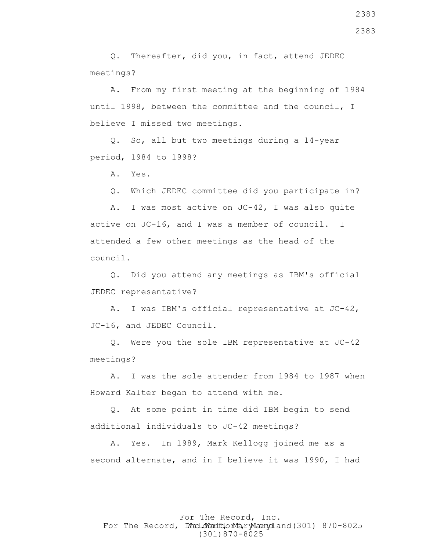Q. Thereafter, did you, in fact, attend JEDEC meetings?

 A. From my first meeting at the beginning of 1984 until 1998, between the committee and the council, I believe I missed two meetings.

 Q. So, all but two meetings during a 14-year period, 1984 to 1998?

A. Yes.

Q. Which JEDEC committee did you participate in?

 A. I was most active on JC-42, I was also quite active on JC-16, and I was a member of council. I attended a few other meetings as the head of the council.

 Q. Did you attend any meetings as IBM's official JEDEC representative?

 A. I was IBM's official representative at JC-42, JC-16, and JEDEC Council.

 Q. Were you the sole IBM representative at JC-42 meetings?

 A. I was the sole attender from 1984 to 1987 when Howard Kalter began to attend with me.

 Q. At some point in time did IBM begin to send additional individuals to JC-42 meetings?

 A. Yes. In 1989, Mark Kellogg joined me as a second alternate, and in I believe it was 1990, I had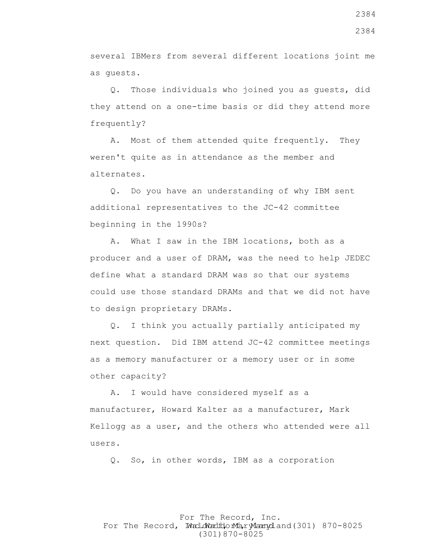several IBMers from several different locations joint me as guests.

 Q. Those individuals who joined you as guests, did they attend on a one-time basis or did they attend more frequently?

 A. Most of them attended quite frequently. They weren't quite as in attendance as the member and alternates.

 Q. Do you have an understanding of why IBM sent additional representatives to the JC-42 committee beginning in the 1990s?

 A. What I saw in the IBM locations, both as a producer and a user of DRAM, was the need to help JEDEC define what a standard DRAM was so that our systems could use those standard DRAMs and that we did not have to design proprietary DRAMs.

 Q. I think you actually partially anticipated my next question. Did IBM attend JC-42 committee meetings as a memory manufacturer or a memory user or in some other capacity?

 A. I would have considered myself as a manufacturer, Howard Kalter as a manufacturer, Mark Kellogg as a user, and the others who attended were all users.

Q. So, in other words, IBM as a corporation

For The Record, Inc. For The Record, Ward.dWardfdorMa, ryMannydland(301) 870-8025 (301)870-8025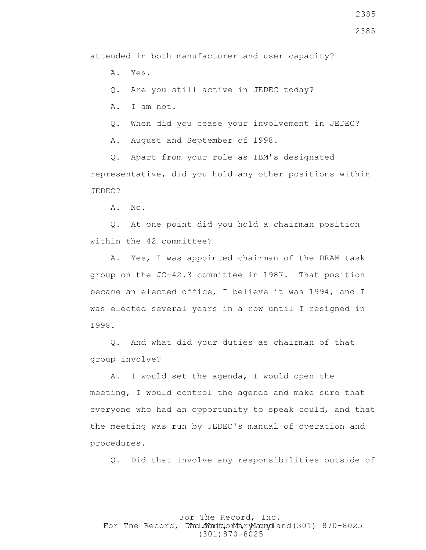2385

attended in both manufacturer and user capacity?

A. Yes.

Q. Are you still active in JEDEC today?

A. I am not.

Q. When did you cease your involvement in JEDEC?

A. August and September of 1998.

 Q. Apart from your role as IBM's designated representative, did you hold any other positions within JEDEC?

A. No.

 Q. At one point did you hold a chairman position within the 42 committee?

 A. Yes, I was appointed chairman of the DRAM task group on the JC-42.3 committee in 1987. That position became an elected office, I believe it was 1994, and I was elected several years in a row until I resigned in 1998.

 Q. And what did your duties as chairman of that group involve?

 A. I would set the agenda, I would open the meeting, I would control the agenda and make sure that everyone who had an opportunity to speak could, and that the meeting was run by JEDEC's manual of operation and procedures.

Q. Did that involve any responsibilities outside of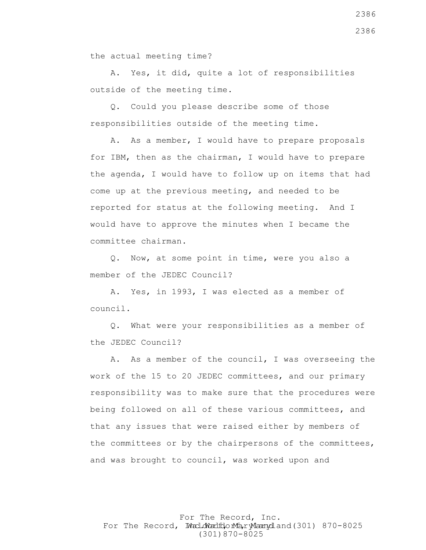the actual meeting time?

 A. Yes, it did, quite a lot of responsibilities outside of the meeting time.

 Q. Could you please describe some of those responsibilities outside of the meeting time.

 A. As a member, I would have to prepare proposals for IBM, then as the chairman, I would have to prepare the agenda, I would have to follow up on items that had come up at the previous meeting, and needed to be reported for status at the following meeting. And I would have to approve the minutes when I became the committee chairman.

 Q. Now, at some point in time, were you also a member of the JEDEC Council?

 A. Yes, in 1993, I was elected as a member of council.

 Q. What were your responsibilities as a member of the JEDEC Council?

 A. As a member of the council, I was overseeing the work of the 15 to 20 JEDEC committees, and our primary responsibility was to make sure that the procedures were being followed on all of these various committees, and that any issues that were raised either by members of the committees or by the chairpersons of the committees, and was brought to council, was worked upon and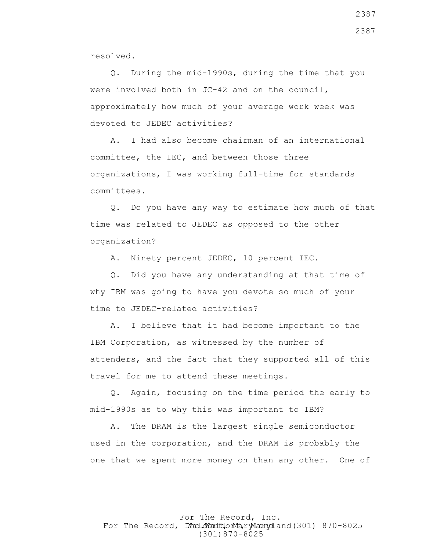resolved.

 Q. During the mid-1990s, during the time that you were involved both in JC-42 and on the council, approximately how much of your average work week was devoted to JEDEC activities?

 A. I had also become chairman of an international committee, the IEC, and between those three organizations, I was working full-time for standards committees.

 Q. Do you have any way to estimate how much of that time was related to JEDEC as opposed to the other organization?

A. Ninety percent JEDEC, 10 percent IEC.

 Q. Did you have any understanding at that time of why IBM was going to have you devote so much of your time to JEDEC-related activities?

 A. I believe that it had become important to the IBM Corporation, as witnessed by the number of attenders, and the fact that they supported all of this travel for me to attend these meetings.

 Q. Again, focusing on the time period the early to mid-1990s as to why this was important to IBM?

 A. The DRAM is the largest single semiconductor used in the corporation, and the DRAM is probably the one that we spent more money on than any other. One of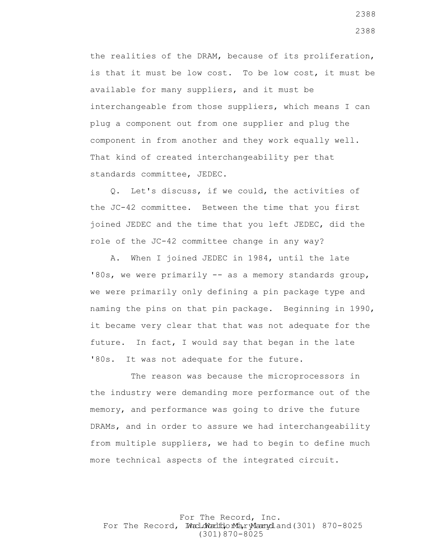the realities of the DRAM, because of its proliferation, is that it must be low cost. To be low cost, it must be available for many suppliers, and it must be interchangeable from those suppliers, which means I can plug a component out from one supplier and plug the component in from another and they work equally well. That kind of created interchangeability per that standards committee, JEDEC.

 Q. Let's discuss, if we could, the activities of the JC-42 committee. Between the time that you first joined JEDEC and the time that you left JEDEC, did the role of the JC-42 committee change in any way?

 A. When I joined JEDEC in 1984, until the late '80s, we were primarily -- as a memory standards group, we were primarily only defining a pin package type and naming the pins on that pin package. Beginning in 1990, it became very clear that that was not adequate for the future. In fact, I would say that began in the late '80s. It was not adequate for the future.

 The reason was because the microprocessors in the industry were demanding more performance out of the memory, and performance was going to drive the future DRAMs, and in order to assure we had interchangeability from multiple suppliers, we had to begin to define much more technical aspects of the integrated circuit.

For The Record, Inc. For The Record, Ward.dWardfdorMa, ryMannydland(301) 870-8025 (301)870-8025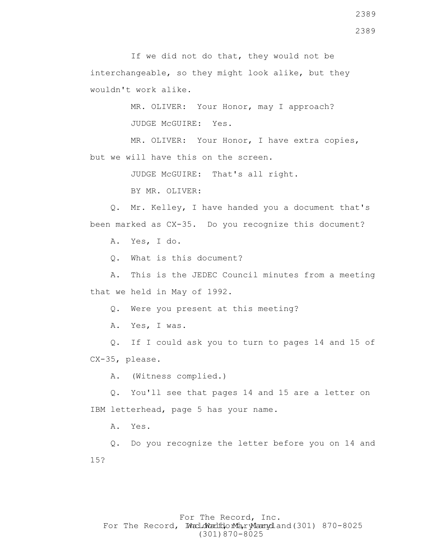If we did not do that, they would not be interchangeable, so they might look alike, but they wouldn't work alike.

> MR. OLIVER: Your Honor, may I approach? JUDGE McGUIRE: Yes.

MR. OLIVER: Your Honor, I have extra copies, but we will have this on the screen.

JUDGE McGUIRE: That's all right.

BY MR. OLIVER:

 Q. Mr. Kelley, I have handed you a document that's been marked as CX-35. Do you recognize this document?

A. Yes, I do.

Q. What is this document?

 A. This is the JEDEC Council minutes from a meeting that we held in May of 1992.

Q. Were you present at this meeting?

A. Yes, I was.

 Q. If I could ask you to turn to pages 14 and 15 of CX-35, please.

A. (Witness complied.)

 Q. You'll see that pages 14 and 15 are a letter on IBM letterhead, page 5 has your name.

A. Yes.

 Q. Do you recognize the letter before you on 14 and 15?

# For The Record, Inc. For The Record, Ward.dWardfdorMa, ryMannydland(301) 870-8025 (301)870-8025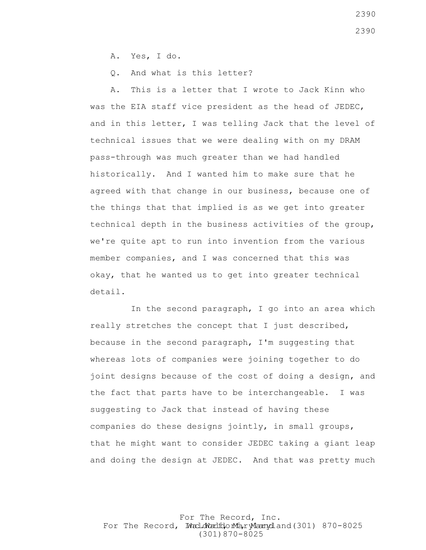A. Yes, I do.

Q. And what is this letter?

 A. This is a letter that I wrote to Jack Kinn who was the EIA staff vice president as the head of JEDEC, and in this letter, I was telling Jack that the level of technical issues that we were dealing with on my DRAM pass-through was much greater than we had handled historically. And I wanted him to make sure that he agreed with that change in our business, because one of the things that that implied is as we get into greater technical depth in the business activities of the group, we're quite apt to run into invention from the various member companies, and I was concerned that this was okay, that he wanted us to get into greater technical detail.

 In the second paragraph, I go into an area which really stretches the concept that I just described, because in the second paragraph, I'm suggesting that whereas lots of companies were joining together to do joint designs because of the cost of doing a design, and the fact that parts have to be interchangeable. I was suggesting to Jack that instead of having these companies do these designs jointly, in small groups, that he might want to consider JEDEC taking a giant leap and doing the design at JEDEC. And that was pretty much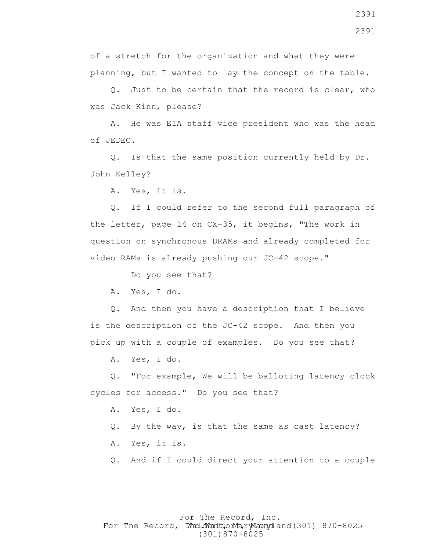of a stretch for the organization and what they were planning, but I wanted to lay the concept on the table.

 Q. Just to be certain that the record is clear, who was Jack Kinn, please?

 A. He was EIA staff vice president who was the head of JEDEC.

 Q. Is that the same position currently held by Dr. John Kelley?

A. Yes, it is.

 Q. If I could refer to the second full paragraph of the letter, page 14 on CX-35, it begins, "The work in question on synchronous DRAMs and already completed for video RAMs is already pushing our JC-42 scope."

Do you see that?

A. Yes, I do.

 Q. And then you have a description that I believe is the description of the JC-42 scope. And then you pick up with a couple of examples. Do you see that?

A. Yes, I do.

 Q. "For example, We will be balloting latency clock cycles for access." Do you see that?

A. Yes, I do.

- Q. By the way, is that the same as cast latency?
- A. Yes, it is.
- Q. And if I could direct your attention to a couple

# For The Record, Inc. For The Record, Ward.dWardfdorMa, ryMannydland(301) 870-8025 (301)870-8025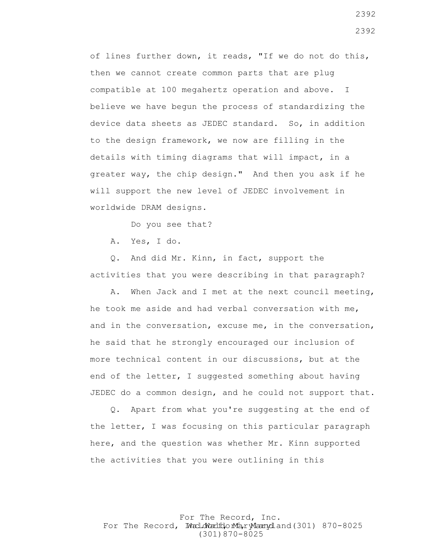of lines further down, it reads, "If we do not do this, then we cannot create common parts that are plug compatible at 100 megahertz operation and above. I believe we have begun the process of standardizing the device data sheets as JEDEC standard. So, in addition to the design framework, we now are filling in the details with timing diagrams that will impact, in a greater way, the chip design." And then you ask if he will support the new level of JEDEC involvement in worldwide DRAM designs.

Do you see that?

A. Yes, I do.

 Q. And did Mr. Kinn, in fact, support the activities that you were describing in that paragraph?

 A. When Jack and I met at the next council meeting, he took me aside and had verbal conversation with me, and in the conversation, excuse me, in the conversation, he said that he strongly encouraged our inclusion of more technical content in our discussions, but at the end of the letter, I suggested something about having JEDEC do a common design, and he could not support that.

 Q. Apart from what you're suggesting at the end of the letter, I was focusing on this particular paragraph here, and the question was whether Mr. Kinn supported the activities that you were outlining in this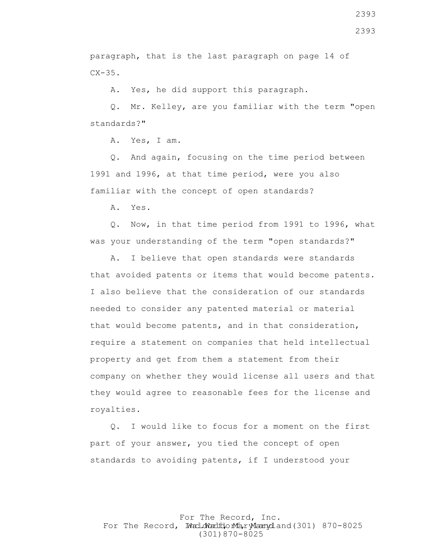2393

paragraph, that is the last paragraph on page 14 of  $CX-35.$ 

A. Yes, he did support this paragraph.

 Q. Mr. Kelley, are you familiar with the term "open standards?"

A. Yes, I am.

 Q. And again, focusing on the time period between 1991 and 1996, at that time period, were you also familiar with the concept of open standards?

A. Yes.

 Q. Now, in that time period from 1991 to 1996, what was your understanding of the term "open standards?"

 A. I believe that open standards were standards that avoided patents or items that would become patents. I also believe that the consideration of our standards needed to consider any patented material or material that would become patents, and in that consideration, require a statement on companies that held intellectual property and get from them a statement from their company on whether they would license all users and that they would agree to reasonable fees for the license and royalties.

 Q. I would like to focus for a moment on the first part of your answer, you tied the concept of open standards to avoiding patents, if I understood your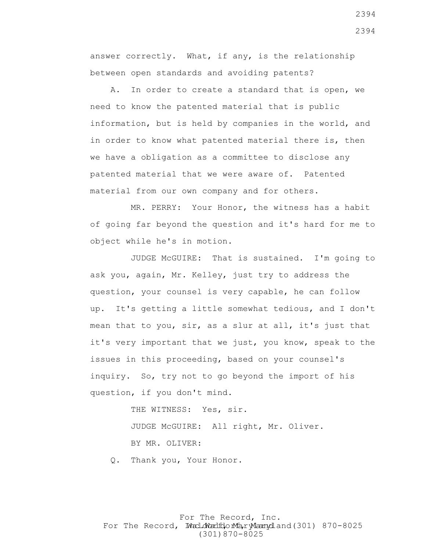answer correctly. What, if any, is the relationship between open standards and avoiding patents?

 A. In order to create a standard that is open, we need to know the patented material that is public information, but is held by companies in the world, and in order to know what patented material there is, then we have a obligation as a committee to disclose any patented material that we were aware of. Patented material from our own company and for others.

 MR. PERRY: Your Honor, the witness has a habit of going far beyond the question and it's hard for me to object while he's in motion.

 JUDGE McGUIRE: That is sustained. I'm going to ask you, again, Mr. Kelley, just try to address the question, your counsel is very capable, he can follow up. It's getting a little somewhat tedious, and I don't mean that to you, sir, as a slur at all, it's just that it's very important that we just, you know, speak to the issues in this proceeding, based on your counsel's inquiry. So, try not to go beyond the import of his question, if you don't mind.

THE WITNESS: Yes, sir.

 JUDGE McGUIRE: All right, Mr. Oliver. BY MR. OLIVER:

Q. Thank you, Your Honor.

For The Record, Inc. For The Record, Ward.dWardfdorMa, ryMannydland(301) 870-8025 (301)870-8025

2394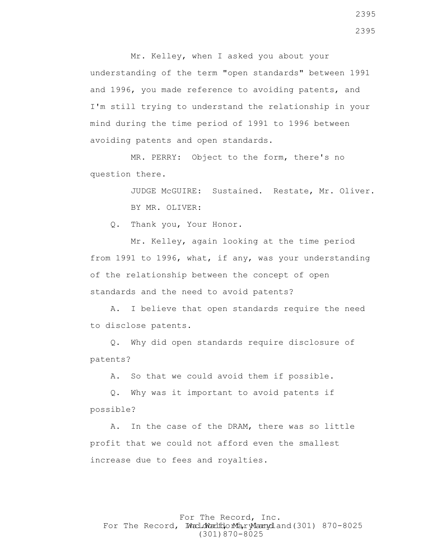Mr. Kelley, when I asked you about your understanding of the term "open standards" between 1991 and 1996, you made reference to avoiding patents, and I'm still trying to understand the relationship in your mind during the time period of 1991 to 1996 between avoiding patents and open standards.

 MR. PERRY: Object to the form, there's no question there.

> JUDGE McGUIRE: Sustained. Restate, Mr. Oliver. BY MR. OLIVER:

Q. Thank you, Your Honor.

 Mr. Kelley, again looking at the time period from 1991 to 1996, what, if any, was your understanding of the relationship between the concept of open standards and the need to avoid patents?

 A. I believe that open standards require the need to disclose patents.

 Q. Why did open standards require disclosure of patents?

A. So that we could avoid them if possible.

 Q. Why was it important to avoid patents if possible?

 A. In the case of the DRAM, there was so little profit that we could not afford even the smallest increase due to fees and royalties.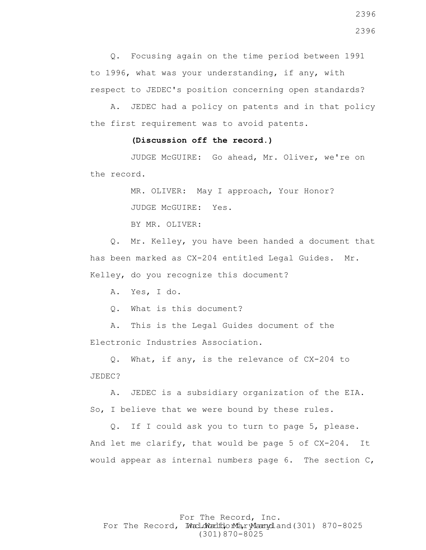Q. Focusing again on the time period between 1991 to 1996, what was your understanding, if any, with respect to JEDEC's position concerning open standards?

 A. JEDEC had a policy on patents and in that policy the first requirement was to avoid patents.

#### **(Discussion off the record.)**

 JUDGE McGUIRE: Go ahead, Mr. Oliver, we're on the record.

MR. OLIVER: May I approach, Your Honor?

JUDGE McGUIRE: Yes.

BY MR. OLIVER:

 Q. Mr. Kelley, you have been handed a document that has been marked as CX-204 entitled Legal Guides. Mr. Kelley, do you recognize this document?

A. Yes, I do.

Q. What is this document?

 A. This is the Legal Guides document of the Electronic Industries Association.

 Q. What, if any, is the relevance of CX-204 to JEDEC?

 A. JEDEC is a subsidiary organization of the EIA. So, I believe that we were bound by these rules.

 Q. If I could ask you to turn to page 5, please. And let me clarify, that would be page 5 of CX-204. It would appear as internal numbers page 6. The section C,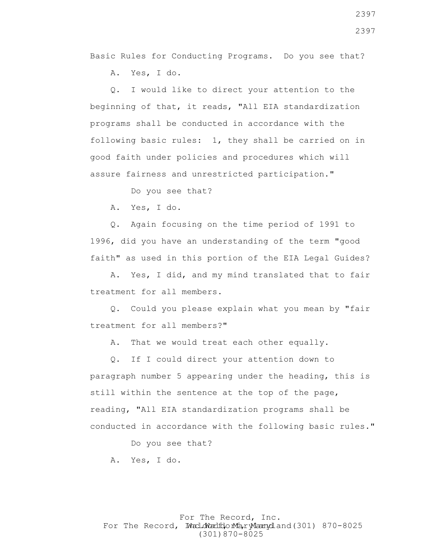Basic Rules for Conducting Programs. Do you see that?

A. Yes, I do.

 Q. I would like to direct your attention to the beginning of that, it reads, "All EIA standardization programs shall be conducted in accordance with the following basic rules: 1, they shall be carried on in good faith under policies and procedures which will assure fairness and unrestricted participation."

Do you see that?

A. Yes, I do.

 Q. Again focusing on the time period of 1991 to 1996, did you have an understanding of the term "good faith" as used in this portion of the EIA Legal Guides?

 A. Yes, I did, and my mind translated that to fair treatment for all members.

 Q. Could you please explain what you mean by "fair treatment for all members?"

A. That we would treat each other equally.

 Q. If I could direct your attention down to paragraph number 5 appearing under the heading, this is still within the sentence at the top of the page, reading, "All EIA standardization programs shall be conducted in accordance with the following basic rules."

Do you see that?

A. Yes, I do.

#### For The Record, Inc. For The Record, Ward.dWardfdorMa, ryMannydland(301) 870-8025 (301)870-8025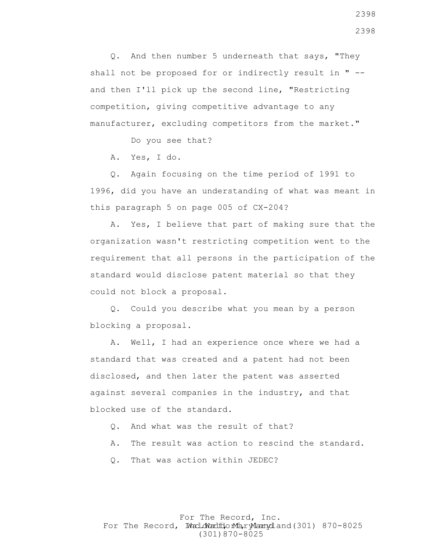Q. And then number 5 underneath that says, "They shall not be proposed for or indirectly result in " - and then I'll pick up the second line, "Restricting competition, giving competitive advantage to any manufacturer, excluding competitors from the market."

Do you see that?

A. Yes, I do.

 Q. Again focusing on the time period of 1991 to 1996, did you have an understanding of what was meant in this paragraph 5 on page 005 of CX-204?

 A. Yes, I believe that part of making sure that the organization wasn't restricting competition went to the requirement that all persons in the participation of the standard would disclose patent material so that they could not block a proposal.

 Q. Could you describe what you mean by a person blocking a proposal.

 A. Well, I had an experience once where we had a standard that was created and a patent had not been disclosed, and then later the patent was asserted against several companies in the industry, and that blocked use of the standard.

- Q. And what was the result of that?
- A. The result was action to rescind the standard.
- Q. That was action within JEDEC?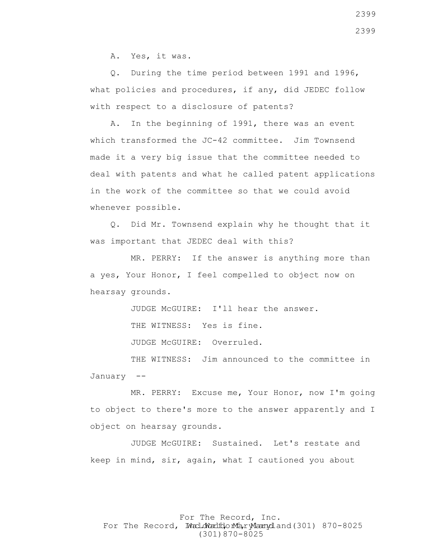A. Yes, it was.

 Q. During the time period between 1991 and 1996, what policies and procedures, if any, did JEDEC follow with respect to a disclosure of patents?

 A. In the beginning of 1991, there was an event which transformed the JC-42 committee. Jim Townsend made it a very big issue that the committee needed to deal with patents and what he called patent applications in the work of the committee so that we could avoid whenever possible.

 Q. Did Mr. Townsend explain why he thought that it was important that JEDEC deal with this?

 MR. PERRY: If the answer is anything more than a yes, Your Honor, I feel compelled to object now on hearsay grounds.

JUDGE McGUIRE: I'll hear the answer.

THE WITNESS: Yes is fine.

JUDGE McGUIRE: Overruled.

THE WITNESS: Jim announced to the committee in January --

 MR. PERRY: Excuse me, Your Honor, now I'm going to object to there's more to the answer apparently and I object on hearsay grounds.

 JUDGE McGUIRE: Sustained. Let's restate and keep in mind, sir, again, what I cautioned you about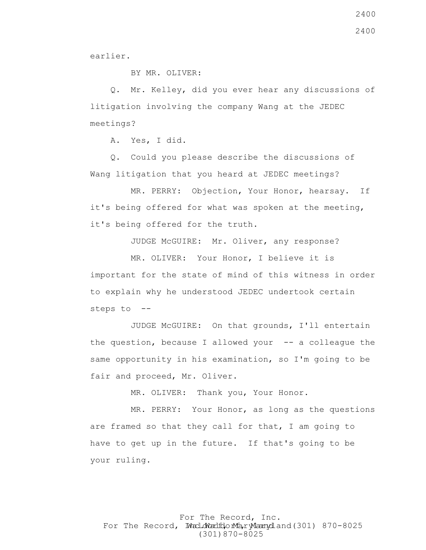earlier.

BY MR. OLIVER:

 Q. Mr. Kelley, did you ever hear any discussions of litigation involving the company Wang at the JEDEC meetings?

A. Yes, I did.

 Q. Could you please describe the discussions of Wang litigation that you heard at JEDEC meetings?

 MR. PERRY: Objection, Your Honor, hearsay. If it's being offered for what was spoken at the meeting, it's being offered for the truth.

JUDGE McGUIRE: Mr. Oliver, any response?

 MR. OLIVER: Your Honor, I believe it is important for the state of mind of this witness in order to explain why he understood JEDEC undertook certain steps to --

 JUDGE McGUIRE: On that grounds, I'll entertain the question, because I allowed your  $-$ - a colleague the same opportunity in his examination, so I'm going to be fair and proceed, Mr. Oliver.

MR. OLIVER: Thank you, Your Honor.

 MR. PERRY: Your Honor, as long as the questions are framed so that they call for that, I am going to have to get up in the future. If that's going to be your ruling.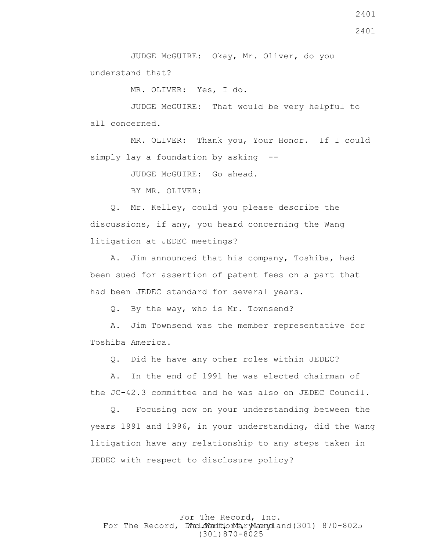JUDGE McGUIRE: Okay, Mr. Oliver, do you understand that?

MR. OLIVER: Yes, I do.

 JUDGE McGUIRE: That would be very helpful to all concerned.

 MR. OLIVER: Thank you, Your Honor. If I could simply lay a foundation by asking --

JUDGE McGUIRE: Go ahead.

BY MR. OLIVER:

 Q. Mr. Kelley, could you please describe the discussions, if any, you heard concerning the Wang litigation at JEDEC meetings?

 A. Jim announced that his company, Toshiba, had been sued for assertion of patent fees on a part that had been JEDEC standard for several years.

Q. By the way, who is Mr. Townsend?

 A. Jim Townsend was the member representative for Toshiba America.

Q. Did he have any other roles within JEDEC?

 A. In the end of 1991 he was elected chairman of the JC-42.3 committee and he was also on JEDEC Council.

 Q. Focusing now on your understanding between the years 1991 and 1996, in your understanding, did the Wang litigation have any relationship to any steps taken in JEDEC with respect to disclosure policy?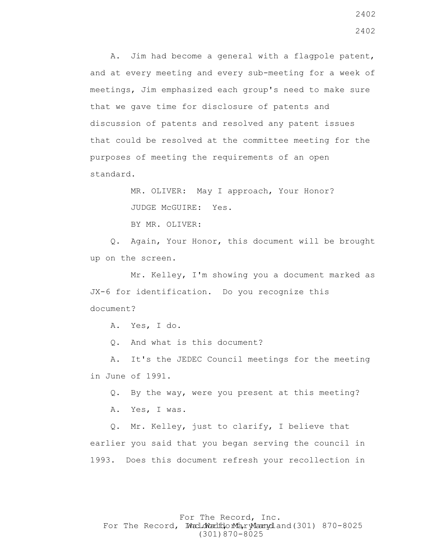A. Jim had become a general with a flagpole patent, and at every meeting and every sub-meeting for a week of meetings, Jim emphasized each group's need to make sure that we gave time for disclosure of patents and discussion of patents and resolved any patent issues that could be resolved at the committee meeting for the purposes of meeting the requirements of an open standard.

> MR. OLIVER: May I approach, Your Honor? JUDGE McGUIRE: Yes.

BY MR. OLIVER:

 Q. Again, Your Honor, this document will be brought up on the screen.

 Mr. Kelley, I'm showing you a document marked as JX-6 for identification. Do you recognize this document?

A. Yes, I do.

Q. And what is this document?

 A. It's the JEDEC Council meetings for the meeting in June of 1991.

Q. By the way, were you present at this meeting?

A. Yes, I was.

 Q. Mr. Kelley, just to clarify, I believe that earlier you said that you began serving the council in 1993. Does this document refresh your recollection in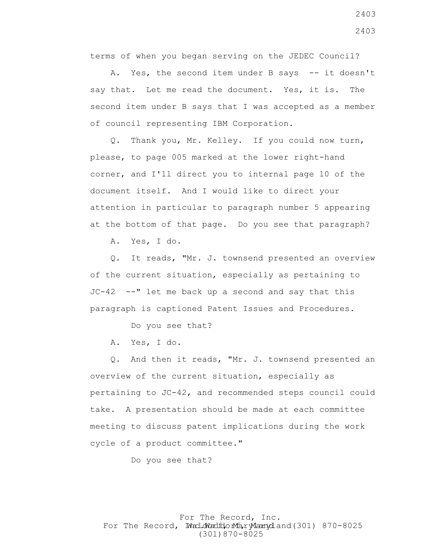terms of when you began serving on the JEDEC Council?

A. Yes, the second item under B says -- it doesn't say that. Let me read the document. Yes, it is. The second item under B says that I was accepted as a member of council representing IBM Corporation.

 Q. Thank you, Mr. Kelley. If you could now turn, please, to page 005 marked at the lower right-hand corner, and I'll direct you to internal page 10 of the document itself. And I would like to direct your attention in particular to paragraph number 5 appearing at the bottom of that page. Do you see that paragraph?

A. Yes, I do.

 Q. It reads, "Mr. J. townsend presented an overview of the current situation, especially as pertaining to JC-42 --" let me back up a second and say that this paragraph is captioned Patent Issues and Procedures.

Do you see that?

A. Yes, I do.

 Q. And then it reads, "Mr. J. townsend presented an overview of the current situation, especially as pertaining to JC-42, and recommended steps council could take. A presentation should be made at each committee meeting to discuss patent implications during the work cycle of a product committee."

Do you see that?

# For The Record, Inc. For The Record, Ward.dWardfdorMa, ryMannydland(301) 870-8025 (301)870-8025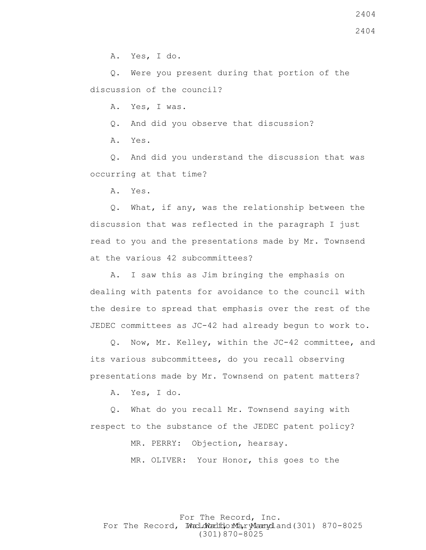A. Yes, I do.

 Q. Were you present during that portion of the discussion of the council?

A. Yes, I was.

Q. And did you observe that discussion?

A. Yes.

 Q. And did you understand the discussion that was occurring at that time?

A. Yes.

 Q. What, if any, was the relationship between the discussion that was reflected in the paragraph I just read to you and the presentations made by Mr. Townsend at the various 42 subcommittees?

 A. I saw this as Jim bringing the emphasis on dealing with patents for avoidance to the council with the desire to spread that emphasis over the rest of the JEDEC committees as JC-42 had already begun to work to.

 Q. Now, Mr. Kelley, within the JC-42 committee, and its various subcommittees, do you recall observing presentations made by Mr. Townsend on patent matters?

A. Yes, I do.

 Q. What do you recall Mr. Townsend saying with respect to the substance of the JEDEC patent policy?

MR. PERRY: Objection, hearsay.

MR. OLIVER: Your Honor, this goes to the

For The Record, Inc. For The Record, Ward.dWardfdorMa, ryMannydland(301) 870-8025 (301)870-8025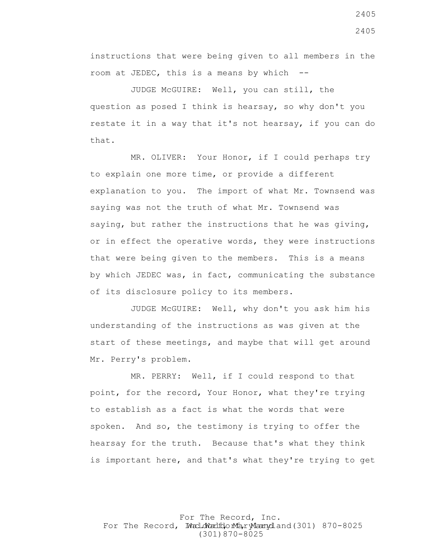instructions that were being given to all members in the room at JEDEC, this is a means by which --

 JUDGE McGUIRE: Well, you can still, the question as posed I think is hearsay, so why don't you restate it in a way that it's not hearsay, if you can do that.

 MR. OLIVER: Your Honor, if I could perhaps try to explain one more time, or provide a different explanation to you. The import of what Mr. Townsend was saying was not the truth of what Mr. Townsend was saying, but rather the instructions that he was giving, or in effect the operative words, they were instructions that were being given to the members. This is a means by which JEDEC was, in fact, communicating the substance of its disclosure policy to its members.

 JUDGE McGUIRE: Well, why don't you ask him his understanding of the instructions as was given at the start of these meetings, and maybe that will get around Mr. Perry's problem.

 MR. PERRY: Well, if I could respond to that point, for the record, Your Honor, what they're trying to establish as a fact is what the words that were spoken. And so, the testimony is trying to offer the hearsay for the truth. Because that's what they think is important here, and that's what they're trying to get

For The Record, Inc. For The Record, Ward.dWardfdorMa, ryMannydland(301) 870-8025 (301)870-8025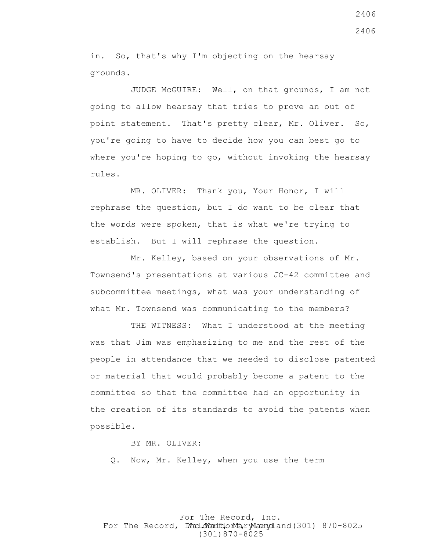in. So, that's why I'm objecting on the hearsay grounds.

 JUDGE McGUIRE: Well, on that grounds, I am not going to allow hearsay that tries to prove an out of point statement. That's pretty clear, Mr. Oliver. So, you're going to have to decide how you can best go to where you're hoping to go, without invoking the hearsay rules.

 MR. OLIVER: Thank you, Your Honor, I will rephrase the question, but I do want to be clear that the words were spoken, that is what we're trying to establish. But I will rephrase the question.

 Mr. Kelley, based on your observations of Mr. Townsend's presentations at various JC-42 committee and subcommittee meetings, what was your understanding of what Mr. Townsend was communicating to the members?

THE WITNESS: What I understood at the meeting was that Jim was emphasizing to me and the rest of the people in attendance that we needed to disclose patented or material that would probably become a patent to the committee so that the committee had an opportunity in the creation of its standards to avoid the patents when possible.

BY MR. OLIVER:

Q. Now, Mr. Kelley, when you use the term

For The Record, Inc. For The Record, Ward.dWardfdorMa, ryMannydland(301) 870-8025 (301)870-8025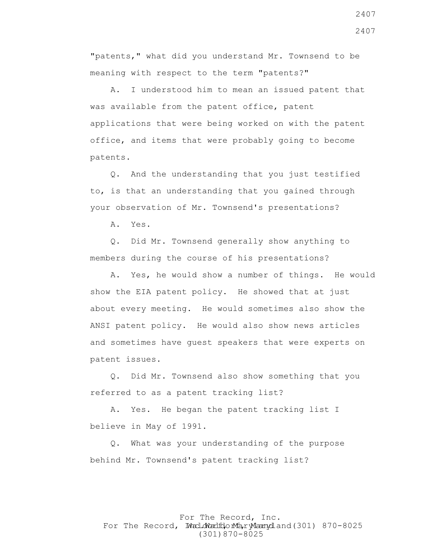"patents," what did you understand Mr. Townsend to be meaning with respect to the term "patents?"

 A. I understood him to mean an issued patent that was available from the patent office, patent applications that were being worked on with the patent office, and items that were probably going to become patents.

 Q. And the understanding that you just testified to, is that an understanding that you gained through your observation of Mr. Townsend's presentations?

A. Yes.

 Q. Did Mr. Townsend generally show anything to members during the course of his presentations?

 A. Yes, he would show a number of things. He would show the EIA patent policy. He showed that at just about every meeting. He would sometimes also show the ANSI patent policy. He would also show news articles and sometimes have guest speakers that were experts on patent issues.

 Q. Did Mr. Townsend also show something that you referred to as a patent tracking list?

 A. Yes. He began the patent tracking list I believe in May of 1991.

 Q. What was your understanding of the purpose behind Mr. Townsend's patent tracking list?

For The Record, Inc. For The Record, Ward.dWardfdorMa, ryMannydland(301) 870-8025 (301)870-8025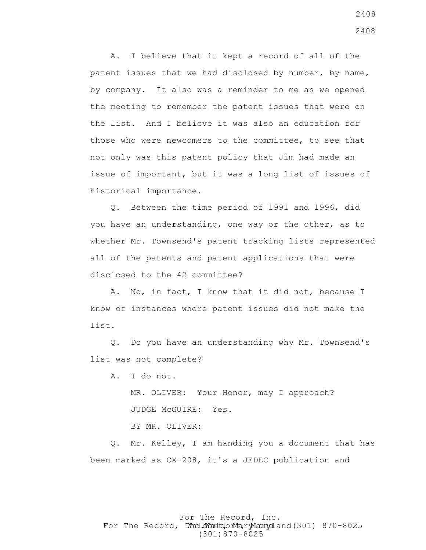A. I believe that it kept a record of all of the patent issues that we had disclosed by number, by name, by company. It also was a reminder to me as we opened the meeting to remember the patent issues that were on the list. And I believe it was also an education for those who were newcomers to the committee, to see that not only was this patent policy that Jim had made an issue of important, but it was a long list of issues of historical importance.

 Q. Between the time period of 1991 and 1996, did you have an understanding, one way or the other, as to whether Mr. Townsend's patent tracking lists represented all of the patents and patent applications that were disclosed to the 42 committee?

 A. No, in fact, I know that it did not, because I know of instances where patent issues did not make the list.

 Q. Do you have an understanding why Mr. Townsend's list was not complete?

A. I do not.

 MR. OLIVER: Your Honor, may I approach? JUDGE McGUIRE: Yes.

BY MR. OLIVER:

 Q. Mr. Kelley, I am handing you a document that has been marked as CX-208, it's a JEDEC publication and

# For The Record, Inc. For The Record, Ward.dWardfdorMa, ryMannydland(301) 870-8025 (301)870-8025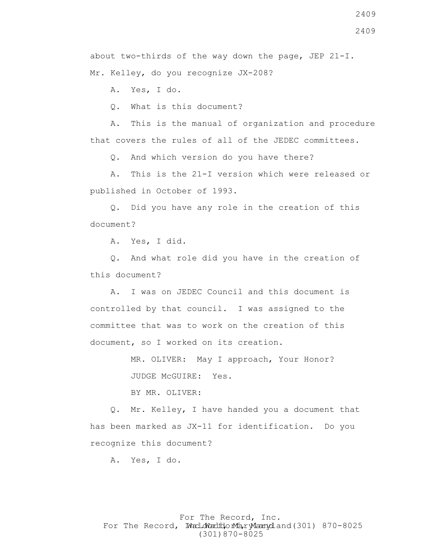2409

about two-thirds of the way down the page, JEP  $21-I$ . Mr. Kelley, do you recognize JX-208?

A. Yes, I do.

Q. What is this document?

 A. This is the manual of organization and procedure that covers the rules of all of the JEDEC committees.

Q. And which version do you have there?

 A. This is the 21-I version which were released or published in October of 1993.

 Q. Did you have any role in the creation of this document?

A. Yes, I did.

 Q. And what role did you have in the creation of this document?

 A. I was on JEDEC Council and this document is controlled by that council. I was assigned to the committee that was to work on the creation of this document, so I worked on its creation.

> MR. OLIVER: May I approach, Your Honor? JUDGE McGUIRE: Yes.

BY MR. OLIVER:

 Q. Mr. Kelley, I have handed you a document that has been marked as JX-11 for identification. Do you recognize this document?

A. Yes, I do.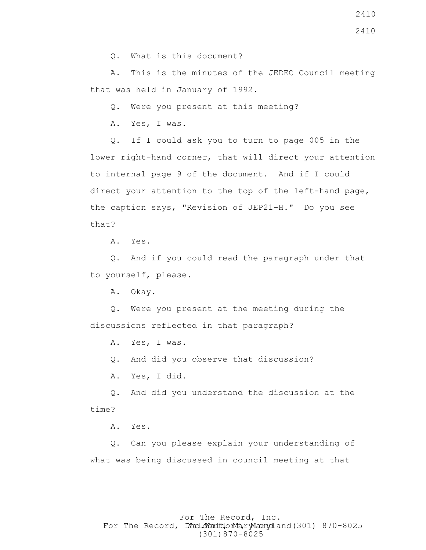Q. What is this document?

 A. This is the minutes of the JEDEC Council meeting that was held in January of 1992.

Q. Were you present at this meeting?

A. Yes, I was.

 Q. If I could ask you to turn to page 005 in the lower right-hand corner, that will direct your attention to internal page 9 of the document. And if I could direct your attention to the top of the left-hand page, the caption says, "Revision of JEP21-H." Do you see that?

A. Yes.

 Q. And if you could read the paragraph under that to yourself, please.

A. Okay.

 Q. Were you present at the meeting during the discussions reflected in that paragraph?

A. Yes, I was.

Q. And did you observe that discussion?

A. Yes, I did.

 Q. And did you understand the discussion at the time?

A. Yes.

 Q. Can you please explain your understanding of what was being discussed in council meeting at that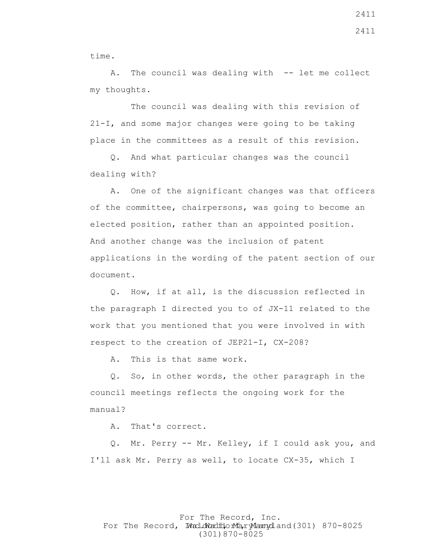time.

A. The council was dealing with -- let me collect my thoughts.

 The council was dealing with this revision of 21-I, and some major changes were going to be taking place in the committees as a result of this revision.

 Q. And what particular changes was the council dealing with?

 A. One of the significant changes was that officers of the committee, chairpersons, was going to become an elected position, rather than an appointed position. And another change was the inclusion of patent applications in the wording of the patent section of our document.

 Q. How, if at all, is the discussion reflected in the paragraph I directed you to of JX-11 related to the work that you mentioned that you were involved in with respect to the creation of JEP21-I, CX-208?

A. This is that same work.

 Q. So, in other words, the other paragraph in the council meetings reflects the ongoing work for the manual?

A. That's correct.

 Q. Mr. Perry -- Mr. Kelley, if I could ask you, and I'll ask Mr. Perry as well, to locate CX-35, which I

### For The Record, Inc. For The Record, Ward.dWardfdorMa, ryMannydland(301) 870-8025 (301)870-8025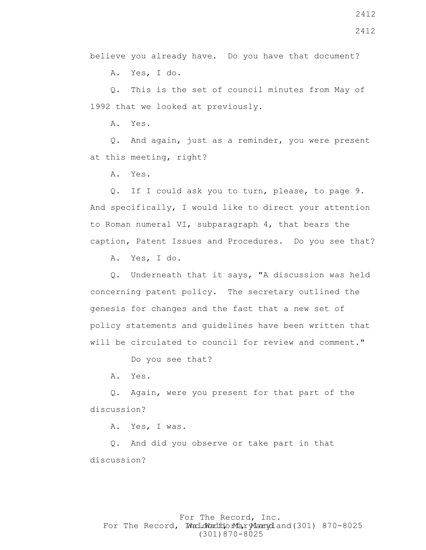believe you already have. Do you have that document?

A. Yes, I do.

 Q. This is the set of council minutes from May of 1992 that we looked at previously.

A. Yes.

 Q. And again, just as a reminder, you were present at this meeting, right?

A. Yes.

 Q. If I could ask you to turn, please, to page 9. And specifically, I would like to direct your attention to Roman numeral VI, subparagraph 4, that bears the caption, Patent Issues and Procedures. Do you see that?

A. Yes, I do.

 Q. Underneath that it says, "A discussion was held concerning patent policy. The secretary outlined the genesis for changes and the fact that a new set of policy statements and guidelines have been written that will be circulated to council for review and comment."

Do you see that?

A. Yes.

 Q. Again, were you present for that part of the discussion?

A. Yes, I was.

 Q. And did you observe or take part in that discussion?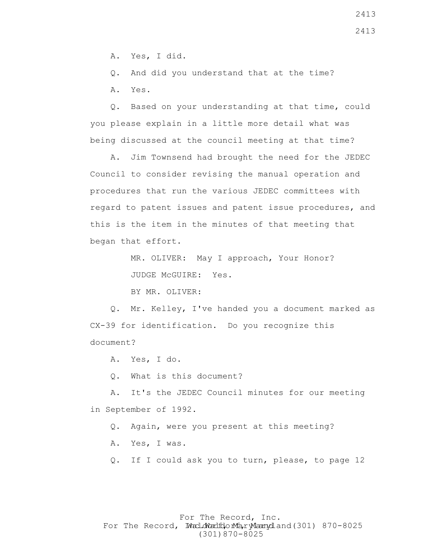A. Yes, I did.

Q. And did you understand that at the time?

A. Yes.

 Q. Based on your understanding at that time, could you please explain in a little more detail what was being discussed at the council meeting at that time?

 A. Jim Townsend had brought the need for the JEDEC Council to consider revising the manual operation and procedures that run the various JEDEC committees with regard to patent issues and patent issue procedures, and this is the item in the minutes of that meeting that began that effort.

> MR. OLIVER: May I approach, Your Honor? JUDGE McGUIRE: Yes.

BY MR. OLIVER:

 Q. Mr. Kelley, I've handed you a document marked as CX-39 for identification. Do you recognize this document?

A. Yes, I do.

Q. What is this document?

 A. It's the JEDEC Council minutes for our meeting in September of 1992.

Q. Again, were you present at this meeting?

A. Yes, I was.

Q. If I could ask you to turn, please, to page 12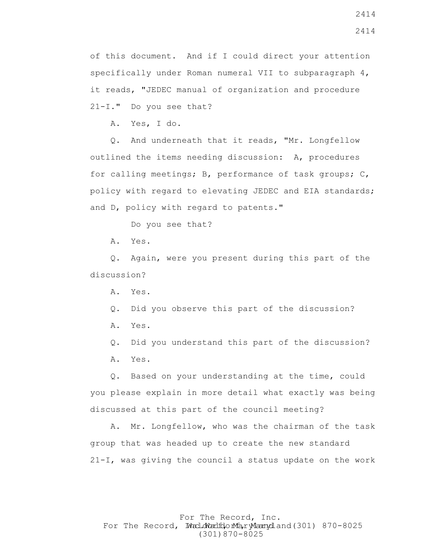of this document. And if I could direct your attention specifically under Roman numeral VII to subparagraph 4, it reads, "JEDEC manual of organization and procedure 21-I." Do you see that?

A. Yes, I do.

 Q. And underneath that it reads, "Mr. Longfellow outlined the items needing discussion: A, procedures for calling meetings; B, performance of task groups; C, policy with regard to elevating JEDEC and EIA standards; and D, policy with regard to patents."

Do you see that?

A. Yes.

 Q. Again, were you present during this part of the discussion?

A. Yes.

- Q. Did you observe this part of the discussion?
- A. Yes.
- Q. Did you understand this part of the discussion?
- A. Yes.

 Q. Based on your understanding at the time, could you please explain in more detail what exactly was being discussed at this part of the council meeting?

 A. Mr. Longfellow, who was the chairman of the task group that was headed up to create the new standard 21-I, was giving the council a status update on the work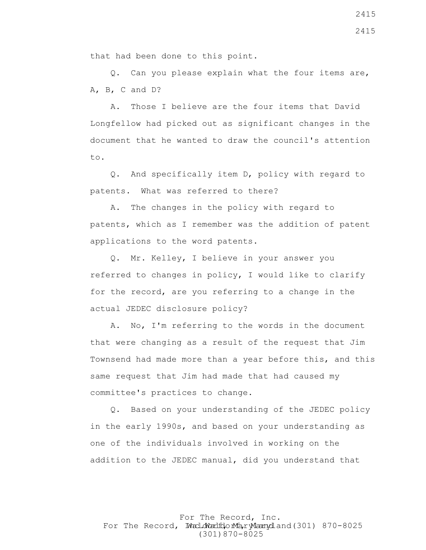that had been done to this point.

 Q. Can you please explain what the four items are, A, B, C and D?

 A. Those I believe are the four items that David Longfellow had picked out as significant changes in the document that he wanted to draw the council's attention to.

 Q. And specifically item D, policy with regard to patents. What was referred to there?

 A. The changes in the policy with regard to patents, which as I remember was the addition of patent applications to the word patents.

 Q. Mr. Kelley, I believe in your answer you referred to changes in policy, I would like to clarify for the record, are you referring to a change in the actual JEDEC disclosure policy?

 A. No, I'm referring to the words in the document that were changing as a result of the request that Jim Townsend had made more than a year before this, and this same request that Jim had made that had caused my committee's practices to change.

 Q. Based on your understanding of the JEDEC policy in the early 1990s, and based on your understanding as one of the individuals involved in working on the addition to the JEDEC manual, did you understand that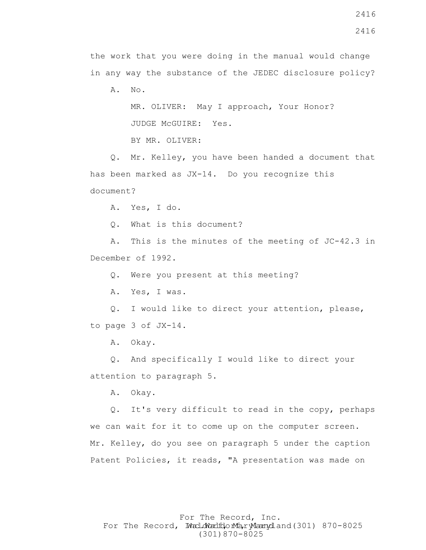2416

the work that you were doing in the manual would change in any way the substance of the JEDEC disclosure policy?

A. No.

 MR. OLIVER: May I approach, Your Honor? JUDGE McGUIRE: Yes.

BY MR. OLIVER:

 Q. Mr. Kelley, you have been handed a document that has been marked as JX-14. Do you recognize this document?

A. Yes, I do.

Q. What is this document?

 A. This is the minutes of the meeting of JC-42.3 in December of 1992.

Q. Were you present at this meeting?

A. Yes, I was.

 Q. I would like to direct your attention, please, to page 3 of JX-14.

A. Okay.

 Q. And specifically I would like to direct your attention to paragraph 5.

A. Okay.

 Q. It's very difficult to read in the copy, perhaps we can wait for it to come up on the computer screen. Mr. Kelley, do you see on paragraph 5 under the caption Patent Policies, it reads, "A presentation was made on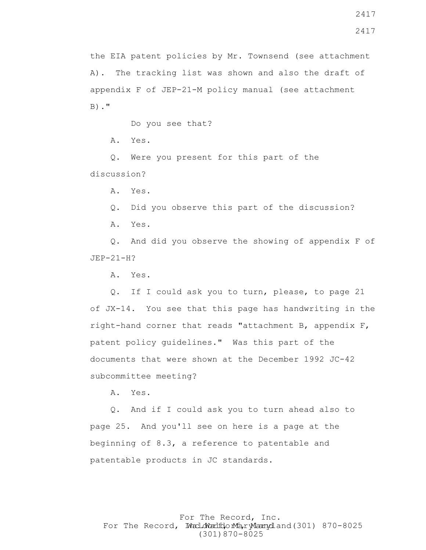$B)$ ."

Do you see that?

A. Yes.

 Q. Were you present for this part of the discussion?

A. Yes.

Q. Did you observe this part of the discussion?

A. Yes.

 Q. And did you observe the showing of appendix F of JEP-21-H?

A. Yes.

 Q. If I could ask you to turn, please, to page 21 of JX-14. You see that this page has handwriting in the right-hand corner that reads "attachment B, appendix F, patent policy guidelines." Was this part of the documents that were shown at the December 1992 JC-42 subcommittee meeting?

A. Yes.

 Q. And if I could ask you to turn ahead also to page 25. And you'll see on here is a page at the beginning of 8.3, a reference to patentable and patentable products in JC standards.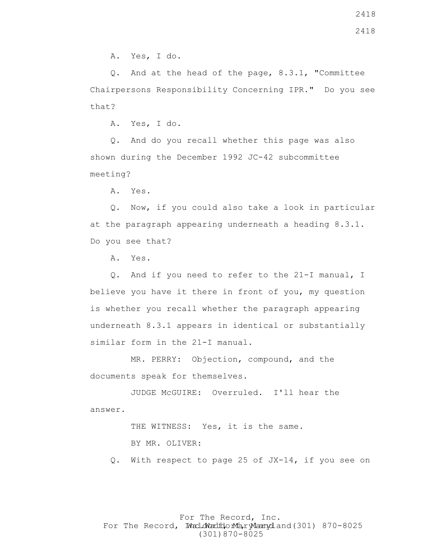A. Yes, I do.

 Q. And at the head of the page, 8.3.1, "Committee Chairpersons Responsibility Concerning IPR." Do you see that?

A. Yes, I do.

 Q. And do you recall whether this page was also shown during the December 1992 JC-42 subcommittee meeting?

A. Yes.

 Q. Now, if you could also take a look in particular at the paragraph appearing underneath a heading 8.3.1. Do you see that?

A. Yes.

 Q. And if you need to refer to the 21-I manual, I believe you have it there in front of you, my question is whether you recall whether the paragraph appearing underneath 8.3.1 appears in identical or substantially similar form in the 21-I manual.

 MR. PERRY: Objection, compound, and the documents speak for themselves.

 JUDGE McGUIRE: Overruled. I'll hear the answer.

> THE WITNESS: Yes, it is the same. BY MR. OLIVER:

Q. With respect to page 25 of JX-14, if you see on

### For The Record, Inc. For The Record, Ward.dWardfdorMa, ryMannydland(301) 870-8025 (301)870-8025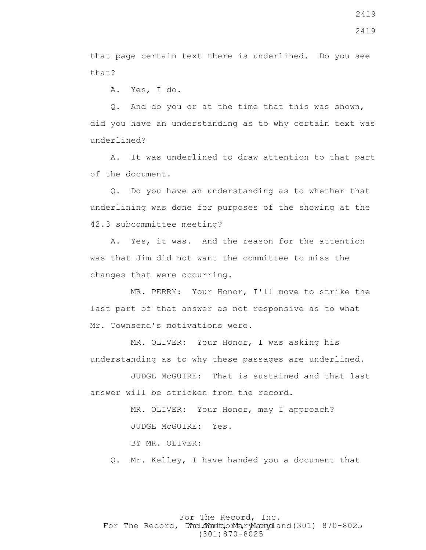that page certain text there is underlined. Do you see that?

A. Yes, I do.

 Q. And do you or at the time that this was shown, did you have an understanding as to why certain text was underlined?

 A. It was underlined to draw attention to that part of the document.

 Q. Do you have an understanding as to whether that underlining was done for purposes of the showing at the 42.3 subcommittee meeting?

 A. Yes, it was. And the reason for the attention was that Jim did not want the committee to miss the changes that were occurring.

 MR. PERRY: Your Honor, I'll move to strike the last part of that answer as not responsive as to what Mr. Townsend's motivations were.

 MR. OLIVER: Your Honor, I was asking his understanding as to why these passages are underlined.

 JUDGE McGUIRE: That is sustained and that last answer will be stricken from the record.

> MR. OLIVER: Your Honor, may I approach? JUDGE McGUIRE: Yes.

BY MR. OLIVER:

Q. Mr. Kelley, I have handed you a document that

# For The Record, Inc. For The Record, Ward.dWardfdorMa, ryMannydland(301) 870-8025 (301)870-8025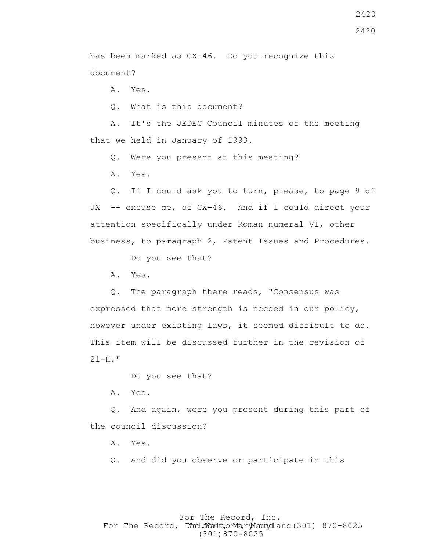2420

has been marked as CX-46. Do you recognize this document?

A. Yes.

Q. What is this document?

 A. It's the JEDEC Council minutes of the meeting that we held in January of 1993.

Q. Were you present at this meeting?

A. Yes.

 Q. If I could ask you to turn, please, to page 9 of JX -- excuse me, of CX-46. And if I could direct your attention specifically under Roman numeral VI, other business, to paragraph 2, Patent Issues and Procedures.

Do you see that?

A. Yes.

 Q. The paragraph there reads, "Consensus was expressed that more strength is needed in our policy, however under existing laws, it seemed difficult to do. This item will be discussed further in the revision of  $21-H.$ "

Do you see that?

A. Yes.

 Q. And again, were you present during this part of the council discussion?

A. Yes.

Q. And did you observe or participate in this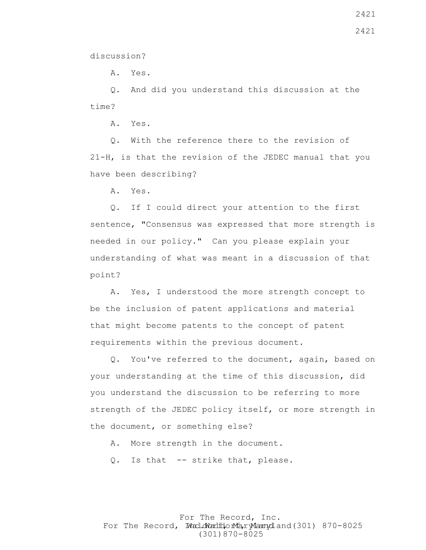discussion?

A. Yes.

 Q. And did you understand this discussion at the time?

A. Yes.

 Q. With the reference there to the revision of 21-H, is that the revision of the JEDEC manual that you have been describing?

A. Yes.

 Q. If I could direct your attention to the first sentence, "Consensus was expressed that more strength is needed in our policy." Can you please explain your understanding of what was meant in a discussion of that point?

 A. Yes, I understood the more strength concept to be the inclusion of patent applications and material that might become patents to the concept of patent requirements within the previous document.

 Q. You've referred to the document, again, based on your understanding at the time of this discussion, did you understand the discussion to be referring to more strength of the JEDEC policy itself, or more strength in the document, or something else?

A. More strength in the document.

Q. Is that -- strike that, please.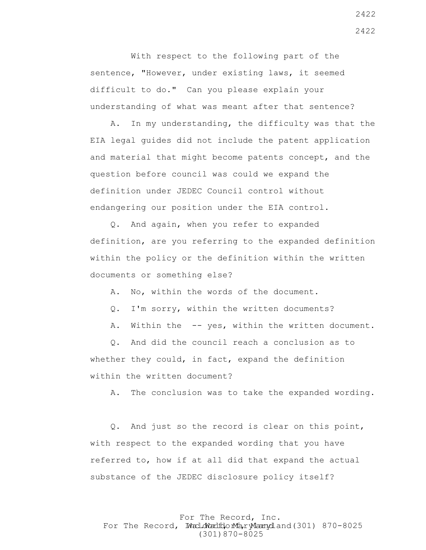With respect to the following part of the sentence, "However, under existing laws, it seemed difficult to do." Can you please explain your understanding of what was meant after that sentence?

 A. In my understanding, the difficulty was that the EIA legal guides did not include the patent application and material that might become patents concept, and the question before council was could we expand the definition under JEDEC Council control without endangering our position under the EIA control.

 Q. And again, when you refer to expanded definition, are you referring to the expanded definition within the policy or the definition within the written documents or something else?

A. No, within the words of the document.

Q. I'm sorry, within the written documents?

A. Within the -- yes, within the written document.

 Q. And did the council reach a conclusion as to whether they could, in fact, expand the definition within the written document?

A. The conclusion was to take the expanded wording.

 Q. And just so the record is clear on this point, with respect to the expanded wording that you have referred to, how if at all did that expand the actual substance of the JEDEC disclosure policy itself?

For The Record, Inc. For The Record, Ward.dWardfdorMa, ryMannydland(301) 870-8025 (301)870-8025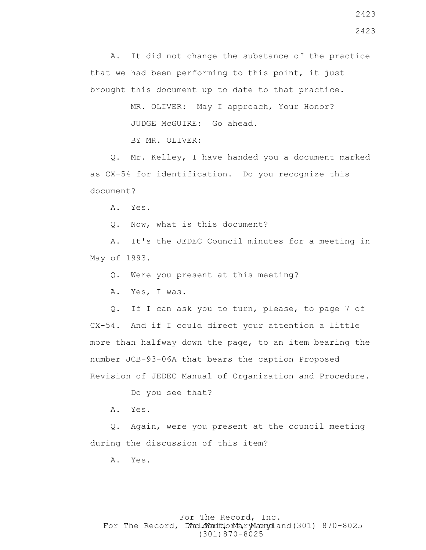A. It did not change the substance of the practice that we had been performing to this point, it just brought this document up to date to that practice.

> MR. OLIVER: May I approach, Your Honor? JUDGE McGUIRE: Go ahead.

BY MR. OLIVER:

 Q. Mr. Kelley, I have handed you a document marked as CX-54 for identification. Do you recognize this document?

A. Yes.

Q. Now, what is this document?

 A. It's the JEDEC Council minutes for a meeting in May of 1993.

Q. Were you present at this meeting?

A. Yes, I was.

 Q. If I can ask you to turn, please, to page 7 of CX-54. And if I could direct your attention a little more than halfway down the page, to an item bearing the number JCB-93-06A that bears the caption Proposed Revision of JEDEC Manual of Organization and Procedure.

Do you see that?

A. Yes.

 Q. Again, were you present at the council meeting during the discussion of this item?

A. Yes.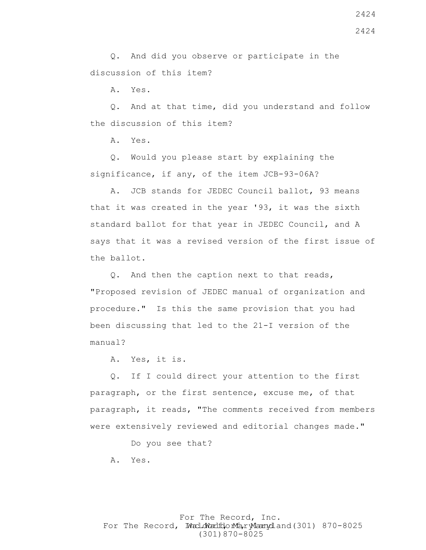Q. And did you observe or participate in the discussion of this item?

A. Yes.

 Q. And at that time, did you understand and follow the discussion of this item?

A. Yes.

 Q. Would you please start by explaining the significance, if any, of the item JCB-93-06A?

 A. JCB stands for JEDEC Council ballot, 93 means that it was created in the year '93, it was the sixth standard ballot for that year in JEDEC Council, and A says that it was a revised version of the first issue of the ballot.

 Q. And then the caption next to that reads, "Proposed revision of JEDEC manual of organization and procedure." Is this the same provision that you had been discussing that led to the 21-I version of the manual?

A. Yes, it is.

 Q. If I could direct your attention to the first paragraph, or the first sentence, excuse me, of that paragraph, it reads, "The comments received from members were extensively reviewed and editorial changes made."

Do you see that?

A. Yes.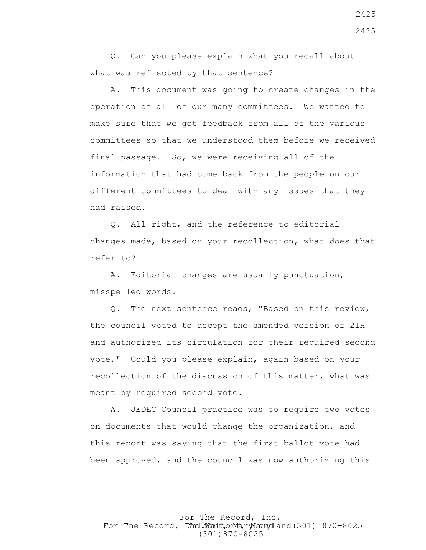Q. Can you please explain what you recall about what was reflected by that sentence?

 A. This document was going to create changes in the operation of all of our many committees. We wanted to make sure that we got feedback from all of the various committees so that we understood them before we received final passage. So, we were receiving all of the information that had come back from the people on our different committees to deal with any issues that they had raised.

 Q. All right, and the reference to editorial changes made, based on your recollection, what does that refer to?

 A. Editorial changes are usually punctuation, misspelled words.

 Q. The next sentence reads, "Based on this review, the council voted to accept the amended version of 21H and authorized its circulation for their required second vote." Could you please explain, again based on your recollection of the discussion of this matter, what was meant by required second vote.

 A. JEDEC Council practice was to require two votes on documents that would change the organization, and this report was saying that the first ballot vote had been approved, and the council was now authorizing this

For The Record, Inc. For The Record, Ward.dWardfdorMa, ryMannydland(301) 870-8025 (301)870-8025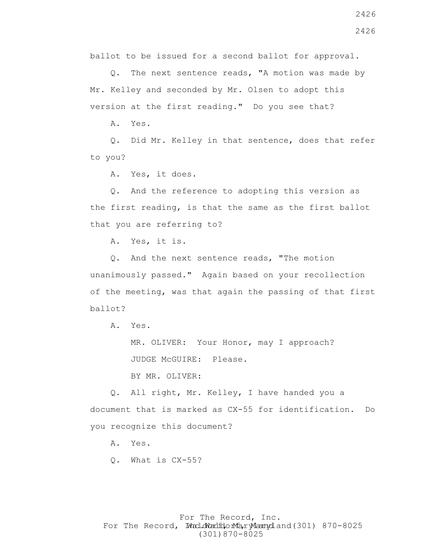ballot to be issued for a second ballot for approval.

 Q. The next sentence reads, "A motion was made by Mr. Kelley and seconded by Mr. Olsen to adopt this version at the first reading." Do you see that?

A. Yes.

 Q. Did Mr. Kelley in that sentence, does that refer to you?

A. Yes, it does.

 Q. And the reference to adopting this version as the first reading, is that the same as the first ballot that you are referring to?

A. Yes, it is.

 Q. And the next sentence reads, "The motion unanimously passed." Again based on your recollection of the meeting, was that again the passing of that first ballot?

A. Yes.

MR. OLIVER: Your Honor, may I approach? JUDGE McGUIRE: Please.

BY MR. OLIVER:

 Q. All right, Mr. Kelley, I have handed you a document that is marked as CX-55 for identification. Do you recognize this document?

A. Yes.

Q. What is CX-55?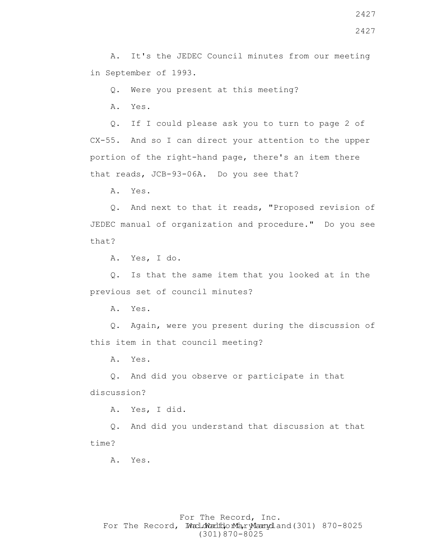Q. Were you present at this meeting?

A. Yes.

 Q. If I could please ask you to turn to page 2 of CX-55. And so I can direct your attention to the upper portion of the right-hand page, there's an item there that reads, JCB-93-06A. Do you see that?

A. Yes.

 Q. And next to that it reads, "Proposed revision of JEDEC manual of organization and procedure." Do you see that?

A. Yes, I do.

 Q. Is that the same item that you looked at in the previous set of council minutes?

A. Yes.

 Q. Again, were you present during the discussion of this item in that council meeting?

A. Yes.

 Q. And did you observe or participate in that discussion?

A. Yes, I did.

 Q. And did you understand that discussion at that time?

A. Yes.

## For The Record, Inc. For The Record, Ward.dWardfdorMa, ryMannydland(301) 870-8025 (301)870-8025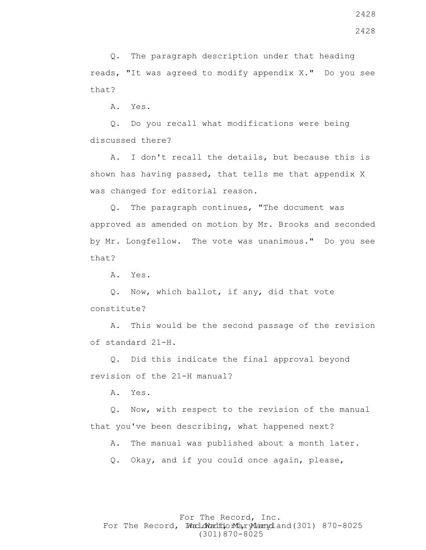Q. The paragraph description under that heading reads, "It was agreed to modify appendix X." Do you see that?

A. Yes.

 Q. Do you recall what modifications were being discussed there?

 A. I don't recall the details, but because this is shown has having passed, that tells me that appendix X was changed for editorial reason.

 Q. The paragraph continues, "The document was approved as amended on motion by Mr. Brooks and seconded by Mr. Longfellow. The vote was unanimous." Do you see that?

A. Yes.

 Q. Now, which ballot, if any, did that vote constitute?

 A. This would be the second passage of the revision of standard 21-H.

 Q. Did this indicate the final approval beyond revision of the 21-H manual?

A. Yes.

 Q. Now, with respect to the revision of the manual that you've been describing, what happened next?

A. The manual was published about a month later.

Q. Okay, and if you could once again, please,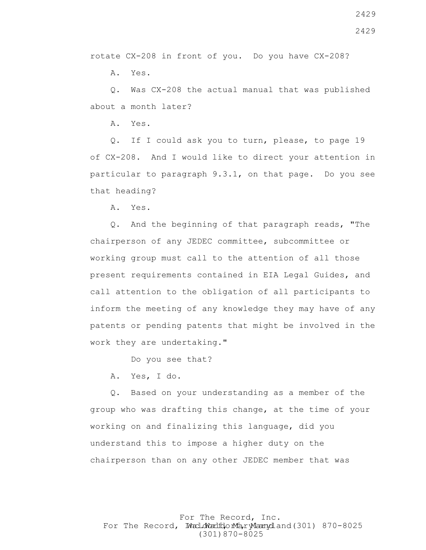2429

rotate CX-208 in front of you. Do you have CX-208?

A. Yes.

 Q. Was CX-208 the actual manual that was published about a month later?

A. Yes.

 Q. If I could ask you to turn, please, to page 19 of CX-208. And I would like to direct your attention in particular to paragraph 9.3.1, on that page. Do you see that heading?

A. Yes.

 Q. And the beginning of that paragraph reads, "The chairperson of any JEDEC committee, subcommittee or working group must call to the attention of all those present requirements contained in EIA Legal Guides, and call attention to the obligation of all participants to inform the meeting of any knowledge they may have of any patents or pending patents that might be involved in the work they are undertaking."

Do you see that?

A. Yes, I do.

 Q. Based on your understanding as a member of the group who was drafting this change, at the time of your working on and finalizing this language, did you understand this to impose a higher duty on the chairperson than on any other JEDEC member that was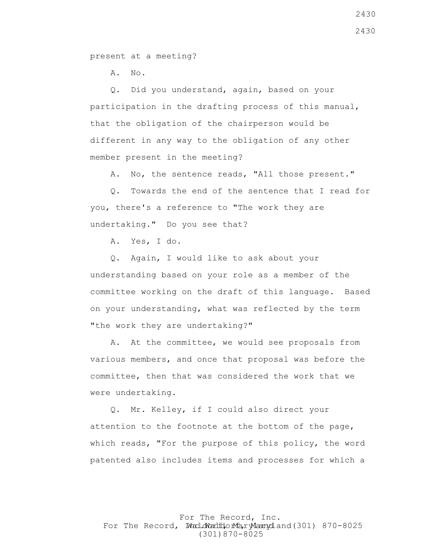present at a meeting?

A. No.

 Q. Did you understand, again, based on your participation in the drafting process of this manual, that the obligation of the chairperson would be different in any way to the obligation of any other member present in the meeting?

A. No, the sentence reads, "All those present."

 Q. Towards the end of the sentence that I read for you, there's a reference to "The work they are undertaking." Do you see that?

A. Yes, I do.

 Q. Again, I would like to ask about your understanding based on your role as a member of the committee working on the draft of this language. Based on your understanding, what was reflected by the term "the work they are undertaking?"

 A. At the committee, we would see proposals from various members, and once that proposal was before the committee, then that was considered the work that we were undertaking.

 Q. Mr. Kelley, if I could also direct your attention to the footnote at the bottom of the page, which reads, "For the purpose of this policy, the word patented also includes items and processes for which a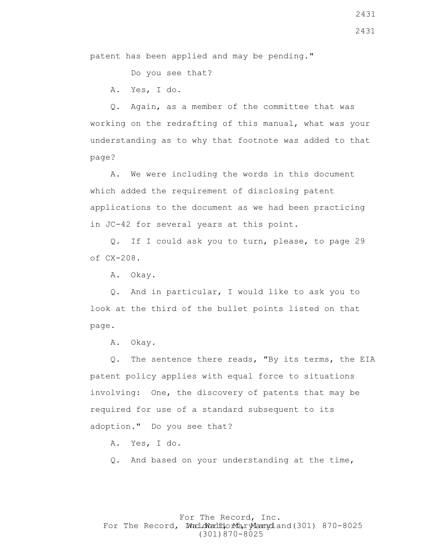patent has been applied and may be pending."

Do you see that?

A. Yes, I do.

 Q. Again, as a member of the committee that was working on the redrafting of this manual, what was your understanding as to why that footnote was added to that page?

 A. We were including the words in this document which added the requirement of disclosing patent applications to the document as we had been practicing in JC-42 for several years at this point.

 Q. If I could ask you to turn, please, to page 29 of CX-208.

A. Okay.

 Q. And in particular, I would like to ask you to look at the third of the bullet points listed on that page.

A. Okay.

 Q. The sentence there reads, "By its terms, the EIA patent policy applies with equal force to situations involving: One, the discovery of patents that may be required for use of a standard subsequent to its adoption." Do you see that?

A. Yes, I do.

Q. And based on your understanding at the time,

#### For The Record, Inc. For The Record, Ward.dWardfdorMa, ryMannydland(301) 870-8025 (301)870-8025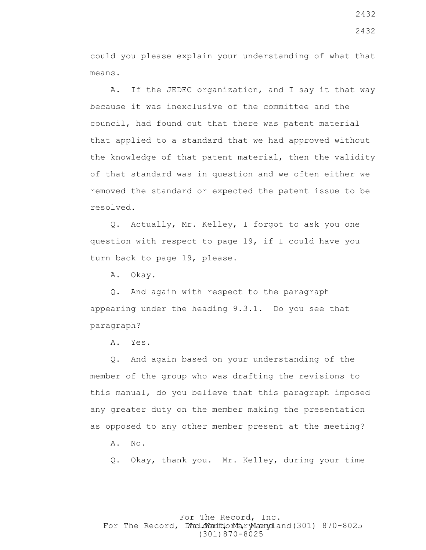could you please explain your understanding of what that means.

 A. If the JEDEC organization, and I say it that way because it was inexclusive of the committee and the council, had found out that there was patent material that applied to a standard that we had approved without the knowledge of that patent material, then the validity of that standard was in question and we often either we removed the standard or expected the patent issue to be resolved.

 Q. Actually, Mr. Kelley, I forgot to ask you one question with respect to page 19, if I could have you turn back to page 19, please.

A. Okay.

 Q. And again with respect to the paragraph appearing under the heading 9.3.1. Do you see that paragraph?

A. Yes.

 Q. And again based on your understanding of the member of the group who was drafting the revisions to this manual, do you believe that this paragraph imposed any greater duty on the member making the presentation as opposed to any other member present at the meeting?

A. No.

Q. Okay, thank you. Mr. Kelley, during your time

### For The Record, Inc. For The Record, Ward.dWardfdorMa, ryMannydland(301) 870-8025 (301)870-8025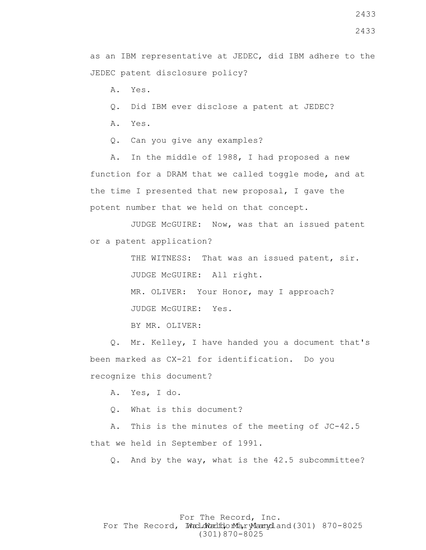- A. Yes.
- Q. Did IBM ever disclose a patent at JEDEC?
- A. Yes.
- Q. Can you give any examples?

 A. In the middle of 1988, I had proposed a new function for a DRAM that we called toggle mode, and at the time I presented that new proposal, I gave the potent number that we held on that concept.

 JUDGE McGUIRE: Now, was that an issued patent or a patent application?

> THE WITNESS: That was an issued patent, sir. JUDGE McGUIRE: All right.

MR. OLIVER: Your Honor, may I approach?

JUDGE McGUIRE: Yes.

BY MR. OLIVER:

 Q. Mr. Kelley, I have handed you a document that's been marked as CX-21 for identification. Do you recognize this document?

A. Yes, I do.

Q. What is this document?

 A. This is the minutes of the meeting of JC-42.5 that we held in September of 1991.

Q. And by the way, what is the 42.5 subcommittee?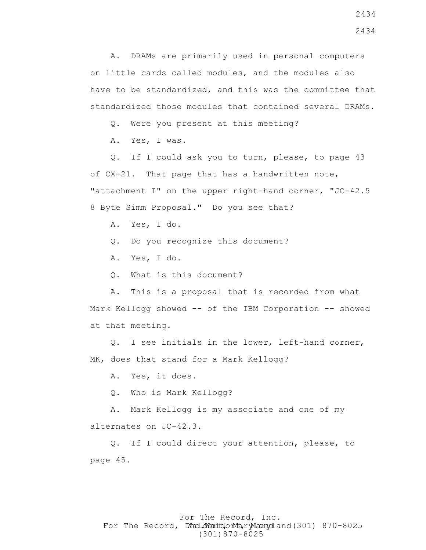A. DRAMs are primarily used in personal computers on little cards called modules, and the modules also have to be standardized, and this was the committee that standardized those modules that contained several DRAMs.

Q. Were you present at this meeting?

A. Yes, I was.

 Q. If I could ask you to turn, please, to page 43 of CX-21. That page that has a handwritten note, "attachment I" on the upper right-hand corner, "JC-42.5 8 Byte Simm Proposal." Do you see that?

A. Yes, I do.

Q. Do you recognize this document?

A. Yes, I do.

Q. What is this document?

 A. This is a proposal that is recorded from what Mark Kellogg showed -- of the IBM Corporation -- showed at that meeting.

 Q. I see initials in the lower, left-hand corner, MK, does that stand for a Mark Kellogg?

A. Yes, it does.

Q. Who is Mark Kellogg?

 A. Mark Kellogg is my associate and one of my alternates on JC-42.3.

 Q. If I could direct your attention, please, to page 45.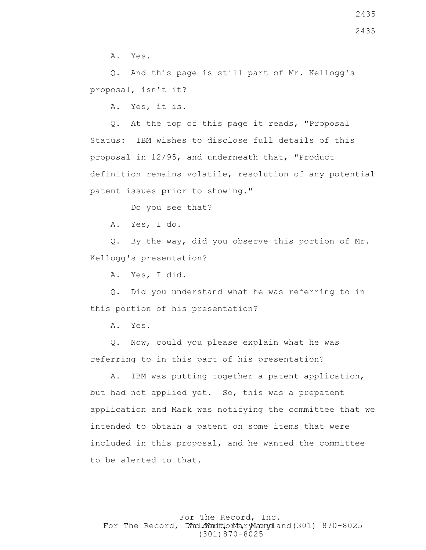Q. And this page is still part of Mr. Kellogg's proposal, isn't it?

A. Yes, it is.

 Q. At the top of this page it reads, "Proposal Status: IBM wishes to disclose full details of this proposal in 12/95, and underneath that, "Product definition remains volatile, resolution of any potential patent issues prior to showing."

Do you see that?

A. Yes, I do.

 Q. By the way, did you observe this portion of Mr. Kellogg's presentation?

A. Yes, I did.

 Q. Did you understand what he was referring to in this portion of his presentation?

A. Yes.

 Q. Now, could you please explain what he was referring to in this part of his presentation?

 A. IBM was putting together a patent application, but had not applied yet. So, this was a prepatent application and Mark was notifying the committee that we intended to obtain a patent on some items that were included in this proposal, and he wanted the committee to be alerted to that.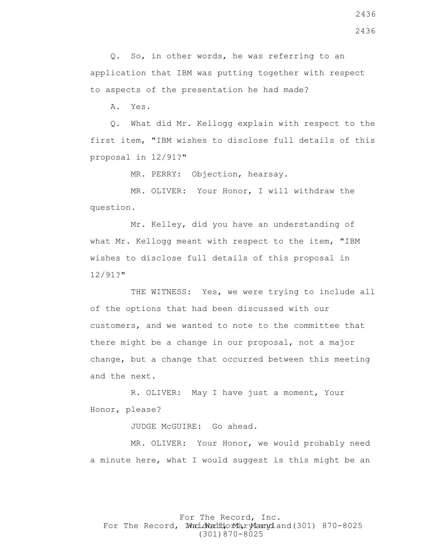Q. So, in other words, he was referring to an application that IBM was putting together with respect to aspects of the presentation he had made?

A. Yes.

 Q. What did Mr. Kellogg explain with respect to the first item, "IBM wishes to disclose full details of this proposal in 12/91?"

MR. PERRY: Objection, hearsay.

 MR. OLIVER: Your Honor, I will withdraw the question.

 Mr. Kelley, did you have an understanding of what Mr. Kellogg meant with respect to the item, "IBM wishes to disclose full details of this proposal in 12/91?"

THE WITNESS: Yes, we were trying to include all of the options that had been discussed with our customers, and we wanted to note to the committee that there might be a change in our proposal, not a major change, but a change that occurred between this meeting and the next.

 R. OLIVER: May I have just a moment, Your Honor, please?

JUDGE McGUIRE: Go ahead.

 MR. OLIVER: Your Honor, we would probably need a minute here, what I would suggest is this might be an

For The Record, Inc. For The Record, Ward.dWardfdorMa, ryMannydland(301) 870-8025 (301)870-8025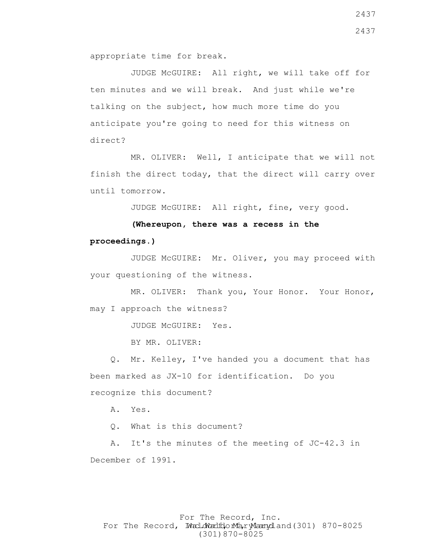appropriate time for break.

 JUDGE McGUIRE: All right, we will take off for ten minutes and we will break. And just while we're talking on the subject, how much more time do you anticipate you're going to need for this witness on direct?

 MR. OLIVER: Well, I anticipate that we will not finish the direct today, that the direct will carry over until tomorrow.

JUDGE McGUIRE: All right, fine, very good.

 **(Whereupon, there was a recess in the proceedings.)**

 JUDGE McGUIRE: Mr. Oliver, you may proceed with your questioning of the witness.

 MR. OLIVER: Thank you, Your Honor. Your Honor, may I approach the witness?

JUDGE McGUIRE: Yes.

BY MR. OLIVER:

 Q. Mr. Kelley, I've handed you a document that has been marked as JX-10 for identification. Do you recognize this document?

A. Yes.

Q. What is this document?

 A. It's the minutes of the meeting of JC-42.3 in December of 1991.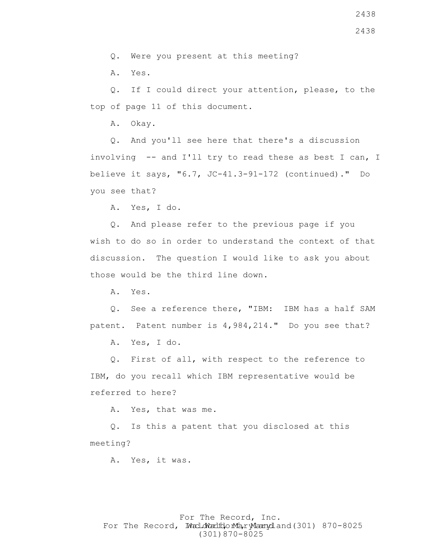A. Yes.

 Q. If I could direct your attention, please, to the top of page 11 of this document.

A. Okay.

 Q. And you'll see here that there's a discussion involving -- and I'll try to read these as best I can, I believe it says, "6.7, JC-41.3-91-172 (continued)." Do you see that?

A. Yes, I do.

 Q. And please refer to the previous page if you wish to do so in order to understand the context of that discussion. The question I would like to ask you about those would be the third line down.

A. Yes.

 Q. See a reference there, "IBM: IBM has a half SAM patent. Patent number is 4,984,214." Do you see that?

A. Yes, I do.

 Q. First of all, with respect to the reference to IBM, do you recall which IBM representative would be referred to here?

A. Yes, that was me.

 Q. Is this a patent that you disclosed at this meeting?

A. Yes, it was.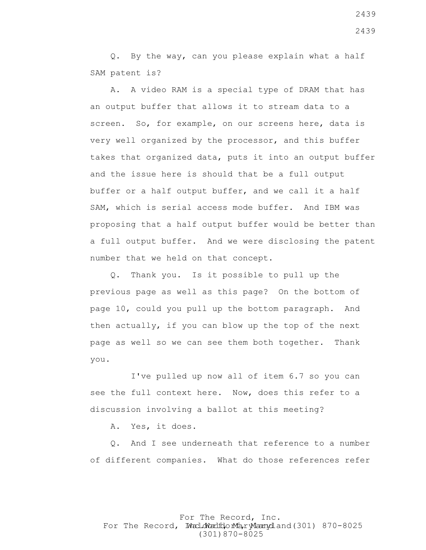Q. By the way, can you please explain what a half SAM patent is?

 A. A video RAM is a special type of DRAM that has an output buffer that allows it to stream data to a screen. So, for example, on our screens here, data is very well organized by the processor, and this buffer takes that organized data, puts it into an output buffer and the issue here is should that be a full output buffer or a half output buffer, and we call it a half SAM, which is serial access mode buffer. And IBM was proposing that a half output buffer would be better than a full output buffer. And we were disclosing the patent number that we held on that concept.

 Q. Thank you. Is it possible to pull up the previous page as well as this page? On the bottom of page 10, could you pull up the bottom paragraph. And then actually, if you can blow up the top of the next page as well so we can see them both together. Thank you.

 I've pulled up now all of item 6.7 so you can see the full context here. Now, does this refer to a discussion involving a ballot at this meeting?

A. Yes, it does.

 Q. And I see underneath that reference to a number of different companies. What do those references refer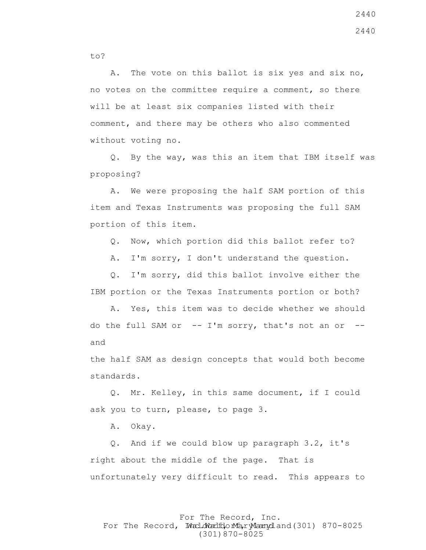A. The vote on this ballot is six yes and six no, no votes on the committee require a comment, so there will be at least six companies listed with their comment, and there may be others who also commented without voting no.

 Q. By the way, was this an item that IBM itself was proposing?

 A. We were proposing the half SAM portion of this item and Texas Instruments was proposing the full SAM portion of this item.

Q. Now, which portion did this ballot refer to?

A. I'm sorry, I don't understand the question.

 Q. I'm sorry, did this ballot involve either the IBM portion or the Texas Instruments portion or both?

 A. Yes, this item was to decide whether we should do the full SAM or  $--$  I'm sorry, that's not an or  $-$ and

the half SAM as design concepts that would both become standards.

 Q. Mr. Kelley, in this same document, if I could ask you to turn, please, to page 3.

A. Okay.

 Q. And if we could blow up paragraph 3.2, it's right about the middle of the page. That is unfortunately very difficult to read. This appears to

For The Record, Inc. For The Record, Ward.dWardfdorMa, ryMannydland(301) 870-8025 (301)870-8025

to?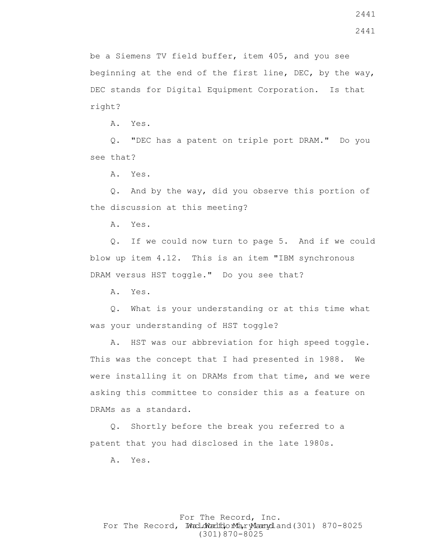be a Siemens TV field buffer, item 405, and you see beginning at the end of the first line, DEC, by the way, DEC stands for Digital Equipment Corporation. Is that right?

A. Yes.

 Q. "DEC has a patent on triple port DRAM." Do you see that?

A. Yes.

 Q. And by the way, did you observe this portion of the discussion at this meeting?

A. Yes.

 Q. If we could now turn to page 5. And if we could blow up item 4.12. This is an item "IBM synchronous DRAM versus HST toggle." Do you see that?

A. Yes.

 Q. What is your understanding or at this time what was your understanding of HST toggle?

 A. HST was our abbreviation for high speed toggle. This was the concept that I had presented in 1988. We were installing it on DRAMs from that time, and we were asking this committee to consider this as a feature on DRAMs as a standard.

 Q. Shortly before the break you referred to a patent that you had disclosed in the late 1980s.

A. Yes.

### For The Record, Inc. For The Record, Ward.dWardfdorMa, ryMannydland(301) 870-8025 (301)870-8025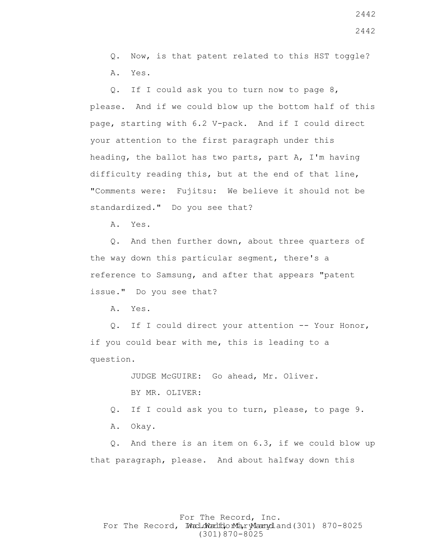Q. Now, is that patent related to this HST toggle? A. Yes.

 Q. If I could ask you to turn now to page 8, please. And if we could blow up the bottom half of this page, starting with 6.2 V-pack. And if I could direct your attention to the first paragraph under this heading, the ballot has two parts, part A, I'm having difficulty reading this, but at the end of that line, "Comments were: Fujitsu: We believe it should not be standardized." Do you see that?

A. Yes.

 Q. And then further down, about three quarters of the way down this particular segment, there's a reference to Samsung, and after that appears "patent issue." Do you see that?

A. Yes.

 Q. If I could direct your attention -- Your Honor, if you could bear with me, this is leading to a question.

> JUDGE McGUIRE: Go ahead, Mr. Oliver. BY MR. OLIVER:

Q. If I could ask you to turn, please, to page 9.

A. Okay.

 Q. And there is an item on 6.3, if we could blow up that paragraph, please. And about halfway down this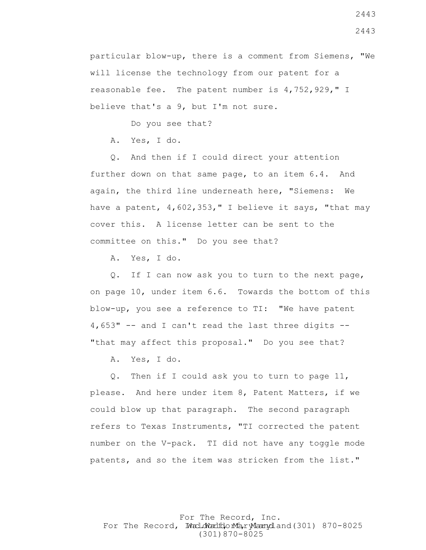particular blow-up, there is a comment from Siemens, "We will license the technology from our patent for a reasonable fee. The patent number is 4,752,929," I believe that's a 9, but I'm not sure.

Do you see that?

A. Yes, I do.

 Q. And then if I could direct your attention further down on that same page, to an item 6.4. And again, the third line underneath here, "Siemens: We have a patent,  $4,602,353$ , " I believe it says, "that may cover this. A license letter can be sent to the committee on this." Do you see that?

A. Yes, I do.

 Q. If I can now ask you to turn to the next page, on page 10, under item 6.6. Towards the bottom of this blow-up, you see a reference to TI: "We have patent 4,653" -- and I can't read the last three digits -- "that may affect this proposal." Do you see that?

A. Yes, I do.

 Q. Then if I could ask you to turn to page 11, please. And here under item 8, Patent Matters, if we could blow up that paragraph. The second paragraph refers to Texas Instruments, "TI corrected the patent number on the V-pack. TI did not have any toggle mode patents, and so the item was stricken from the list."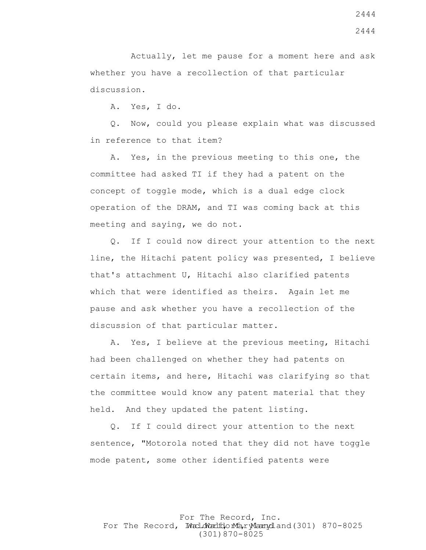Actually, let me pause for a moment here and ask whether you have a recollection of that particular discussion.

A. Yes, I do.

 Q. Now, could you please explain what was discussed in reference to that item?

 A. Yes, in the previous meeting to this one, the committee had asked TI if they had a patent on the concept of toggle mode, which is a dual edge clock operation of the DRAM, and TI was coming back at this meeting and saying, we do not.

 Q. If I could now direct your attention to the next line, the Hitachi patent policy was presented, I believe that's attachment U, Hitachi also clarified patents which that were identified as theirs. Again let me pause and ask whether you have a recollection of the discussion of that particular matter.

 A. Yes, I believe at the previous meeting, Hitachi had been challenged on whether they had patents on certain items, and here, Hitachi was clarifying so that the committee would know any patent material that they held. And they updated the patent listing.

 Q. If I could direct your attention to the next sentence, "Motorola noted that they did not have toggle mode patent, some other identified patents were

For The Record, Inc. For The Record, Ward.dWardfdorMa, ryMannydland(301) 870-8025 (301)870-8025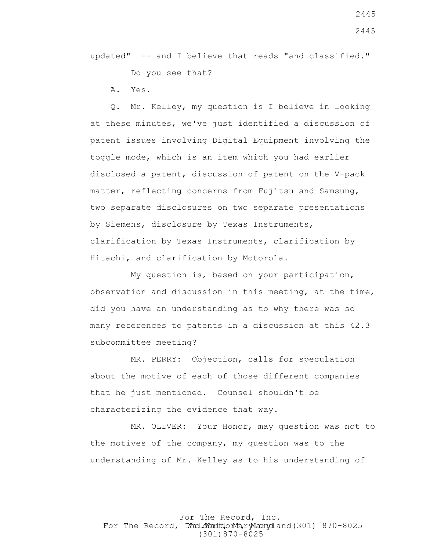updated" -- and I believe that reads "and classified." Do you see that?

A. Yes.

 Q. Mr. Kelley, my question is I believe in looking at these minutes, we've just identified a discussion of patent issues involving Digital Equipment involving the toggle mode, which is an item which you had earlier disclosed a patent, discussion of patent on the V-pack matter, reflecting concerns from Fujitsu and Samsung, two separate disclosures on two separate presentations by Siemens, disclosure by Texas Instruments, clarification by Texas Instruments, clarification by Hitachi, and clarification by Motorola.

 My question is, based on your participation, observation and discussion in this meeting, at the time, did you have an understanding as to why there was so many references to patents in a discussion at this 42.3 subcommittee meeting?

 MR. PERRY: Objection, calls for speculation about the motive of each of those different companies that he just mentioned. Counsel shouldn't be characterizing the evidence that way.

 MR. OLIVER: Your Honor, may question was not to the motives of the company, my question was to the understanding of Mr. Kelley as to his understanding of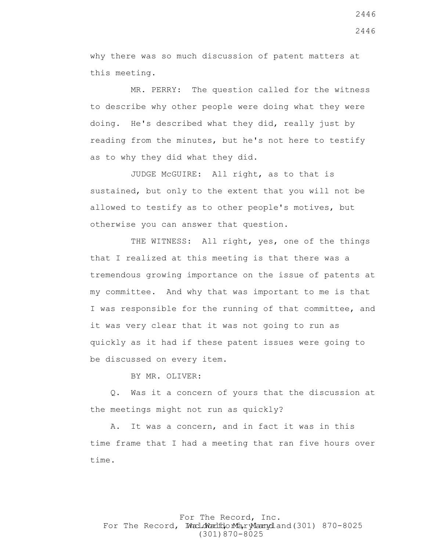why there was so much discussion of patent matters at this meeting.

 MR. PERRY: The question called for the witness to describe why other people were doing what they were doing. He's described what they did, really just by reading from the minutes, but he's not here to testify as to why they did what they did.

 JUDGE McGUIRE: All right, as to that is sustained, but only to the extent that you will not be allowed to testify as to other people's motives, but otherwise you can answer that question.

THE WITNESS: All right, yes, one of the things that I realized at this meeting is that there was a tremendous growing importance on the issue of patents at my committee. And why that was important to me is that I was responsible for the running of that committee, and it was very clear that it was not going to run as quickly as it had if these patent issues were going to be discussed on every item.

BY MR. OLIVER:

 Q. Was it a concern of yours that the discussion at the meetings might not run as quickly?

 A. It was a concern, and in fact it was in this time frame that I had a meeting that ran five hours over time.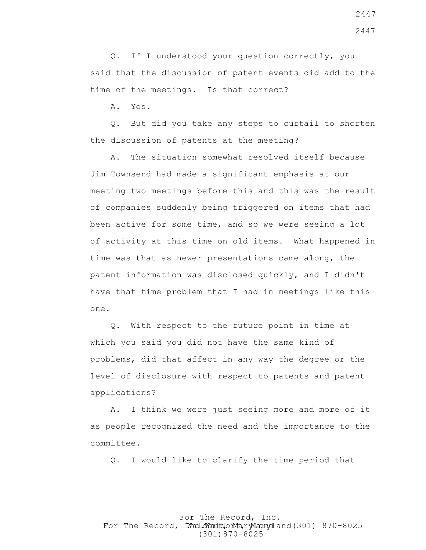Q. If I understood your question correctly, you said that the discussion of patent events did add to the time of the meetings. Is that correct?

A. Yes.

 Q. But did you take any steps to curtail to shorten the discussion of patents at the meeting?

 A. The situation somewhat resolved itself because Jim Townsend had made a significant emphasis at our meeting two meetings before this and this was the result of companies suddenly being triggered on items that had been active for some time, and so we were seeing a lot of activity at this time on old items. What happened in time was that as newer presentations came along, the patent information was disclosed quickly, and I didn't have that time problem that I had in meetings like this one.

 Q. With respect to the future point in time at which you said you did not have the same kind of problems, did that affect in any way the degree or the level of disclosure with respect to patents and patent applications?

 A. I think we were just seeing more and more of it as people recognized the need and the importance to the committee.

Q. I would like to clarify the time period that

### For The Record, Inc. For The Record, Ward.dWardfdorMa, ryMannydland(301) 870-8025 (301)870-8025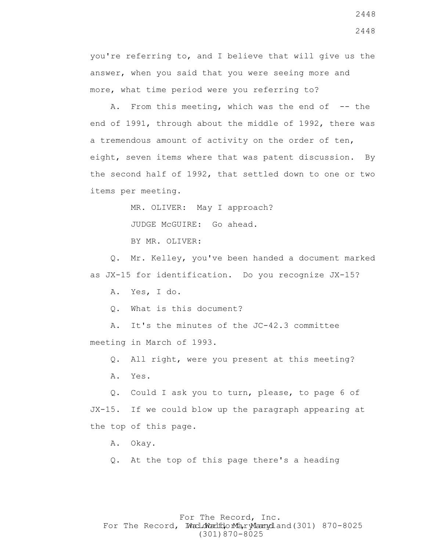you're referring to, and I believe that will give us the answer, when you said that you were seeing more and more, what time period were you referring to?

A. From this meeting, which was the end of  $-$ - the end of 1991, through about the middle of 1992, there was a tremendous amount of activity on the order of ten, eight, seven items where that was patent discussion. By the second half of 1992, that settled down to one or two items per meeting.

MR. OLIVER: May I approach?

JUDGE McGUIRE: Go ahead.

BY MR. OLIVER:

 Q. Mr. Kelley, you've been handed a document marked as JX-15 for identification. Do you recognize JX-15?

A. Yes, I do.

Q. What is this document?

 A. It's the minutes of the JC-42.3 committee meeting in March of 1993.

Q. All right, were you present at this meeting?

A. Yes.

 Q. Could I ask you to turn, please, to page 6 of JX-15. If we could blow up the paragraph appearing at the top of this page.

A. Okay.

Q. At the top of this page there's a heading

# For The Record, Inc. For The Record, Ward.dWardfdorMa, ryMannydland(301) 870-8025 (301)870-8025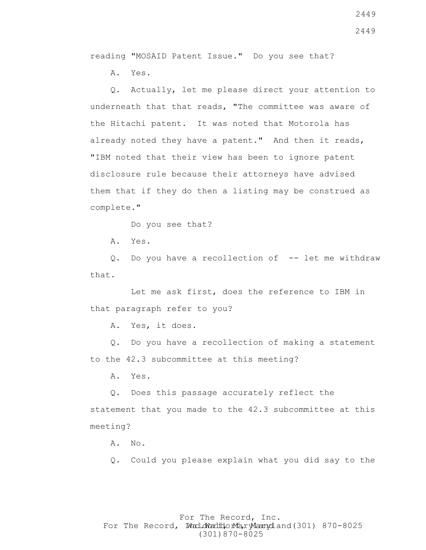reading "MOSAID Patent Issue." Do you see that?

A. Yes.

 Q. Actually, let me please direct your attention to underneath that that reads, "The committee was aware of the Hitachi patent. It was noted that Motorola has already noted they have a patent." And then it reads, "IBM noted that their view has been to ignore patent disclosure rule because their attorneys have advised them that if they do then a listing may be construed as complete."

Do you see that?

A. Yes.

 Q. Do you have a recollection of -- let me withdraw that.

 Let me ask first, does the reference to IBM in that paragraph refer to you?

A. Yes, it does.

 Q. Do you have a recollection of making a statement to the 42.3 subcommittee at this meeting?

A. Yes.

 Q. Does this passage accurately reflect the statement that you made to the 42.3 subcommittee at this meeting?

A. No.

Q. Could you please explain what you did say to the

### For The Record, Inc. For The Record, Ward.dWardfdorMa, ryMannydland(301) 870-8025 (301)870-8025

2449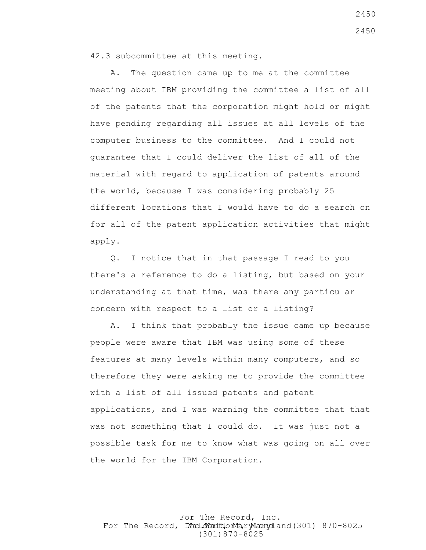42.3 subcommittee at this meeting.

 A. The question came up to me at the committee meeting about IBM providing the committee a list of all of the patents that the corporation might hold or might have pending regarding all issues at all levels of the computer business to the committee. And I could not guarantee that I could deliver the list of all of the material with regard to application of patents around the world, because I was considering probably 25 different locations that I would have to do a search on for all of the patent application activities that might apply.

 Q. I notice that in that passage I read to you there's a reference to do a listing, but based on your understanding at that time, was there any particular concern with respect to a list or a listing?

 A. I think that probably the issue came up because people were aware that IBM was using some of these features at many levels within many computers, and so therefore they were asking me to provide the committee with a list of all issued patents and patent applications, and I was warning the committee that that was not something that I could do. It was just not a possible task for me to know what was going on all over the world for the IBM Corporation.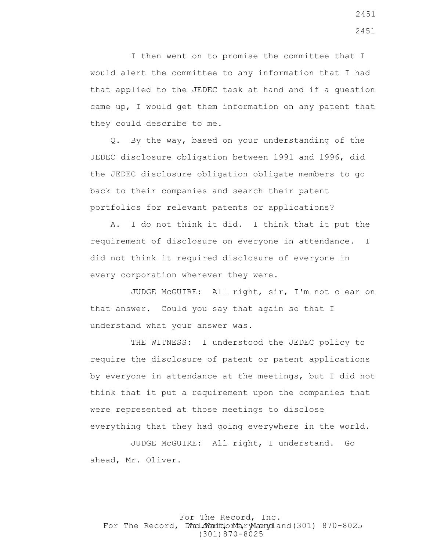I then went on to promise the committee that I would alert the committee to any information that I had that applied to the JEDEC task at hand and if a question came up, I would get them information on any patent that they could describe to me.

 Q. By the way, based on your understanding of the JEDEC disclosure obligation between 1991 and 1996, did the JEDEC disclosure obligation obligate members to go back to their companies and search their patent portfolios for relevant patents or applications?

 A. I do not think it did. I think that it put the requirement of disclosure on everyone in attendance. I did not think it required disclosure of everyone in every corporation wherever they were.

 JUDGE McGUIRE: All right, sir, I'm not clear on that answer. Could you say that again so that I understand what your answer was.

 THE WITNESS: I understood the JEDEC policy to require the disclosure of patent or patent applications by everyone in attendance at the meetings, but I did not think that it put a requirement upon the companies that were represented at those meetings to disclose everything that they had going everywhere in the world.

 JUDGE McGUIRE: All right, I understand. Go ahead, Mr. Oliver.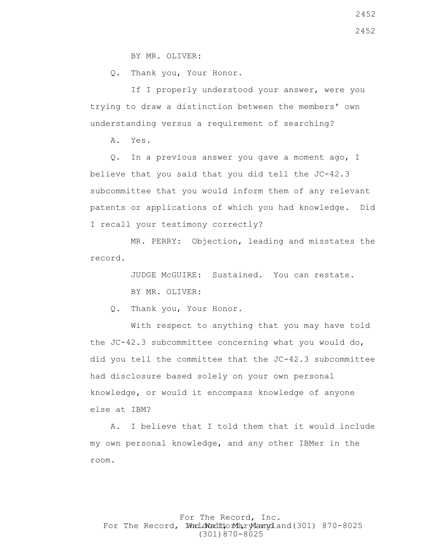BY MR. OLIVER:

Q. Thank you, Your Honor.

If I properly understood your answer, were you trying to draw a distinction between the members' own understanding versus a requirement of searching?

A. Yes.

 Q. In a previous answer you gave a moment ago, I believe that you said that you did tell the JC-42.3 subcommittee that you would inform them of any relevant patents or applications of which you had knowledge. Did I recall your testimony correctly?

 MR. PERRY: Objection, leading and misstates the record.

> JUDGE McGUIRE: Sustained. You can restate. BY MR. OLIVER:

Q. Thank you, Your Honor.

 With respect to anything that you may have told the  $JC-42.3$  subcommittee concerning what you would do, did you tell the committee that the JC-42.3 subcommittee had disclosure based solely on your own personal knowledge, or would it encompass knowledge of anyone else at IBM?

 A. I believe that I told them that it would include my own personal knowledge, and any other IBMer in the room.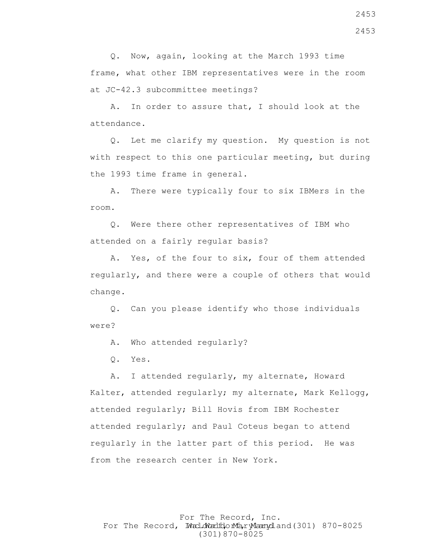Q. Now, again, looking at the March 1993 time frame, what other IBM representatives were in the room at JC-42.3 subcommittee meetings?

 A. In order to assure that, I should look at the attendance.

 Q. Let me clarify my question. My question is not with respect to this one particular meeting, but during the 1993 time frame in general.

 A. There were typically four to six IBMers in the room.

 Q. Were there other representatives of IBM who attended on a fairly regular basis?

 A. Yes, of the four to six, four of them attended regularly, and there were a couple of others that would change.

 Q. Can you please identify who those individuals were?

A. Who attended regularly?

Q. Yes.

 A. I attended regularly, my alternate, Howard Kalter, attended regularly; my alternate, Mark Kellogg, attended regularly; Bill Hovis from IBM Rochester attended regularly; and Paul Coteus began to attend regularly in the latter part of this period. He was from the research center in New York.

For The Record, Inc. For The Record, Ward.dWardfdorMa, ryMannydland(301) 870-8025 (301)870-8025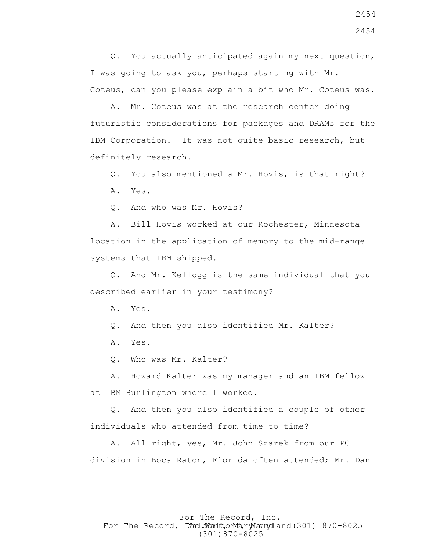Q. You actually anticipated again my next question, I was going to ask you, perhaps starting with Mr. Coteus, can you please explain a bit who Mr. Coteus was.

 A. Mr. Coteus was at the research center doing futuristic considerations for packages and DRAMs for the IBM Corporation. It was not quite basic research, but definitely research.

Q. You also mentioned a Mr. Hovis, is that right?

A. Yes.

Q. And who was Mr. Hovis?

 A. Bill Hovis worked at our Rochester, Minnesota location in the application of memory to the mid-range systems that IBM shipped.

 Q. And Mr. Kellogg is the same individual that you described earlier in your testimony?

A. Yes.

Q. And then you also identified Mr. Kalter?

A. Yes.

Q. Who was Mr. Kalter?

 A. Howard Kalter was my manager and an IBM fellow at IBM Burlington where I worked.

 Q. And then you also identified a couple of other individuals who attended from time to time?

 A. All right, yes, Mr. John Szarek from our PC division in Boca Raton, Florida often attended; Mr. Dan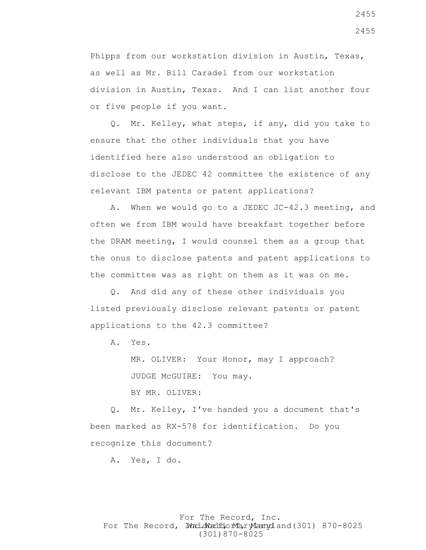Phipps from our workstation division in Austin, Texas, as well as Mr. Bill Caradel from our workstation division in Austin, Texas. And I can list another four or five people if you want.

 Q. Mr. Kelley, what steps, if any, did you take to ensure that the other individuals that you have identified here also understood an obligation to disclose to the JEDEC 42 committee the existence of any relevant IBM patents or patent applications?

 A. When we would go to a JEDEC JC-42.3 meeting, and often we from IBM would have breakfast together before the DRAM meeting, I would counsel them as a group that the onus to disclose patents and patent applications to the committee was as right on them as it was on me.

 Q. And did any of these other individuals you listed previously disclose relevant patents or patent applications to the 42.3 committee?

A. Yes.

 MR. OLIVER: Your Honor, may I approach? JUDGE McGUIRE: You may. BY MR. OLIVER:

 Q. Mr. Kelley, I've handed you a document that's been marked as RX-578 for identification. Do you recognize this document?

A. Yes, I do.

# For The Record, Inc. For The Record, Ward.dWardfdorMa, ryMannydland(301) 870-8025 (301)870-8025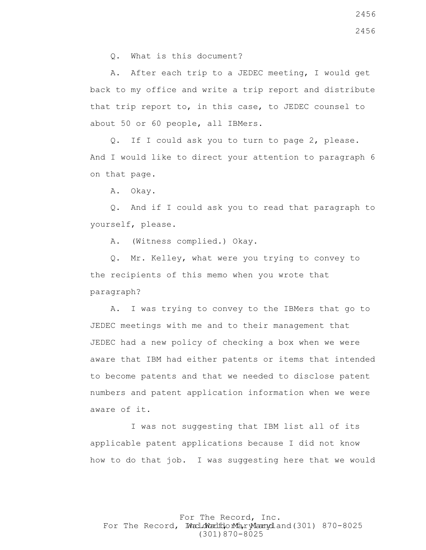Q. What is this document?

 A. After each trip to a JEDEC meeting, I would get back to my office and write a trip report and distribute that trip report to, in this case, to JEDEC counsel to about 50 or 60 people, all IBMers.

 Q. If I could ask you to turn to page 2, please. And I would like to direct your attention to paragraph 6 on that page.

A. Okay.

 Q. And if I could ask you to read that paragraph to yourself, please.

A. (Witness complied.) Okay.

 Q. Mr. Kelley, what were you trying to convey to the recipients of this memo when you wrote that paragraph?

 A. I was trying to convey to the IBMers that go to JEDEC meetings with me and to their management that JEDEC had a new policy of checking a box when we were aware that IBM had either patents or items that intended to become patents and that we needed to disclose patent numbers and patent application information when we were aware of it.

 I was not suggesting that IBM list all of its applicable patent applications because I did not know how to do that job. I was suggesting here that we would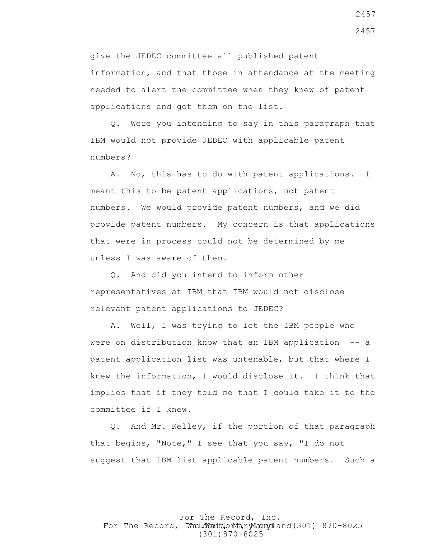give the JEDEC committee all published patent information, and that those in attendance at the meeting

needed to alert the committee when they knew of patent applications and get them on the list.

 Q. Were you intending to say in this paragraph that IBM would not provide JEDEC with applicable patent numbers?

 A. No, this has to do with patent applications. I meant this to be patent applications, not patent numbers. We would provide patent numbers, and we did provide patent numbers. My concern is that applications that were in process could not be determined by me unless I was aware of them.

 Q. And did you intend to inform other representatives at IBM that IBM would not disclose relevant patent applications to JEDEC?

 A. Well, I was trying to let the IBM people who were on distribution know that an IBM application -- a patent application list was untenable, but that where I knew the information, I would disclose it. I think that implies that if they told me that I could take it to the committee if I knew.

 Q. And Mr. Kelley, if the portion of that paragraph that begins, "Note," I see that you say, "I do not suggest that IBM list applicable patent numbers. Such a

### For The Record, Inc. For The Record, Ward.dWardfdorMa, ryMannydland(301) 870-8025 (301)870-8025

2457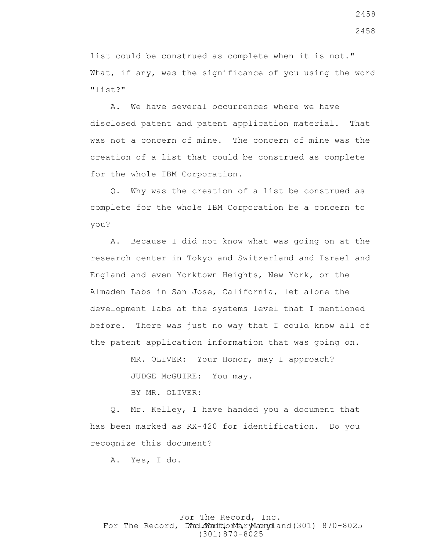list could be construed as complete when it is not." What, if any, was the significance of you using the word "list?"

 A. We have several occurrences where we have disclosed patent and patent application material. That was not a concern of mine. The concern of mine was the creation of a list that could be construed as complete for the whole IBM Corporation.

 Q. Why was the creation of a list be construed as complete for the whole IBM Corporation be a concern to you?

 A. Because I did not know what was going on at the research center in Tokyo and Switzerland and Israel and England and even Yorktown Heights, New York, or the Almaden Labs in San Jose, California, let alone the development labs at the systems level that I mentioned before. There was just no way that I could know all of the patent application information that was going on.

> MR. OLIVER: Your Honor, may I approach? JUDGE McGUIRE: You may.

BY MR. OLIVER:

 Q. Mr. Kelley, I have handed you a document that has been marked as RX-420 for identification. Do you recognize this document?

A. Yes, I do.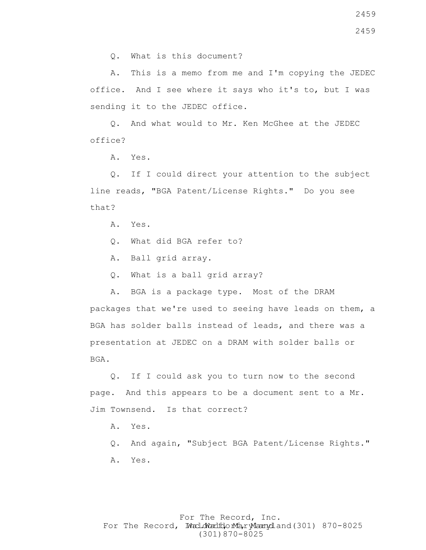2459

Q. What is this document?

 A. This is a memo from me and I'm copying the JEDEC office. And I see where it says who it's to, but I was sending it to the JEDEC office.

 Q. And what would to Mr. Ken McGhee at the JEDEC office?

A. Yes.

 Q. If I could direct your attention to the subject line reads, "BGA Patent/License Rights." Do you see that?

A. Yes.

- Q. What did BGA refer to?
- A. Ball grid array.
- Q. What is a ball grid array?
- A. BGA is a package type. Most of the DRAM

packages that we're used to seeing have leads on them, a BGA has solder balls instead of leads, and there was a presentation at JEDEC on a DRAM with solder balls or BGA.

 Q. If I could ask you to turn now to the second page. And this appears to be a document sent to a Mr. Jim Townsend. Is that correct?

- A. Yes.
- Q. And again, "Subject BGA Patent/License Rights." A. Yes.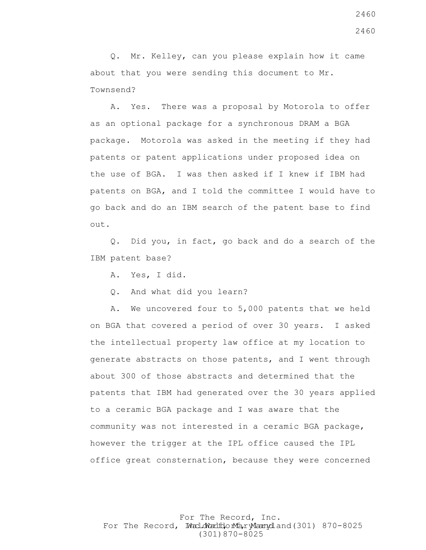Q. Mr. Kelley, can you please explain how it came about that you were sending this document to Mr. Townsend?

 A. Yes. There was a proposal by Motorola to offer as an optional package for a synchronous DRAM a BGA package. Motorola was asked in the meeting if they had patents or patent applications under proposed idea on the use of BGA. I was then asked if I knew if IBM had patents on BGA, and I told the committee I would have to go back and do an IBM search of the patent base to find out.

 Q. Did you, in fact, go back and do a search of the IBM patent base?

A. Yes, I did.

Q. And what did you learn?

 A. We uncovered four to 5,000 patents that we held on BGA that covered a period of over 30 years. I asked the intellectual property law office at my location to generate abstracts on those patents, and I went through about 300 of those abstracts and determined that the patents that IBM had generated over the 30 years applied to a ceramic BGA package and I was aware that the community was not interested in a ceramic BGA package, however the trigger at the IPL office caused the IPL office great consternation, because they were concerned

For The Record, Inc. For The Record, Ward.dWardfdorMa, ryMannydland(301) 870-8025 (301)870-8025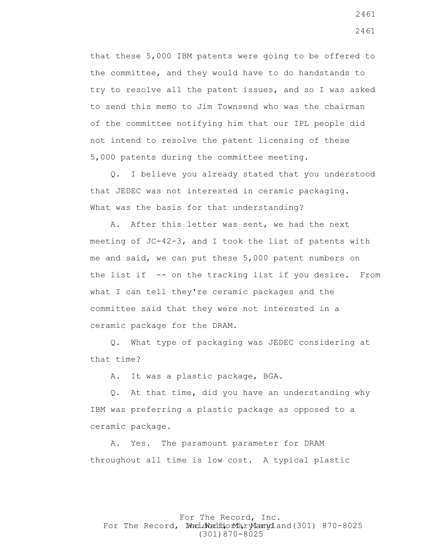that these 5,000 IBM patents were going to be offered to the committee, and they would have to do handstands to try to resolve all the patent issues, and so I was asked to send this memo to Jim Townsend who was the chairman of the committee notifying him that our IPL people did not intend to resolve the patent licensing of these 5,000 patents during the committee meeting.

 Q. I believe you already stated that you understood that JEDEC was not interested in ceramic packaging. What was the basis for that understanding?

 A. After this letter was sent, we had the next meeting of JC-42-3, and I took the list of patents with me and said, we can put these 5,000 patent numbers on the list if -- on the tracking list if you desire. From what I can tell they're ceramic packages and the committee said that they were not interested in a ceramic package for the DRAM.

 Q. What type of packaging was JEDEC considering at that time?

A. It was a plastic package, BGA.

 Q. At that time, did you have an understanding why IBM was preferring a plastic package as opposed to a ceramic package.

 A. Yes. The paramount parameter for DRAM throughout all time is low cost. A typical plastic

For The Record, Inc. For The Record, Ward.dWardfdorMa, ryMannydland(301) 870-8025 (301)870-8025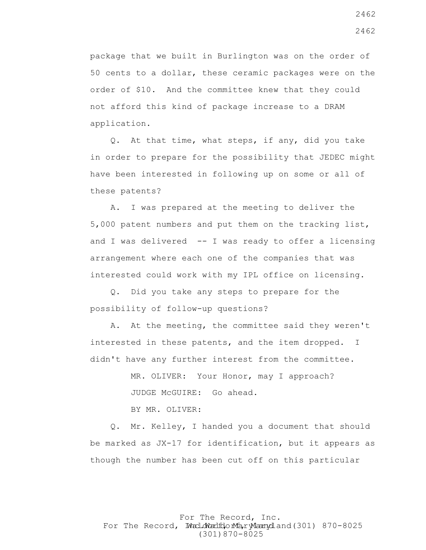package that we built in Burlington was on the order of 50 cents to a dollar, these ceramic packages were on the order of \$10. And the committee knew that they could not afford this kind of package increase to a DRAM application.

 Q. At that time, what steps, if any, did you take in order to prepare for the possibility that JEDEC might have been interested in following up on some or all of these patents?

 A. I was prepared at the meeting to deliver the 5,000 patent numbers and put them on the tracking list, and I was delivered  $-$ - I was ready to offer a licensing arrangement where each one of the companies that was interested could work with my IPL office on licensing.

 Q. Did you take any steps to prepare for the possibility of follow-up questions?

 A. At the meeting, the committee said they weren't interested in these patents, and the item dropped. I didn't have any further interest from the committee.

> MR. OLIVER: Your Honor, may I approach? JUDGE McGUIRE: Go ahead.

BY MR. OLIVER:

 Q. Mr. Kelley, I handed you a document that should be marked as JX-17 for identification, but it appears as though the number has been cut off on this particular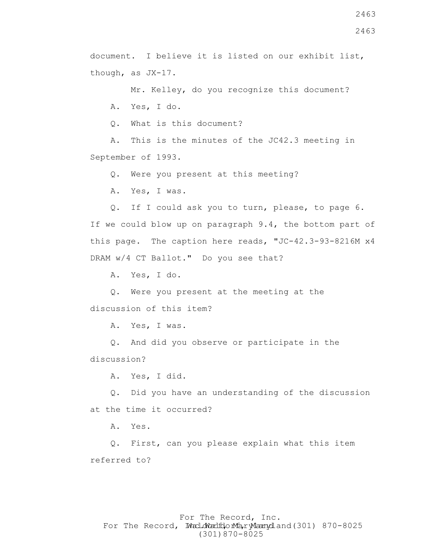document. I believe it is listed on our exhibit list, though, as JX-17.

Mr. Kelley, do you recognize this document?

A. Yes, I do.

Q. What is this document?

 A. This is the minutes of the JC42.3 meeting in September of 1993.

Q. Were you present at this meeting?

A. Yes, I was.

 Q. If I could ask you to turn, please, to page 6. If we could blow up on paragraph 9.4, the bottom part of this page. The caption here reads, "JC-42.3-93-8216M x4 DRAM w/4 CT Ballot." Do you see that?

A. Yes, I do.

 Q. Were you present at the meeting at the discussion of this item?

A. Yes, I was.

 Q. And did you observe or participate in the discussion?

A. Yes, I did.

 Q. Did you have an understanding of the discussion at the time it occurred?

A. Yes.

 Q. First, can you please explain what this item referred to?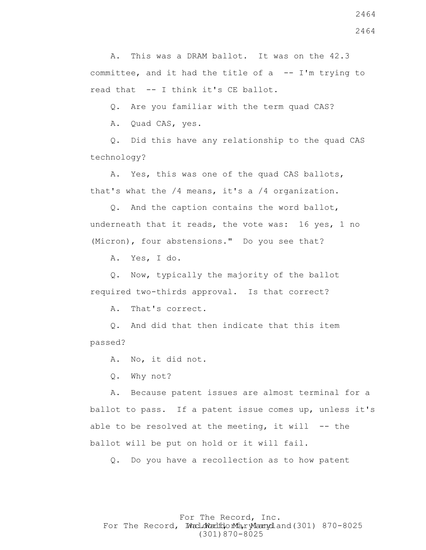A. This was a DRAM ballot. It was on the 42.3 committee, and it had the title of  $a$  -- I'm trying to read that -- I think it's CE ballot.

Q. Are you familiar with the term quad CAS?

A. Quad CAS, yes.

 Q. Did this have any relationship to the quad CAS technology?

 A. Yes, this was one of the quad CAS ballots, that's what the /4 means, it's a /4 organization.

 Q. And the caption contains the word ballot, underneath that it reads, the vote was: 16 yes, 1 no (Micron), four abstensions." Do you see that?

A. Yes, I do.

 Q. Now, typically the majority of the ballot required two-thirds approval. Is that correct?

A. That's correct.

 Q. And did that then indicate that this item passed?

A. No, it did not.

Q. Why not?

 A. Because patent issues are almost terminal for a ballot to pass. If a patent issue comes up, unless it's able to be resolved at the meeting, it will  $-$ - the ballot will be put on hold or it will fail.

Q. Do you have a recollection as to how patent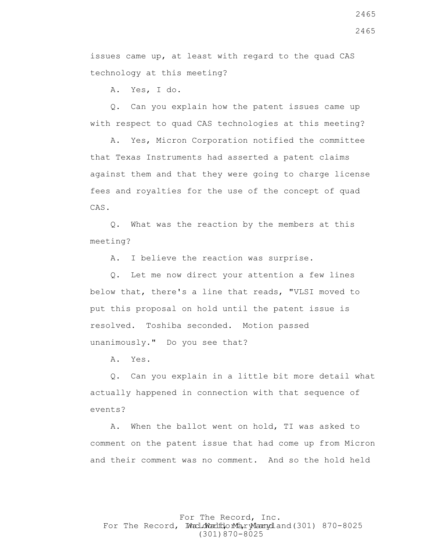2465

2465

issues came up, at least with regard to the quad CAS technology at this meeting?

A. Yes, I do.

 Q. Can you explain how the patent issues came up with respect to quad CAS technologies at this meeting?

 A. Yes, Micron Corporation notified the committee that Texas Instruments had asserted a patent claims against them and that they were going to charge license fees and royalties for the use of the concept of quad CAS.

 Q. What was the reaction by the members at this meeting?

A. I believe the reaction was surprise.

 Q. Let me now direct your attention a few lines below that, there's a line that reads, "VLSI moved to put this proposal on hold until the patent issue is resolved. Toshiba seconded. Motion passed unanimously." Do you see that?

A. Yes.

 Q. Can you explain in a little bit more detail what actually happened in connection with that sequence of events?

 A. When the ballot went on hold, TI was asked to comment on the patent issue that had come up from Micron and their comment was no comment. And so the hold held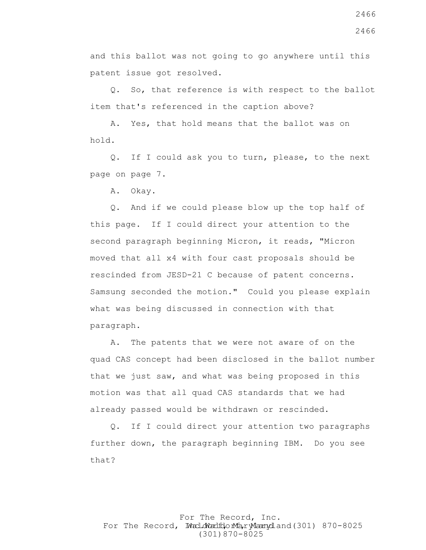and this ballot was not going to go anywhere until this patent issue got resolved.

 Q. So, that reference is with respect to the ballot item that's referenced in the caption above?

 A. Yes, that hold means that the ballot was on hold.

 Q. If I could ask you to turn, please, to the next page on page 7.

A. Okay.

 Q. And if we could please blow up the top half of this page. If I could direct your attention to the second paragraph beginning Micron, it reads, "Micron moved that all x4 with four cast proposals should be rescinded from JESD-21 C because of patent concerns. Samsung seconded the motion." Could you please explain what was being discussed in connection with that paragraph.

 A. The patents that we were not aware of on the quad CAS concept had been disclosed in the ballot number that we just saw, and what was being proposed in this motion was that all quad CAS standards that we had already passed would be withdrawn or rescinded.

 Q. If I could direct your attention two paragraphs further down, the paragraph beginning IBM. Do you see that?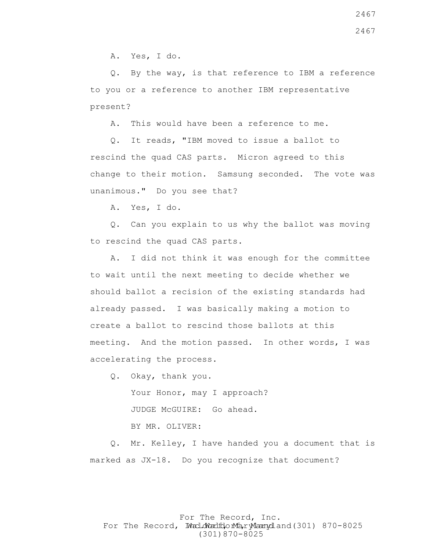A. Yes, I do.

 Q. By the way, is that reference to IBM a reference to you or a reference to another IBM representative present?

A. This would have been a reference to me.

 Q. It reads, "IBM moved to issue a ballot to rescind the quad CAS parts. Micron agreed to this change to their motion. Samsung seconded. The vote was unanimous." Do you see that?

A. Yes, I do.

 Q. Can you explain to us why the ballot was moving to rescind the quad CAS parts.

 A. I did not think it was enough for the committee to wait until the next meeting to decide whether we should ballot a recision of the existing standards had already passed. I was basically making a motion to create a ballot to rescind those ballots at this meeting. And the motion passed. In other words, I was accelerating the process.

 Q. Okay, thank you. Your Honor, may I approach? JUDGE McGUIRE: Go ahead. BY MR. OLIVER:

 Q. Mr. Kelley, I have handed you a document that is marked as JX-18. Do you recognize that document?

# For The Record, Inc. For The Record, Ward.dWardfdorMa, ryMannydland(301) 870-8025 (301)870-8025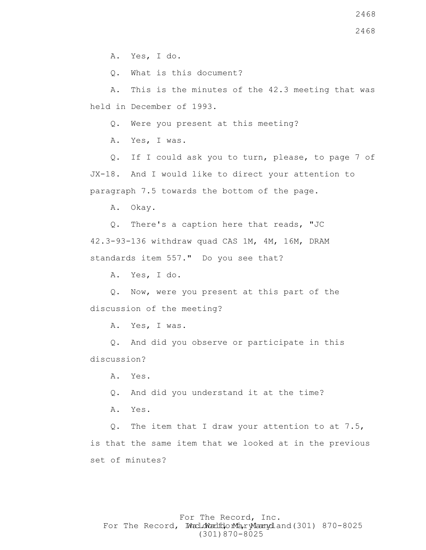Q. What is this document?

 A. This is the minutes of the 42.3 meeting that was held in December of 1993.

Q. Were you present at this meeting?

A. Yes, I was.

 Q. If I could ask you to turn, please, to page 7 of JX-18. And I would like to direct your attention to paragraph 7.5 towards the bottom of the page.

A. Okay.

 Q. There's a caption here that reads, "JC 42.3-93-136 withdraw quad CAS 1M, 4M, 16M, DRAM standards item 557." Do you see that?

A. Yes, I do.

 Q. Now, were you present at this part of the discussion of the meeting?

A. Yes, I was.

 Q. And did you observe or participate in this discussion?

A. Yes.

Q. And did you understand it at the time?

A. Yes.

 Q. The item that I draw your attention to at 7.5, is that the same item that we looked at in the previous set of minutes?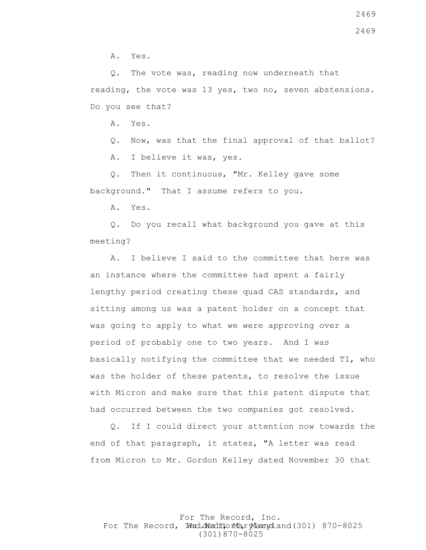A. Yes.

 Q. The vote was, reading now underneath that reading, the vote was 13 yes, two no, seven abstensions. Do you see that?

A. Yes.

 Q. Now, was that the final approval of that ballot? A. I believe it was, yes.

 Q. Then it continuous, "Mr. Kelley gave some background." That I assume refers to you.

A. Yes.

 Q. Do you recall what background you gave at this meeting?

 A. I believe I said to the committee that here was an instance where the committee had spent a fairly lengthy period creating these quad CAS standards, and sitting among us was a patent holder on a concept that was going to apply to what we were approving over a period of probably one to two years. And I was basically notifying the committee that we needed TI, who was the holder of these patents, to resolve the issue with Micron and make sure that this patent dispute that had occurred between the two companies got resolved.

 Q. If I could direct your attention now towards the end of that paragraph, it states, "A letter was read from Micron to Mr. Gordon Kelley dated November 30 that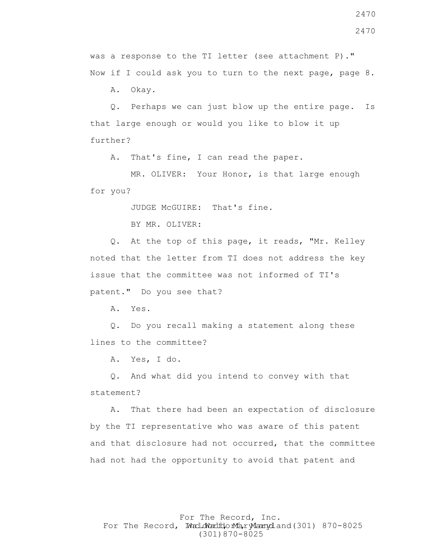2470

was a response to the TI letter (see attachment P)." Now if I could ask you to turn to the next page, page 8.

A. Okay.

 Q. Perhaps we can just blow up the entire page. Is that large enough or would you like to blow it up further?

A. That's fine, I can read the paper.

MR. OLIVER: Your Honor, is that large enough for you?

JUDGE McGUIRE: That's fine.

BY MR. OLIVER:

 Q. At the top of this page, it reads, "Mr. Kelley noted that the letter from TI does not address the key issue that the committee was not informed of TI's patent." Do you see that?

A. Yes.

 Q. Do you recall making a statement along these lines to the committee?

A. Yes, I do.

 Q. And what did you intend to convey with that statement?

 A. That there had been an expectation of disclosure by the TI representative who was aware of this patent and that disclosure had not occurred, that the committee had not had the opportunity to avoid that patent and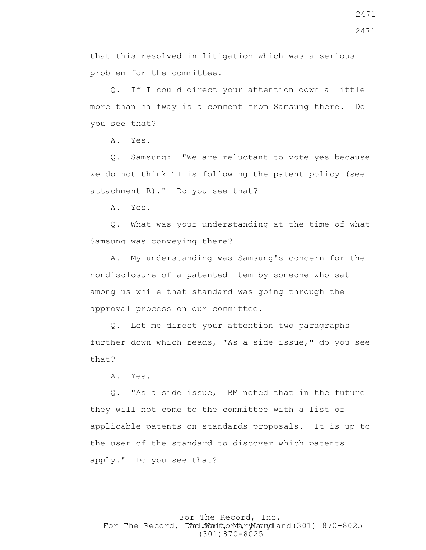that this resolved in litigation which was a serious problem for the committee.

 Q. If I could direct your attention down a little more than halfway is a comment from Samsung there. Do you see that?

A. Yes.

 Q. Samsung: "We are reluctant to vote yes because we do not think TI is following the patent policy (see attachment R)." Do you see that?

A. Yes.

 Q. What was your understanding at the time of what Samsung was conveying there?

 A. My understanding was Samsung's concern for the nondisclosure of a patented item by someone who sat among us while that standard was going through the approval process on our committee.

 Q. Let me direct your attention two paragraphs further down which reads, "As a side issue," do you see that?

A. Yes.

 Q. "As a side issue, IBM noted that in the future they will not come to the committee with a list of applicable patents on standards proposals. It is up to the user of the standard to discover which patents apply." Do you see that?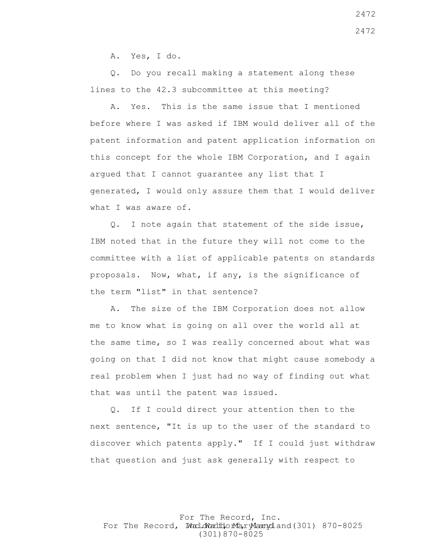A. Yes, I do.

 Q. Do you recall making a statement along these lines to the 42.3 subcommittee at this meeting?

 A. Yes. This is the same issue that I mentioned before where I was asked if IBM would deliver all of the patent information and patent application information on this concept for the whole IBM Corporation, and I again argued that I cannot guarantee any list that I generated, I would only assure them that I would deliver what I was aware of.

 Q. I note again that statement of the side issue, IBM noted that in the future they will not come to the committee with a list of applicable patents on standards proposals. Now, what, if any, is the significance of the term "list" in that sentence?

 A. The size of the IBM Corporation does not allow me to know what is going on all over the world all at the same time, so I was really concerned about what was going on that I did not know that might cause somebody a real problem when I just had no way of finding out what that was until the patent was issued.

 Q. If I could direct your attention then to the next sentence, "It is up to the user of the standard to discover which patents apply." If I could just withdraw that question and just ask generally with respect to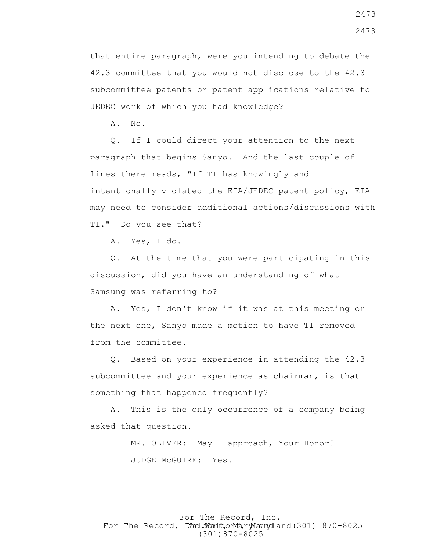that entire paragraph, were you intending to debate the 42.3 committee that you would not disclose to the 42.3 subcommittee patents or patent applications relative to JEDEC work of which you had knowledge?

A. No.

 Q. If I could direct your attention to the next paragraph that begins Sanyo. And the last couple of lines there reads, "If TI has knowingly and intentionally violated the EIA/JEDEC patent policy, EIA may need to consider additional actions/discussions with TI." Do you see that?

A. Yes, I do.

 Q. At the time that you were participating in this discussion, did you have an understanding of what Samsung was referring to?

 A. Yes, I don't know if it was at this meeting or the next one, Sanyo made a motion to have TI removed from the committee.

 Q. Based on your experience in attending the 42.3 subcommittee and your experience as chairman, is that something that happened frequently?

 A. This is the only occurrence of a company being asked that question.

> MR. OLIVER: May I approach, Your Honor? JUDGE McGUIRE: Yes.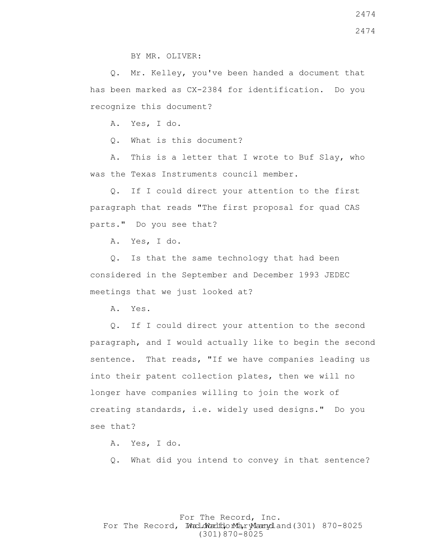BY MR. OLIVER:

 Q. Mr. Kelley, you've been handed a document that has been marked as CX-2384 for identification. Do you recognize this document?

A. Yes, I do.

Q. What is this document?

 A. This is a letter that I wrote to Buf Slay, who was the Texas Instruments council member.

 Q. If I could direct your attention to the first paragraph that reads "The first proposal for quad CAS parts." Do you see that?

A. Yes, I do.

 Q. Is that the same technology that had been considered in the September and December 1993 JEDEC meetings that we just looked at?

A. Yes.

 Q. If I could direct your attention to the second paragraph, and I would actually like to begin the second sentence. That reads, "If we have companies leading us into their patent collection plates, then we will no longer have companies willing to join the work of creating standards, i.e. widely used designs." Do you see that?

A. Yes, I do.

Q. What did you intend to convey in that sentence?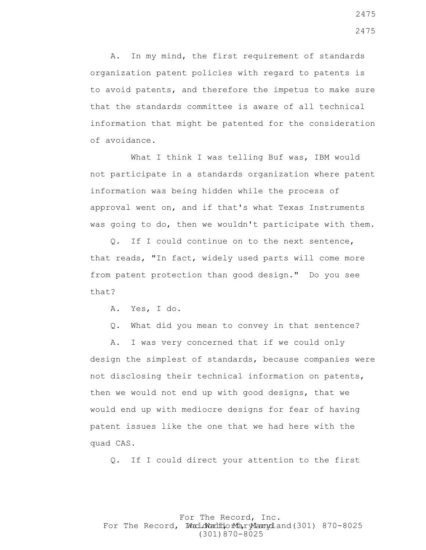A. In my mind, the first requirement of standards organization patent policies with regard to patents is to avoid patents, and therefore the impetus to make sure that the standards committee is aware of all technical information that might be patented for the consideration of avoidance.

What I think I was telling Buf was, IBM would not participate in a standards organization where patent information was being hidden while the process of approval went on, and if that's what Texas Instruments was going to do, then we wouldn't participate with them.

 Q. If I could continue on to the next sentence, that reads, "In fact, widely used parts will come more from patent protection than good design." Do you see that?

A. Yes, I do.

Q. What did you mean to convey in that sentence?

 A. I was very concerned that if we could only design the simplest of standards, because companies were not disclosing their technical information on patents, then we would not end up with good designs, that we would end up with mediocre designs for fear of having patent issues like the one that we had here with the quad CAS.

Q. If I could direct your attention to the first

For The Record, Inc. For The Record, Ward.dWardfdorMa, ryMannydland(301) 870-8025 (301)870-8025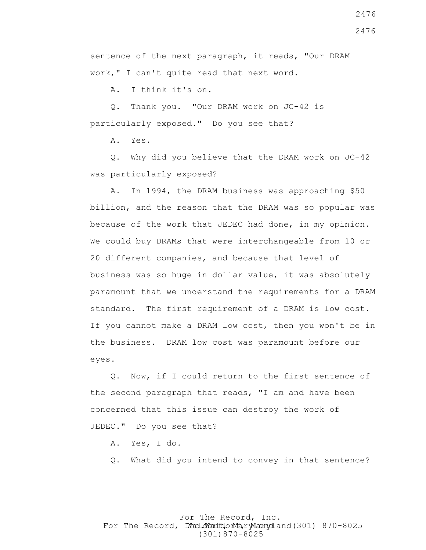For The Record, Inc. For The Record, Ward.dWardfdorMa, ryMannydland(301) 870-8025 (301)870-8025

2476

sentence of the next paragraph, it reads, "Our DRAM work," I can't quite read that next word.

A. I think it's on.

 Q. Thank you. "Our DRAM work on JC-42 is particularly exposed." Do you see that?

A. Yes.

 Q. Why did you believe that the DRAM work on JC-42 was particularly exposed?

 A. In 1994, the DRAM business was approaching \$50 billion, and the reason that the DRAM was so popular was because of the work that JEDEC had done, in my opinion. We could buy DRAMs that were interchangeable from 10 or 20 different companies, and because that level of business was so huge in dollar value, it was absolutely paramount that we understand the requirements for a DRAM standard. The first requirement of a DRAM is low cost. If you cannot make a DRAM low cost, then you won't be in the business. DRAM low cost was paramount before our eyes.

 Q. Now, if I could return to the first sentence of the second paragraph that reads, "I am and have been concerned that this issue can destroy the work of JEDEC." Do you see that?

- A. Yes, I do.
- Q. What did you intend to convey in that sentence?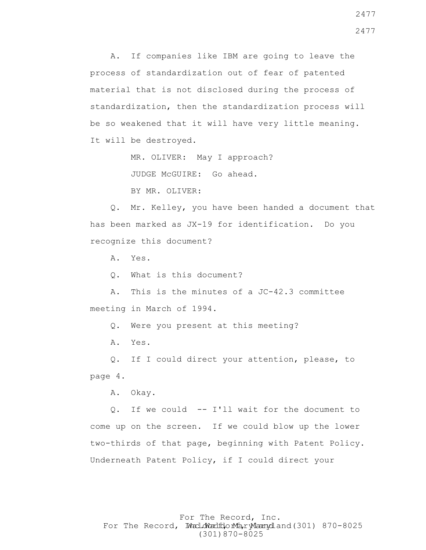A. If companies like IBM are going to leave the process of standardization out of fear of patented material that is not disclosed during the process of standardization, then the standardization process will be so weakened that it will have very little meaning. It will be destroyed.

MR. OLIVER: May I approach?

JUDGE McGUIRE: Go ahead.

BY MR. OLIVER:

 Q. Mr. Kelley, you have been handed a document that has been marked as JX-19 for identification. Do you recognize this document?

A. Yes.

Q. What is this document?

 A. This is the minutes of a JC-42.3 committee meeting in March of 1994.

Q. Were you present at this meeting?

A. Yes.

 Q. If I could direct your attention, please, to page 4.

A. Okay.

 Q. If we could -- I'll wait for the document to come up on the screen. If we could blow up the lower two-thirds of that page, beginning with Patent Policy. Underneath Patent Policy, if I could direct your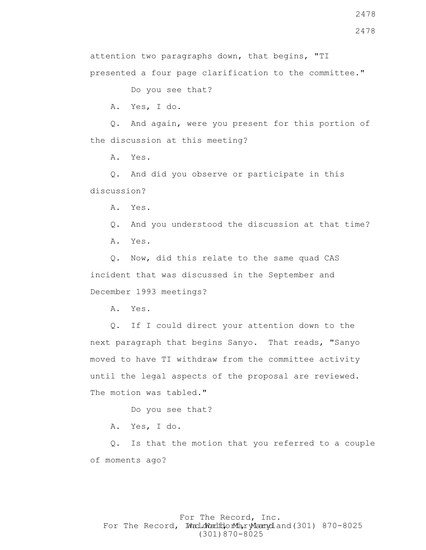2478

attention two paragraphs down, that begins, "TI

presented a four page clarification to the committee."

Do you see that?

A. Yes, I do.

 Q. And again, were you present for this portion of the discussion at this meeting?

A. Yes.

 Q. And did you observe or participate in this discussion?

A. Yes.

Q. And you understood the discussion at that time?

A. Yes.

 Q. Now, did this relate to the same quad CAS incident that was discussed in the September and December 1993 meetings?

A. Yes.

 Q. If I could direct your attention down to the next paragraph that begins Sanyo. That reads, "Sanyo moved to have TI withdraw from the committee activity until the legal aspects of the proposal are reviewed. The motion was tabled."

Do you see that?

A. Yes, I do.

 Q. Is that the motion that you referred to a couple of moments ago?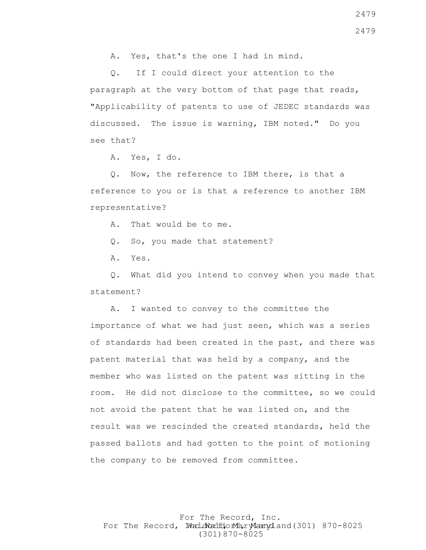A. Yes, that's the one I had in mind.

 Q. If I could direct your attention to the paragraph at the very bottom of that page that reads, "Applicability of patents to use of JEDEC standards was discussed. The issue is warning, IBM noted." Do you see that?

A. Yes, I do.

 Q. Now, the reference to IBM there, is that a reference to you or is that a reference to another IBM representative?

A. That would be to me.

Q. So, you made that statement?

A. Yes.

 Q. What did you intend to convey when you made that statement?

 A. I wanted to convey to the committee the importance of what we had just seen, which was a series of standards had been created in the past, and there was patent material that was held by a company, and the member who was listed on the patent was sitting in the room. He did not disclose to the committee, so we could not avoid the patent that he was listed on, and the result was we rescinded the created standards, held the passed ballots and had gotten to the point of motioning the company to be removed from committee.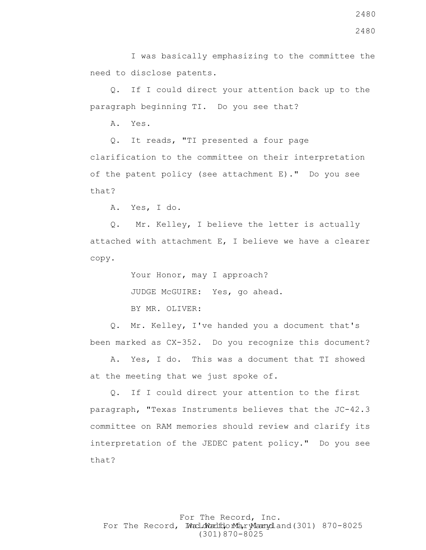I was basically emphasizing to the committee the need to disclose patents.

 Q. If I could direct your attention back up to the paragraph beginning TI. Do you see that?

A. Yes.

 Q. It reads, "TI presented a four page clarification to the committee on their interpretation of the patent policy (see attachment E)." Do you see that?

A. Yes, I do.

 Q. Mr. Kelley, I believe the letter is actually attached with attachment E, I believe we have a clearer copy.

> Your Honor, may I approach? JUDGE McGUIRE: Yes, go ahead. BY MR. OLIVER:

 Q. Mr. Kelley, I've handed you a document that's been marked as CX-352. Do you recognize this document?

 A. Yes, I do. This was a document that TI showed at the meeting that we just spoke of.

 Q. If I could direct your attention to the first paragraph, "Texas Instruments believes that the JC-42.3 committee on RAM memories should review and clarify its interpretation of the JEDEC patent policy." Do you see that?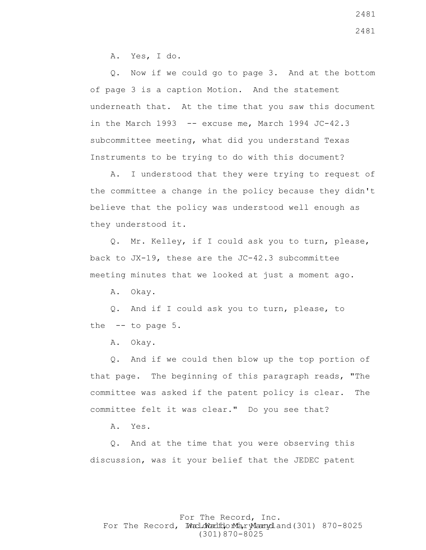A. Yes, I do.

 Q. Now if we could go to page 3. And at the bottom of page 3 is a caption Motion. And the statement underneath that. At the time that you saw this document in the March  $1993$  -- excuse me, March  $1994$  JC-42.3 subcommittee meeting, what did you understand Texas Instruments to be trying to do with this document?

 A. I understood that they were trying to request of the committee a change in the policy because they didn't believe that the policy was understood well enough as they understood it.

 Q. Mr. Kelley, if I could ask you to turn, please, back to JX-19, these are the JC-42.3 subcommittee meeting minutes that we looked at just a moment ago.

A. Okay.

 Q. And if I could ask you to turn, please, to the  $-$  to page  $5.$ 

A. Okay.

 Q. And if we could then blow up the top portion of that page. The beginning of this paragraph reads, "The committee was asked if the patent policy is clear. The committee felt it was clear." Do you see that?

A. Yes.

 Q. And at the time that you were observing this discussion, was it your belief that the JEDEC patent

### For The Record, Inc. For The Record, Ward.dWardfdorMa, ryMannydland(301) 870-8025 (301)870-8025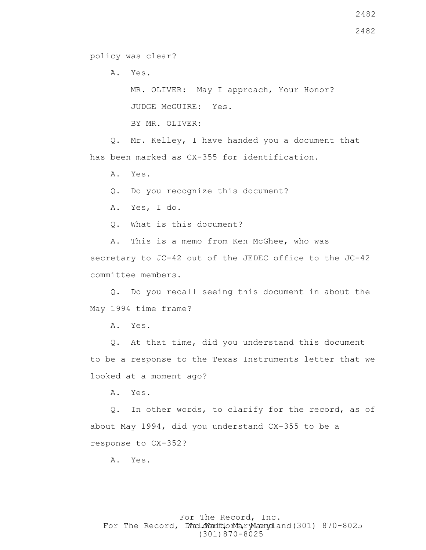policy was clear?

A. Yes.

 MR. OLIVER: May I approach, Your Honor? JUDGE McGUIRE: Yes.

BY MR. OLIVER:

 Q. Mr. Kelley, I have handed you a document that has been marked as CX-355 for identification.

A. Yes.

Q. Do you recognize this document?

A. Yes, I do.

Q. What is this document?

 A. This is a memo from Ken McGhee, who was secretary to JC-42 out of the JEDEC office to the JC-42 committee members.

 Q. Do you recall seeing this document in about the May 1994 time frame?

A. Yes.

 Q. At that time, did you understand this document to be a response to the Texas Instruments letter that we looked at a moment ago?

A. Yes.

 Q. In other words, to clarify for the record, as of about May 1994, did you understand CX-355 to be a response to CX-352?

A. Yes.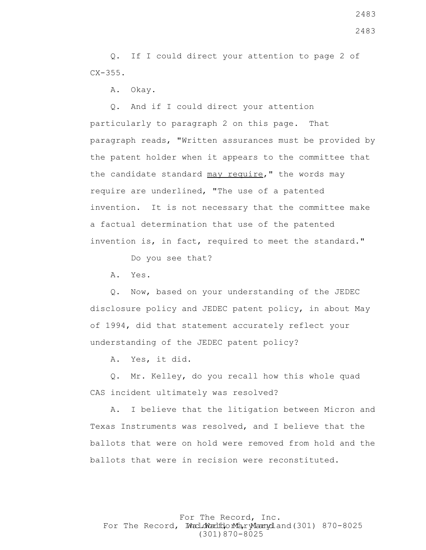Q. If I could direct your attention to page 2 of  $CX-355$ .

A. Okay.

 Q. And if I could direct your attention particularly to paragraph 2 on this page. That paragraph reads, "Written assurances must be provided by the patent holder when it appears to the committee that the candidate standard may require," the words may require are underlined, "The use of a patented invention. It is not necessary that the committee make a factual determination that use of the patented invention is, in fact, required to meet the standard."

Do you see that?

A. Yes.

 Q. Now, based on your understanding of the JEDEC disclosure policy and JEDEC patent policy, in about May of 1994, did that statement accurately reflect your understanding of the JEDEC patent policy?

A. Yes, it did.

 Q. Mr. Kelley, do you recall how this whole quad CAS incident ultimately was resolved?

 A. I believe that the litigation between Micron and Texas Instruments was resolved, and I believe that the ballots that were on hold were removed from hold and the ballots that were in recision were reconstituted.

For The Record, Inc. For The Record, Ward.dWardfdorMa, ryMannydland(301) 870-8025 (301)870-8025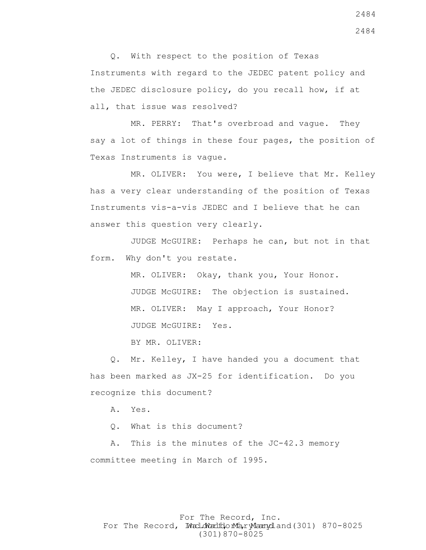Q. With respect to the position of Texas Instruments with regard to the JEDEC patent policy and the JEDEC disclosure policy, do you recall how, if at all, that issue was resolved?

 MR. PERRY: That's overbroad and vague. They say a lot of things in these four pages, the position of Texas Instruments is vague.

 MR. OLIVER: You were, I believe that Mr. Kelley has a very clear understanding of the position of Texas Instruments vis-a-vis JEDEC and I believe that he can answer this question very clearly.

 JUDGE McGUIRE: Perhaps he can, but not in that form. Why don't you restate.

> MR. OLIVER: Okay, thank you, Your Honor. JUDGE McGUIRE: The objection is sustained. MR. OLIVER: May I approach, Your Honor? JUDGE McGUIRE: Yes.

BY MR. OLIVER:

 Q. Mr. Kelley, I have handed you a document that has been marked as JX-25 for identification. Do you recognize this document?

A. Yes.

Q. What is this document?

 A. This is the minutes of the JC-42.3 memory committee meeting in March of 1995.

For The Record, Inc. For The Record, Ward.dWardfdorMa, ryMannydland(301) 870-8025 (301)870-8025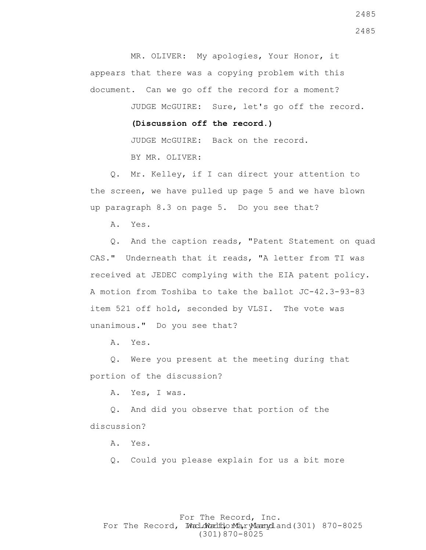MR. OLIVER: My apologies, Your Honor, it appears that there was a copying problem with this document. Can we go off the record for a moment?

JUDGE McGUIRE: Sure, let's go off the record.

 **(Discussion off the record.)**

 JUDGE McGUIRE: Back on the record. BY MR. OLIVER:

 Q. Mr. Kelley, if I can direct your attention to the screen, we have pulled up page 5 and we have blown up paragraph 8.3 on page 5. Do you see that?

A. Yes.

 Q. And the caption reads, "Patent Statement on quad CAS." Underneath that it reads, "A letter from TI was received at JEDEC complying with the EIA patent policy. A motion from Toshiba to take the ballot JC-42.3-93-83 item 521 off hold, seconded by VLSI. The vote was unanimous." Do you see that?

A. Yes.

 Q. Were you present at the meeting during that portion of the discussion?

A. Yes, I was.

 Q. And did you observe that portion of the discussion?

A. Yes.

Q. Could you please explain for us a bit more

### For The Record, Inc. For The Record, Ward.dWardfdorMa, ryMannydland(301) 870-8025 (301)870-8025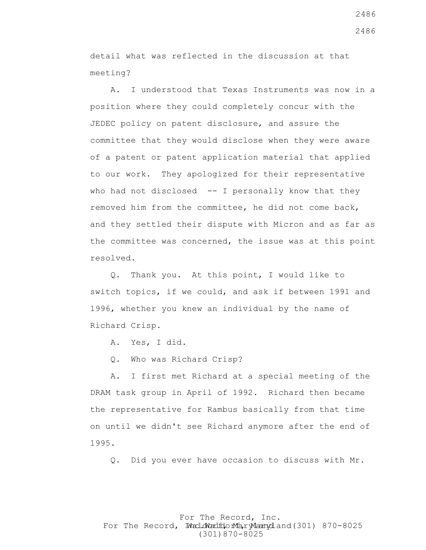detail what was reflected in the discussion at that meeting?

 A. I understood that Texas Instruments was now in a position where they could completely concur with the JEDEC policy on patent disclosure, and assure the committee that they would disclose when they were aware of a patent or patent application material that applied to our work. They apologized for their representative who had not disclosed -- I personally know that they removed him from the committee, he did not come back, and they settled their dispute with Micron and as far as the committee was concerned, the issue was at this point resolved.

 Q. Thank you. At this point, I would like to switch topics, if we could, and ask if between 1991 and 1996, whether you knew an individual by the name of Richard Crisp.

A. Yes, I did.

Q. Who was Richard Crisp?

 A. I first met Richard at a special meeting of the DRAM task group in April of 1992. Richard then became the representative for Rambus basically from that time on until we didn't see Richard anymore after the end of 1995.

Q. Did you ever have occasion to discuss with Mr.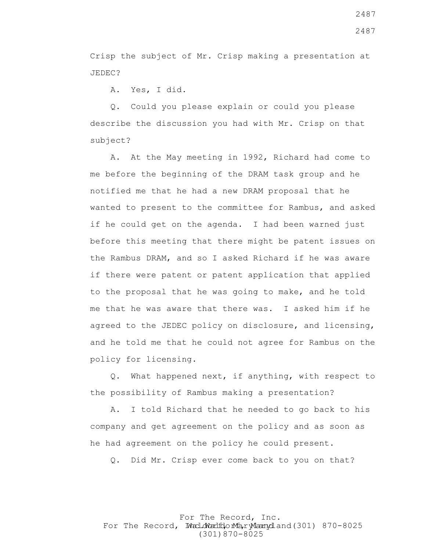Crisp the subject of Mr. Crisp making a presentation at JEDEC?

A. Yes, I did.

 Q. Could you please explain or could you please describe the discussion you had with Mr. Crisp on that subject?

 A. At the May meeting in 1992, Richard had come to me before the beginning of the DRAM task group and he notified me that he had a new DRAM proposal that he wanted to present to the committee for Rambus, and asked if he could get on the agenda. I had been warned just before this meeting that there might be patent issues on the Rambus DRAM, and so I asked Richard if he was aware if there were patent or patent application that applied to the proposal that he was going to make, and he told me that he was aware that there was. I asked him if he agreed to the JEDEC policy on disclosure, and licensing, and he told me that he could not agree for Rambus on the policy for licensing.

 Q. What happened next, if anything, with respect to the possibility of Rambus making a presentation?

 A. I told Richard that he needed to go back to his company and get agreement on the policy and as soon as he had agreement on the policy he could present.

Q. Did Mr. Crisp ever come back to you on that?

# For The Record, Inc. For The Record, Ward.dWardfdorMa, ryMannydland(301) 870-8025 (301)870-8025

2487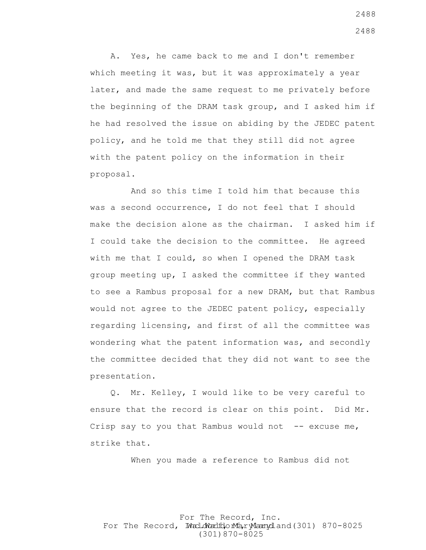A. Yes, he came back to me and I don't remember which meeting it was, but it was approximately a year later, and made the same request to me privately before the beginning of the DRAM task group, and I asked him if he had resolved the issue on abiding by the JEDEC patent policy, and he told me that they still did not agree with the patent policy on the information in their proposal.

 And so this time I told him that because this was a second occurrence, I do not feel that I should make the decision alone as the chairman. I asked him if I could take the decision to the committee. He agreed with me that I could, so when I opened the DRAM task group meeting up, I asked the committee if they wanted to see a Rambus proposal for a new DRAM, but that Rambus would not agree to the JEDEC patent policy, especially regarding licensing, and first of all the committee was wondering what the patent information was, and secondly the committee decided that they did not want to see the presentation.

 Q. Mr. Kelley, I would like to be very careful to ensure that the record is clear on this point. Did Mr. Crisp say to you that Rambus would not  $-$ - excuse me, strike that.

When you made a reference to Rambus did not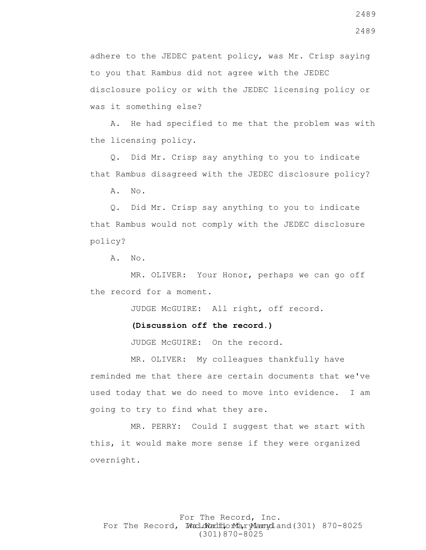adhere to the JEDEC patent policy, was Mr. Crisp saying to you that Rambus did not agree with the JEDEC disclosure policy or with the JEDEC licensing policy or was it something else?

 A. He had specified to me that the problem was with the licensing policy.

 Q. Did Mr. Crisp say anything to you to indicate that Rambus disagreed with the JEDEC disclosure policy?

A. No.

 Q. Did Mr. Crisp say anything to you to indicate that Rambus would not comply with the JEDEC disclosure policy?

A. No.

 MR. OLIVER: Your Honor, perhaps we can go off the record for a moment.

JUDGE McGUIRE: All right, off record.

#### **(Discussion off the record.)**

JUDGE McGUIRE: On the record.

 MR. OLIVER: My colleagues thankfully have reminded me that there are certain documents that we've used today that we do need to move into evidence. I am going to try to find what they are.

 MR. PERRY: Could I suggest that we start with this, it would make more sense if they were organized overnight.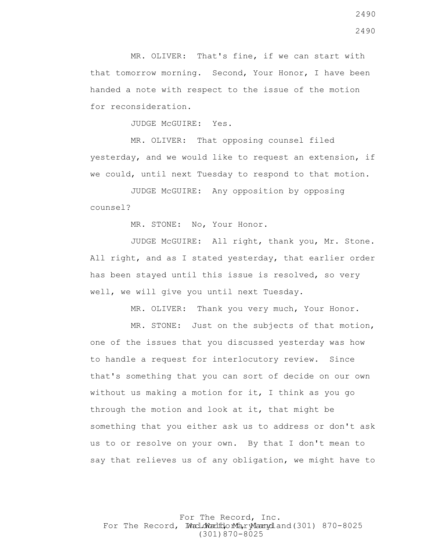MR. OLIVER: That's fine, if we can start with that tomorrow morning. Second, Your Honor, I have been handed a note with respect to the issue of the motion for reconsideration.

JUDGE McGUIRE: Yes.

 MR. OLIVER: That opposing counsel filed yesterday, and we would like to request an extension, if we could, until next Tuesday to respond to that motion.

 JUDGE McGUIRE: Any opposition by opposing counsel?

MR. STONE: No, Your Honor.

 JUDGE McGUIRE: All right, thank you, Mr. Stone. All right, and as I stated yesterday, that earlier order has been stayed until this issue is resolved, so very well, we will give you until next Tuesday.

MR. OLIVER: Thank you very much, Your Honor.

 MR. STONE: Just on the subjects of that motion, one of the issues that you discussed yesterday was how to handle a request for interlocutory review. Since that's something that you can sort of decide on our own without us making a motion for it, I think as you go through the motion and look at it, that might be something that you either ask us to address or don't ask us to or resolve on your own. By that I don't mean to say that relieves us of any obligation, we might have to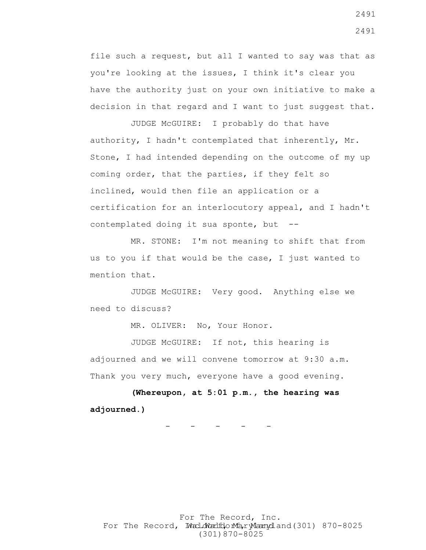file such a request, but all I wanted to say was that as you're looking at the issues, I think it's clear you have the authority just on your own initiative to make a decision in that regard and I want to just suggest that.

 JUDGE McGUIRE: I probably do that have authority, I hadn't contemplated that inherently, Mr. Stone, I had intended depending on the outcome of my up coming order, that the parties, if they felt so inclined, would then file an application or a certification for an interlocutory appeal, and I hadn't contemplated doing it sua sponte, but --

 MR. STONE: I'm not meaning to shift that from us to you if that would be the case, I just wanted to mention that.

 JUDGE McGUIRE: Very good. Anything else we need to discuss?

MR. OLIVER: No, Your Honor.

 JUDGE McGUIRE: If not, this hearing is adjourned and we will convene tomorrow at 9:30 a.m. Thank you very much, everyone have a good evening.

 **(Whereupon, at 5:01 p.m., the hearing was adjourned.)**

- - - - -